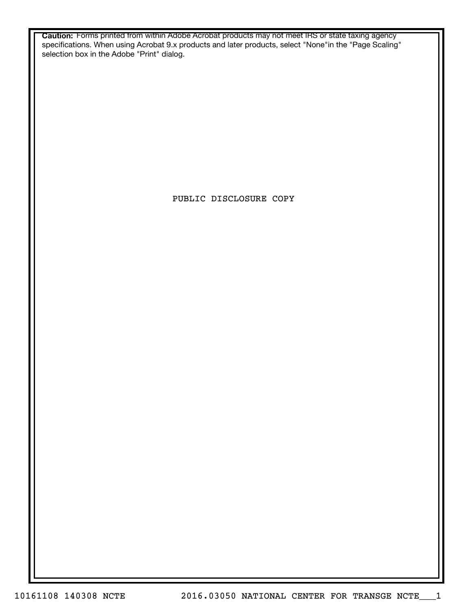**Caution:** Forms printed from within Adobe Acrobat products may not meet IRS or state taxing agency specifications. When using Acrobat 9.x products and later products, select "None"in the "Page Scaling" selection box in the Adobe "Print" dialog.

PUBLIC DISCLOSURE COPY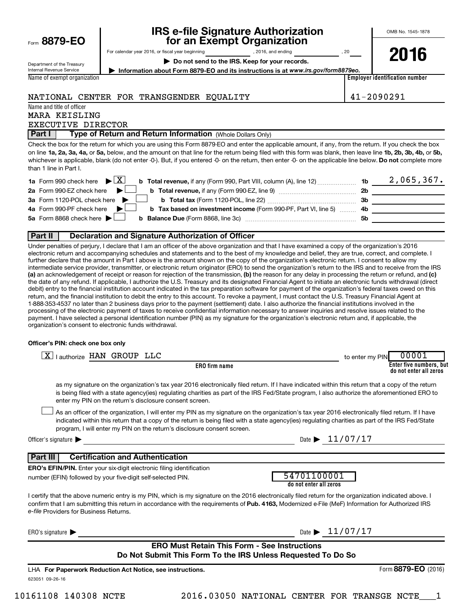|  | Form 8879-EO |  |  |
|--|--------------|--|--|
|--|--------------|--|--|

## **IRS e-file Signature Authorization 8879-EO for an Exempt Organization**

OMB No. 1545-1878

**2016**

Department of the Treasury Internal Revenue Service Name of exempt organization For calendar year 2016, or fiscal year beginning , 2016, and ending , 20

**| Do not send to the IRS. Keep for your records.**

**| Information about Form 8879-EO and its instructions is at**  *www.irs.gov/form8879eo.*

**Employer identification number**

#### NATIONAL CENTER FOR TRANSGENDER EQUALITY 41-2090291

Name and title of officer

MARA KEISLING EXECUTIVE DIRECTOR

**Part I** | Type of Return and Return Information (Whole Dollars Only)

on line 1a, 2a, 3a, 4a, or 5a, below, and the amount on that line for the return being filed with this form was blank, then leave line 1b, 2b, 3b, 4b, or 5b, whichever is applicable, blank (do not enter -0-). But, if you entered -0- on the return, then enter -0- on the applicable line below. **Do not** complete more Check the box for the return for which you are using this Form 8879-EO and enter the applicable amount, if any, from the return. If you check the box than 1 line in Part I.

| <b>1a</b> Form 990 check here $\triangleright \boxed{X}$                                                                             |     | $2,065,367$ . |
|--------------------------------------------------------------------------------------------------------------------------------------|-----|---------------|
| 2a Form 990-EZ check here $\blacktriangleright$<br><b>b</b> Total revenue, if any (Form 990-EZ, line 9) <i>manageranan</i> manageran | 2b  |               |
| 3a Form 1120-POL check here                                                                                                          | -3b |               |
| 4a Form 990-PF check here $\blacktriangleright$<br><b>b</b> Tax based on investment income (Form 990-PF, Part VI, line 5) 4b         |     |               |
| 5a Form 8868 check here $\blacktriangleright$                                                                                        | .5b |               |
|                                                                                                                                      |     |               |

#### **Part II Declaration and Signature Authorization of Officer**

(a) an acknowledgement of receipt or reason for rejection of the transmission, (b) the reason for any delay in processing the return or refund, and (c) Under penalties of perjury, I declare that I am an officer of the above organization and that I have examined a copy of the organization's 2016 electronic return and accompanying schedules and statements and to the best of my knowledge and belief, they are true, correct, and complete. I further declare that the amount in Part I above is the amount shown on the copy of the organization's electronic return. I consent to allow my intermediate service provider, transmitter, or electronic return originator (ERO) to send the organization's return to the IRS and to receive from the IRS the date of any refund. If applicable, I authorize the U.S. Treasury and its designated Financial Agent to initiate an electronic funds withdrawal (direct debit) entry to the financial institution account indicated in the tax preparation software for payment of the organization's federal taxes owed on this return, and the financial institution to debit the entry to this account. To revoke a payment, I must contact the U.S. Treasury Financial Agent at 1-888-353-4537 no later than 2 business days prior to the payment (settlement) date. I also authorize the financial institutions involved in the processing of the electronic payment of taxes to receive confidential information necessary to answer inquiries and resolve issues related to the payment. I have selected a personal identification number (PIN) as my signature for the organization's electronic return and, if applicable, the organization's consent to electronic funds withdrawal.

#### **Officer's PIN: check one box only**

| I authorize HAN GROUP LLC<br>ΧI                                                                                                                                                                                                                                                                                                                                                  | 00001<br>to enter my PIN                          |
|----------------------------------------------------------------------------------------------------------------------------------------------------------------------------------------------------------------------------------------------------------------------------------------------------------------------------------------------------------------------------------|---------------------------------------------------|
| <b>ERO</b> firm name                                                                                                                                                                                                                                                                                                                                                             | Enter five numbers, but<br>do not enter all zeros |
| as my signature on the organization's tax year 2016 electronically filed return. If I have indicated within this return that a copy of the return<br>is being filed with a state agency(ies) regulating charities as part of the IRS Fed/State program, I also authorize the aforementioned ERO to<br>enter my PIN on the return's disclosure consent screen.                    |                                                   |
| As an officer of the organization, I will enter my PIN as my signature on the organization's tax year 2016 electronically filed return. If I have<br>indicated within this return that a copy of the return is being filed with a state agency(ies) regulating charities as part of the IRS Fed/State<br>program, I will enter my PIN on the return's disclosure consent screen. |                                                   |
| Officer's signature $\blacktriangleright$                                                                                                                                                                                                                                                                                                                                        | Date $\blacktriangleright$ 11/07/17               |
| <b>Part III</b><br><b>Certification and Authentication</b>                                                                                                                                                                                                                                                                                                                       |                                                   |
| <b>ERO's EFIN/PIN.</b> Enter your six-digit electronic filing identification                                                                                                                                                                                                                                                                                                     |                                                   |
| number (EFIN) followed by your five-digit self-selected PIN.                                                                                                                                                                                                                                                                                                                     | 54701100001<br>do not enter all zeros             |
| I certify that the above numeric entry is my PIN, which is my signature on the 2016 electronically filed return for the organization indicated above. I<br>confirm that I am submitting this return in accordance with the requirements of Pub. 4163, Modernized e-File (MeF) Information for Authorized IRS<br>e-file Providers for Business Returns.                           |                                                   |
| ERO's signature $\blacktriangleright$                                                                                                                                                                                                                                                                                                                                            | Date $\blacktriangleright$ 11/07/17               |
| <b>ERO Must Retain This Form - See Instructions</b>                                                                                                                                                                                                                                                                                                                              |                                                   |
| Do Not Submit This Form To the IRS Unless Requested To Do So                                                                                                                                                                                                                                                                                                                     |                                                   |
| LHA For Paperwork Reduction Act Notice, see instructions.                                                                                                                                                                                                                                                                                                                        | Form 8879-EO (2016)                               |
| 623051 09-26-16                                                                                                                                                                                                                                                                                                                                                                  |                                                   |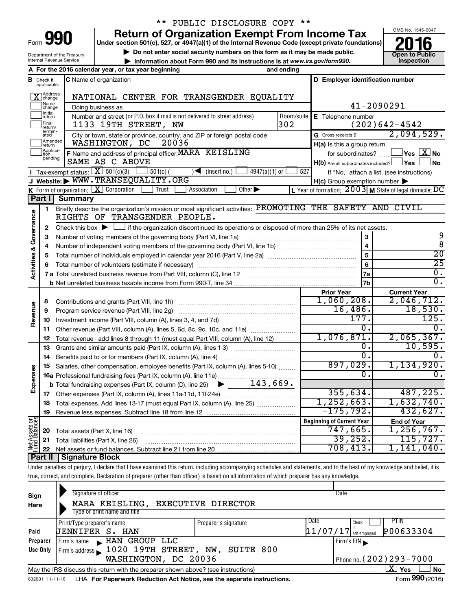| Form | 991 |  |
|------|-----|--|

### \*\* PUBLIC DISCLOSURE COPY \*\*

**Under section 501(c), 527, or 4947(a)(1) of the Internal Revenue Code (except private foundations)** Return of Organization Exempt From Income Tax<br>
r section 501(c), 527, or 4947(a)(1) of the Internal Revenue Code (except private foundations)<br> **2016** 

▶ Do not enter social security numbers on this form as it may be made public.<br>▶ Information about Form 990 and its instructions is at www.irs.gov/form990. Inspection **• Information about Form 990 and its instructions is at www.irs.gov/form990. and inspection** 



2,094,529.

Department of the Treasury Internal Revenue Service

**B** Check if applicable: X change Name<br>
change **Thitial**<br>return

**Example 1**<br>Treturn aretam<br>
Applica-<br>
pending

Final<br>|return/<br>|termin-<br>|ated

Final **1133 19TH STREET, NW**<br>return/<br>ated City or town, state or province, country, and ZIP or foreign postal code Gross receipts \$ **A For the 2016 calendar year, or tax year beginning and ending B C D Employer identification number E** Telephone number G Gross receipts \$ **H(a)** Is this a group return **F** Name and address of principal officer: MARA KEISLING for subordinates? The Same of the Same of the Same of the Same of the Same of the Same of the Same of the Same of the Same of the Same of the Same of the Same of the Number and street (or P.O. box if mail is not delivered to street address) Room/suite | E Telephone number **C** Name of organization Doing business as X NATIONAL CENTER FOR TRANSGENDER EQUALITY 41-2090291 1133 19TH STREET, NW 302 302 (202)642-4542 WASHINGTON, DC 20036 SAME AS C ABOVE

|                         | penung       | SAME AS C ABOVE                                                                                                                           | $H(b)$ Are all subordinates included? $\Box$ Yes    | ⊥No                                                       |  |  |  |  |  |  |  |
|-------------------------|--------------|-------------------------------------------------------------------------------------------------------------------------------------------|-----------------------------------------------------|-----------------------------------------------------------|--|--|--|--|--|--|--|
|                         |              | <b>I</b> Tax-exempt status: $X \mid 501(c)(3)$<br>$501(c)$ (<br>(insert no.)<br>$4947(a)(1)$ or<br>◀                                      | 527                                                 | If "No," attach a list. (see instructions)                |  |  |  |  |  |  |  |
|                         |              | J Website: WWW.TRANSEQUALITY.ORG                                                                                                          | $H(c)$ Group exemption number $\blacktriangleright$ |                                                           |  |  |  |  |  |  |  |
|                         |              | K Form of organization: $\boxed{\textbf{X}}$ Corporation<br>Trust<br>Association<br>Other $\blacktriangleright$                           |                                                     | L Year of formation: $2003$ M State of legal domicile: DC |  |  |  |  |  |  |  |
|                         | Part I       | <b>Summary</b>                                                                                                                            |                                                     |                                                           |  |  |  |  |  |  |  |
|                         | 1            | Briefly describe the organization's mission or most significant activities: PROMOTING THE SAFETY AND                                      |                                                     | CIVIL                                                     |  |  |  |  |  |  |  |
| Governance              |              | RIGHTS OF TRANSGENDER PEOPLE.                                                                                                             |                                                     |                                                           |  |  |  |  |  |  |  |
|                         | $\mathbf{2}$ | Check this box $\blacktriangleright \Box$ if the organization discontinued its operations or disposed of more than 25% of its net assets. |                                                     |                                                           |  |  |  |  |  |  |  |
|                         | з            | Number of voting members of the governing body (Part VI, line 1a)                                                                         |                                                     | 9                                                         |  |  |  |  |  |  |  |
|                         | 4            |                                                                                                                                           | $\overline{\mathbf{4}}$                             | $\overline{8}$                                            |  |  |  |  |  |  |  |
| <b>Activities &amp;</b> | 5            |                                                                                                                                           | 5                                                   | $\overline{20}$                                           |  |  |  |  |  |  |  |
|                         | 6            | Total number of volunteers (estimate if necessary)                                                                                        | 6                                                   | $\overline{25}$                                           |  |  |  |  |  |  |  |
|                         |              |                                                                                                                                           | 7a                                                  | $\overline{0}$ .                                          |  |  |  |  |  |  |  |
|                         |              |                                                                                                                                           | 7 <sub>b</sub>                                      | $\overline{0}$ .                                          |  |  |  |  |  |  |  |
|                         |              |                                                                                                                                           | <b>Prior Year</b>                                   | <b>Current Year</b>                                       |  |  |  |  |  |  |  |
| Revenue                 | 8            | Contributions and grants (Part VIII, line 1h)                                                                                             | 1,060,208.                                          | 2,046,712.                                                |  |  |  |  |  |  |  |
|                         | 9            | Program service revenue (Part VIII, line 2g)                                                                                              | 16,486.                                             | 18,530.                                                   |  |  |  |  |  |  |  |
|                         | 10           |                                                                                                                                           | 177.                                                | 125.                                                      |  |  |  |  |  |  |  |
|                         | 11           | Other revenue (Part VIII, column (A), lines 5, 6d, 8c, 9c, 10c, and 11e)                                                                  | 0.                                                  | 0.                                                        |  |  |  |  |  |  |  |
|                         | 12           | Total revenue - add lines 8 through 11 (must equal Part VIII, column (A), line 12)                                                        | 1,076,871.                                          | 2,065,367.                                                |  |  |  |  |  |  |  |
|                         | 13           | Grants and similar amounts paid (Part IX, column (A), lines 1-3)                                                                          | О.                                                  | 10,595.                                                   |  |  |  |  |  |  |  |
|                         | 14           | Benefits paid to or for members (Part IX, column (A), line 4)                                                                             | $\overline{0}$ .                                    |                                                           |  |  |  |  |  |  |  |
|                         | 15           | Salaries, other compensation, employee benefits (Part IX, column (A), lines 5-10)                                                         | 897,029.                                            | 1,134,920.                                                |  |  |  |  |  |  |  |
| Expenses                |              |                                                                                                                                           | 0.                                                  | $\overline{0}$ .                                          |  |  |  |  |  |  |  |
|                         |              |                                                                                                                                           |                                                     |                                                           |  |  |  |  |  |  |  |
|                         | 17           |                                                                                                                                           | 355,634.                                            | 487, 225.                                                 |  |  |  |  |  |  |  |
|                         | 18           | Total expenses. Add lines 13-17 (must equal Part IX, column (A), line 25)                                                                 | 1,252,663.                                          | 1,632,740.                                                |  |  |  |  |  |  |  |
|                         | 19           |                                                                                                                                           | $-175,792$ .                                        | 432,627.                                                  |  |  |  |  |  |  |  |
| t Assets or             |              |                                                                                                                                           | <b>Beginning of Current Year</b>                    | <b>End of Year</b>                                        |  |  |  |  |  |  |  |
|                         | 20           | Total assets (Part X, line 16)                                                                                                            | 747,665.                                            | 1,256,767.                                                |  |  |  |  |  |  |  |
|                         | 21           | Total liabilities (Part X, line 26)                                                                                                       | 39, 252.                                            | 115, 727.                                                 |  |  |  |  |  |  |  |
|                         | 22           |                                                                                                                                           | 708, 413.                                           | 1,141,040.                                                |  |  |  |  |  |  |  |
|                         |              | <b>Part II   Signature Block</b>                                                                                                          |                                                     |                                                           |  |  |  |  |  |  |  |

Under penalties of perjury, I declare that I have examined this return, including accompanying schedules and statements, and to the best of my knowledge and belief, it is true, correct, and complete. Declaration of preparer (other than officer) is based on all information of which preparer has any knowledge.

| Sign<br>Here | Signature of officer<br><b>EXECUTIVE DIRECTOR</b><br>MARA KEISLING,<br>Type or print name and title          |                                | Date          |                            |  |  |  |  |  |
|--------------|--------------------------------------------------------------------------------------------------------------|--------------------------------|---------------|----------------------------|--|--|--|--|--|
|              | Print/Type preparer's name                                                                                   | Date                           | PTIN<br>Check |                            |  |  |  |  |  |
| Paid         | UENNIFER S. HAN                                                                                              |                                | 11/07/17      | P00633304<br>self-employed |  |  |  |  |  |
| Preparer     | HAN GROUP LLC<br>Firm's name                                                                                 |                                |               | Firm's $EIN$               |  |  |  |  |  |
| Use Only     | Firm's address 1020 19TH STREET,                                                                             | SUITE 800<br>NW,               |               |                            |  |  |  |  |  |
|              | WASHINGTON, DC 20036                                                                                         | Phone no. $(202)$ $293 - 7000$ |               |                            |  |  |  |  |  |
|              | x.<br>Yes<br>No<br>May the IRS discuss this return with the preparer shown above? (see instructions)         |                                |               |                            |  |  |  |  |  |
|              | Form 990 (2016)<br>LHA For Paperwork Reduction Act Notice, see the separate instructions.<br>632001 11-11-16 |                                |               |                            |  |  |  |  |  |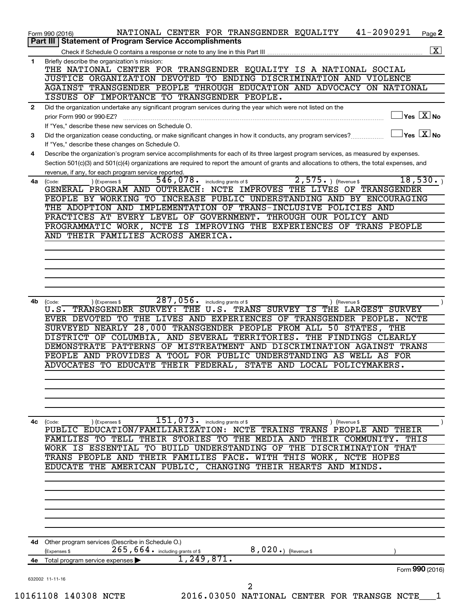| 1<br>2    | Part III   Statement of Program Service Accomplishments<br>$\overline{\mathbf{x}}$<br>Briefly describe the organization's mission:<br>THE NATIONAL CENTER FOR TRANSGENDER EQUALITY IS A NATIONAL SOCIAL<br>JUSTICE ORGANIZATION DEVOTED TO ENDING DISCRIMINATION AND VIOLENCE<br>AGAINST TRANSGENDER PEOPLE THROUGH EDUCATION AND ADVOCACY ON NATIONAL |
|-----------|--------------------------------------------------------------------------------------------------------------------------------------------------------------------------------------------------------------------------------------------------------------------------------------------------------------------------------------------------------|
|           |                                                                                                                                                                                                                                                                                                                                                        |
|           |                                                                                                                                                                                                                                                                                                                                                        |
|           |                                                                                                                                                                                                                                                                                                                                                        |
|           |                                                                                                                                                                                                                                                                                                                                                        |
|           |                                                                                                                                                                                                                                                                                                                                                        |
|           | ISSUES OF IMPORTANCE TO TRANSGENDER PEOPLE.                                                                                                                                                                                                                                                                                                            |
|           | Did the organization undertake any significant program services during the year which were not listed on the                                                                                                                                                                                                                                           |
|           | $\sqrt{\mathsf{Yes}\ \mathbf{X}}$ No<br>prior Form 990 or 990-EZ?                                                                                                                                                                                                                                                                                      |
|           | If "Yes." describe these new services on Schedule O.<br>$\sqrt{}$ Yes $\sqrt{}$ $\overline{\mathrm{X}}$ No                                                                                                                                                                                                                                             |
| 3         | Did the organization cease conducting, or make significant changes in how it conducts, any program services?<br>If "Yes," describe these changes on Schedule O.                                                                                                                                                                                        |
| 4         | Describe the organization's program service accomplishments for each of its three largest program services, as measured by expenses.                                                                                                                                                                                                                   |
|           | Section 501(c)(3) and 501(c)(4) organizations are required to report the amount of grants and allocations to others, the total expenses, and                                                                                                                                                                                                           |
|           | revenue, if any, for each program service reported.                                                                                                                                                                                                                                                                                                    |
| 4a (Code: | 18,530.<br>546,078.<br>$2,575.$ (Revenue \$)<br>including grants of \$<br>(Expenses \$                                                                                                                                                                                                                                                                 |
|           | GENERAL PROGRAM AND OUTREACH: NCTE IMPROVES THE LIVES OF TRANSGENDER                                                                                                                                                                                                                                                                                   |
|           | PEOPLE BY WORKING TO INCREASE PUBLIC UNDERSTANDING AND BY ENCOURAGING<br>THE ADOPTION AND IMPLEMENTATION OF TRANS-INCLUSIVE POLICIES AND                                                                                                                                                                                                               |
|           | PRACTICES AT EVERY LEVEL OF GOVERNMENT. THROUGH OUR POLICY AND                                                                                                                                                                                                                                                                                         |
|           | PROGRAMMATIC WORK, NCTE IS IMPROVING THE EXPERIENCES OF TRANS PEOPLE                                                                                                                                                                                                                                                                                   |
|           | AND THEIR FAMILIES ACROSS AMERICA.                                                                                                                                                                                                                                                                                                                     |
|           |                                                                                                                                                                                                                                                                                                                                                        |
|           |                                                                                                                                                                                                                                                                                                                                                        |
|           |                                                                                                                                                                                                                                                                                                                                                        |
|           |                                                                                                                                                                                                                                                                                                                                                        |
|           |                                                                                                                                                                                                                                                                                                                                                        |
| 4b.       | 287,056. including grants of \$<br>(Code:<br>(Expenses \$<br>) (Revenue \$                                                                                                                                                                                                                                                                             |
|           | TRANSGENDER SURVEY: THE U.S.<br>TRANS SURVEY IS THE LARGEST SURVEY<br>U.S.                                                                                                                                                                                                                                                                             |
|           | EVER DEVOTED TO THE LIVES AND EXPERIENCES OF TRANSGENDER PEOPLE. NCTE                                                                                                                                                                                                                                                                                  |
|           | SURVEYED NEARLY 28,000 TRANSGENDER PEOPLE FROM ALL 50 STATES,<br>THE                                                                                                                                                                                                                                                                                   |
|           | DISTRICT OF COLUMBIA, AND SEVERAL TERRITORIES. THE FINDINGS CLEARLY                                                                                                                                                                                                                                                                                    |
|           | DEMONSTRATE PATTERNS OF MISTREATMENT AND DISCRIMINATION AGAINST TRANS                                                                                                                                                                                                                                                                                  |
|           | PEOPLE AND PROVIDES A TOOL FOR PUBLIC UNDERSTANDING AS WELL AS FOR<br>ADVOCATES TO EDUCATE THEIR FEDERAL, STATE AND LOCAL POLICYMAKERS.                                                                                                                                                                                                                |
|           |                                                                                                                                                                                                                                                                                                                                                        |
|           |                                                                                                                                                                                                                                                                                                                                                        |
|           |                                                                                                                                                                                                                                                                                                                                                        |
|           |                                                                                                                                                                                                                                                                                                                                                        |
|           |                                                                                                                                                                                                                                                                                                                                                        |
| 4с        | 151,073.<br>including grants of \$<br>(Expenses \$<br>(Code:<br>(Revenue \$                                                                                                                                                                                                                                                                            |
|           | <b>NCTE</b><br>EDUCATION/FAMILIARIZATION:<br><b>TRANS</b><br>PEOPLE<br>PUBLIC<br>TRAINS<br>THEIR<br>AND<br>COMMUNITY.                                                                                                                                                                                                                                  |
|           | <b>STORIES</b><br><b>MEDIA</b><br>THEIR<br>THIS<br>FAMILIES<br>TО<br>TELL<br>TО<br>THE<br>AND<br>THEIR<br><b>ESSENTIAL</b><br><b>UNDERSTANDING</b><br>THE<br><b>THAT</b><br>ΙS<br>TО<br><b>BUILD</b><br>OF<br>DISCRIMINATION<br>WORK                                                                                                                   |
|           | WITH THIS<br><b>AND</b><br>THEIR FAMILIES FACE.<br>WORK, NCTE HOPES<br>TRANS<br>PEOPLE                                                                                                                                                                                                                                                                 |
|           | THE<br>AMERICAN PUBLIC,<br>CHANGING THEIR HEARTS AND MINDS.<br>EDUCATE                                                                                                                                                                                                                                                                                 |
|           |                                                                                                                                                                                                                                                                                                                                                        |
|           |                                                                                                                                                                                                                                                                                                                                                        |
|           |                                                                                                                                                                                                                                                                                                                                                        |
|           |                                                                                                                                                                                                                                                                                                                                                        |
|           |                                                                                                                                                                                                                                                                                                                                                        |
|           |                                                                                                                                                                                                                                                                                                                                                        |
|           | 4d Other program services (Describe in Schedule O.)                                                                                                                                                                                                                                                                                                    |
|           | $265$ , $664$ $\cdot$ including grants of \$<br>8,020.) (Revenue \$<br>(Expenses \$                                                                                                                                                                                                                                                                    |
| 4e        | 1,249,871.<br>Total program service expenses                                                                                                                                                                                                                                                                                                           |
|           | Form 990 (2016)                                                                                                                                                                                                                                                                                                                                        |
|           | 632002 11-11-16<br>$\overline{2}$                                                                                                                                                                                                                                                                                                                      |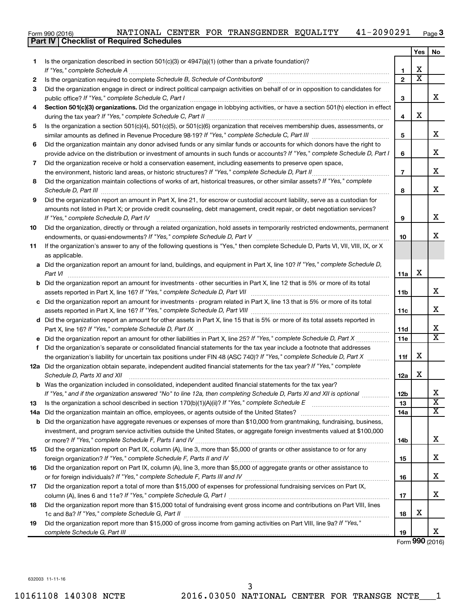| NATIONAL CENTER FOR TRANSGENDER EQUALITY | $41 - 2090291$ Page 3 |  |  |  |  |  |
|------------------------------------------|-----------------------|--|--|--|--|--|
|------------------------------------------|-----------------------|--|--|--|--|--|

|     | Part IV   Checklist of Required Schedules                                                                                                                                                                                           |                |                         |                             |
|-----|-------------------------------------------------------------------------------------------------------------------------------------------------------------------------------------------------------------------------------------|----------------|-------------------------|-----------------------------|
|     |                                                                                                                                                                                                                                     |                | Yes                     | No.                         |
| 1   | Is the organization described in section $501(c)(3)$ or $4947(a)(1)$ (other than a private foundation)?                                                                                                                             |                |                         |                             |
|     |                                                                                                                                                                                                                                     | 1              | х                       |                             |
| 2   |                                                                                                                                                                                                                                     | $\overline{2}$ | $\overline{\texttt{x}}$ |                             |
| 3   | Did the organization engage in direct or indirect political campaign activities on behalf of or in opposition to candidates for                                                                                                     |                |                         |                             |
|     |                                                                                                                                                                                                                                     | 3              |                         | x                           |
| 4   | Section 501(c)(3) organizations. Did the organization engage in lobbying activities, or have a section 501(h) election in effect                                                                                                    |                |                         |                             |
|     |                                                                                                                                                                                                                                     | 4              | X                       |                             |
| 5   | Is the organization a section 501(c)(4), 501(c)(5), or 501(c)(6) organization that receives membership dues, assessments, or                                                                                                        |                |                         |                             |
|     |                                                                                                                                                                                                                                     | 5              |                         | x                           |
| 6   | Did the organization maintain any donor advised funds or any similar funds or accounts for which donors have the right to                                                                                                           |                |                         |                             |
|     | provide advice on the distribution or investment of amounts in such funds or accounts? If "Yes," complete Schedule D, Part I                                                                                                        | 6              |                         | х                           |
| 7   | Did the organization receive or hold a conservation easement, including easements to preserve open space,                                                                                                                           |                |                         |                             |
|     |                                                                                                                                                                                                                                     | $\overline{7}$ |                         | х                           |
|     |                                                                                                                                                                                                                                     |                |                         |                             |
| 8   | Did the organization maintain collections of works of art, historical treasures, or other similar assets? If "Yes," complete                                                                                                        |                |                         | х                           |
|     | Schedule D, Part III <b>Marting Constructs</b> and the construction of the construction of the construction of the construction of the construction of the construction of the construction of the construction of the construction | 8              |                         |                             |
| 9   | Did the organization report an amount in Part X, line 21, for escrow or custodial account liability, serve as a custodian for                                                                                                       |                |                         |                             |
|     | amounts not listed in Part X; or provide credit counseling, debt management, credit repair, or debt negotiation services?                                                                                                           |                |                         | х                           |
|     | If "Yes." complete Schedule D. Part IV                                                                                                                                                                                              | 9              |                         |                             |
| 10  | Did the organization, directly or through a related organization, hold assets in temporarily restricted endowments, permanent                                                                                                       |                |                         |                             |
|     |                                                                                                                                                                                                                                     | 10             |                         | x                           |
| 11  | If the organization's answer to any of the following questions is "Yes," then complete Schedule D, Parts VI, VII, VIII, IX, or X                                                                                                    |                |                         |                             |
|     | as applicable.                                                                                                                                                                                                                      |                |                         |                             |
|     | a Did the organization report an amount for land, buildings, and equipment in Part X, line 10? If "Yes," complete Schedule D,                                                                                                       |                |                         |                             |
|     | Part VI                                                                                                                                                                                                                             | 11a            | х                       |                             |
|     | <b>b</b> Did the organization report an amount for investments - other securities in Part X, line 12 that is 5% or more of its total                                                                                                |                |                         |                             |
|     |                                                                                                                                                                                                                                     | 11b            |                         | х                           |
|     | c Did the organization report an amount for investments - program related in Part X, line 13 that is 5% or more of its total                                                                                                        |                |                         |                             |
|     |                                                                                                                                                                                                                                     | 11c            |                         | х                           |
|     | d Did the organization report an amount for other assets in Part X, line 15 that is 5% or more of its total assets reported in                                                                                                      |                |                         |                             |
|     |                                                                                                                                                                                                                                     | 11d            |                         | X                           |
|     |                                                                                                                                                                                                                                     | 11e            |                         | X                           |
| f   | Did the organization's separate or consolidated financial statements for the tax year include a footnote that addresses                                                                                                             |                |                         |                             |
|     | the organization's liability for uncertain tax positions under FIN 48 (ASC 740)? If "Yes," complete Schedule D, Part X                                                                                                              | 11f            | X                       |                             |
|     | 12a Did the organization obtain separate, independent audited financial statements for the tax year? If "Yes," complete                                                                                                             |                |                         |                             |
|     | Schedule D, Parts XI and XII <b>contained a contained a contained a contained a contained a contained a contained a</b>                                                                                                             | 12a            | х                       |                             |
| b   | Was the organization included in consolidated, independent audited financial statements for the tax year?                                                                                                                           |                |                         |                             |
|     | If "Yes," and if the organization answered "No" to line 12a, then completing Schedule D, Parts XI and XII is optional                                                                                                               | 12b            |                         | х                           |
| 13  |                                                                                                                                                                                                                                     | 13             |                         | $\overline{\textbf{X}}$     |
| 14a |                                                                                                                                                                                                                                     | 14a            |                         | X                           |
|     | <b>b</b> Did the organization have aggregate revenues or expenses of more than \$10,000 from grantmaking, fundraising, business,                                                                                                    |                |                         |                             |
|     | investment, and program service activities outside the United States, or aggregate foreign investments valued at \$100,000                                                                                                          |                |                         |                             |
|     |                                                                                                                                                                                                                                     | 14b            |                         | х                           |
| 15  | Did the organization report on Part IX, column (A), line 3, more than \$5,000 of grants or other assistance to or for any                                                                                                           |                |                         |                             |
|     |                                                                                                                                                                                                                                     | 15             |                         | х                           |
| 16  | Did the organization report on Part IX, column (A), line 3, more than \$5,000 of aggregate grants or other assistance to                                                                                                            |                |                         |                             |
|     |                                                                                                                                                                                                                                     | 16             |                         | х                           |
| 17  | Did the organization report a total of more than \$15,000 of expenses for professional fundraising services on Part IX,                                                                                                             |                |                         |                             |
|     |                                                                                                                                                                                                                                     | 17             |                         | x                           |
| 18  | Did the organization report more than \$15,000 total of fundraising event gross income and contributions on Part VIII, lines                                                                                                        |                |                         |                             |
|     |                                                                                                                                                                                                                                     | 18             | X                       |                             |
| 19  | Did the organization report more than \$15,000 of gross income from gaming activities on Part VIII, line 9a? If "Yes,"                                                                                                              |                |                         |                             |
|     |                                                                                                                                                                                                                                     | 19             |                         | x                           |
|     |                                                                                                                                                                                                                                     |                |                         | $F_{\text{sum}}$ 000 (2016) |

Form (2016) **990**

632003 11-11-16

Form 990 (2016)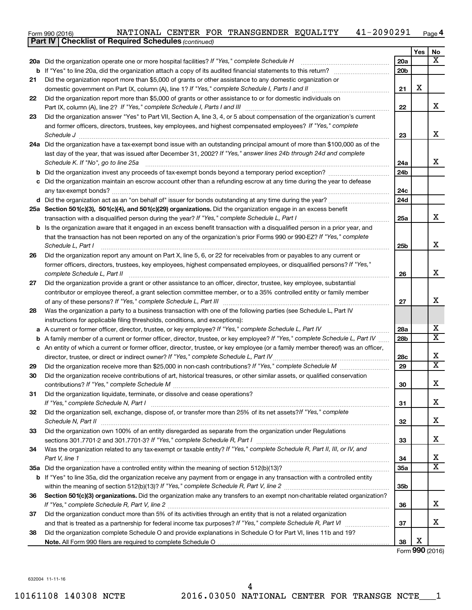|  |  |  |  | NATIONAL CENTER FOR TRANSGENDER EQUALITY |  | $41 - 2090291$ Page 4 |  |
|--|--|--|--|------------------------------------------|--|-----------------------|--|
|--|--|--|--|------------------------------------------|--|-----------------------|--|

|          | <b>Part IV   Checklist of Required Schedules (continued)</b>                                                                                                                                                                |                 |     |                         |
|----------|-----------------------------------------------------------------------------------------------------------------------------------------------------------------------------------------------------------------------------|-----------------|-----|-------------------------|
|          |                                                                                                                                                                                                                             |                 | Yes | No                      |
|          | 20a Did the organization operate one or more hospital facilities? If "Yes," complete Schedule H                                                                                                                             | <b>20a</b>      |     | x                       |
|          |                                                                                                                                                                                                                             | 20 <sub>b</sub> |     |                         |
| 21       | Did the organization report more than \$5,000 of grants or other assistance to any domestic organization or                                                                                                                 |                 |     |                         |
|          |                                                                                                                                                                                                                             | 21              | X   |                         |
| 22       | Did the organization report more than \$5,000 of grants or other assistance to or for domestic individuals on                                                                                                               |                 |     |                         |
|          |                                                                                                                                                                                                                             | 22              |     | x                       |
| 23       | Did the organization answer "Yes" to Part VII, Section A, line 3, 4, or 5 about compensation of the organization's current                                                                                                  |                 |     |                         |
|          | and former officers, directors, trustees, key employees, and highest compensated employees? If "Yes," complete                                                                                                              |                 |     |                         |
|          | Schedule J <b>Execute Schedule Schedule Schedule Schedule</b> J <b>Execute Schedule J Execute Schedule J</b>                                                                                                                | 23              |     | х                       |
|          | 24a Did the organization have a tax-exempt bond issue with an outstanding principal amount of more than \$100,000 as of the                                                                                                 |                 |     |                         |
|          | last day of the year, that was issued after December 31, 2002? If "Yes," answer lines 24b through 24d and complete                                                                                                          |                 |     |                         |
|          | Schedule K. If "No", go to line 25a                                                                                                                                                                                         | 24a             |     | x                       |
|          |                                                                                                                                                                                                                             | 24b             |     |                         |
|          | c Did the organization maintain an escrow account other than a refunding escrow at any time during the year to defease                                                                                                      |                 |     |                         |
|          |                                                                                                                                                                                                                             | 24c             |     |                         |
|          |                                                                                                                                                                                                                             | 24d             |     |                         |
|          | 25a Section 501(c)(3), 501(c)(4), and 501(c)(29) organizations. Did the organization engage in an excess benefit                                                                                                            |                 |     |                         |
|          |                                                                                                                                                                                                                             | 25a             |     | x                       |
|          | <b>b</b> Is the organization aware that it engaged in an excess benefit transaction with a disqualified person in a prior year, and                                                                                         |                 |     |                         |
|          | that the transaction has not been reported on any of the organization's prior Forms 990 or 990-EZ? If "Yes," complete                                                                                                       |                 |     |                         |
|          | Schedule L, Part I                                                                                                                                                                                                          | 25b             |     | х                       |
| 26       | Did the organization report any amount on Part X, line 5, 6, or 22 for receivables from or payables to any current or                                                                                                       |                 |     |                         |
|          | former officers, directors, trustees, key employees, highest compensated employees, or disqualified persons? If "Yes,"                                                                                                      |                 |     |                         |
|          | complete Schedule L, Part II                                                                                                                                                                                                | 26              |     | х                       |
| 27       | Did the organization provide a grant or other assistance to an officer, director, trustee, key employee, substantial                                                                                                        |                 |     |                         |
|          | contributor or employee thereof, a grant selection committee member, or to a 35% controlled entity or family member                                                                                                         |                 |     | х                       |
|          |                                                                                                                                                                                                                             | 27              |     |                         |
| 28       | Was the organization a party to a business transaction with one of the following parties (see Schedule L, Part IV                                                                                                           |                 |     |                         |
|          | instructions for applicable filing thresholds, conditions, and exceptions):                                                                                                                                                 |                 |     | х                       |
| а        | A current or former officer, director, trustee, or key employee? If "Yes," complete Schedule L, Part IV                                                                                                                     | 28a             |     | $\overline{\mathbf{x}}$ |
| b        | A family member of a current or former officer, director, trustee, or key employee? If "Yes," complete Schedule L, Part IV                                                                                                  | 28 <sub>b</sub> |     |                         |
|          | c An entity of which a current or former officer, director, trustee, or key employee (or a family member thereof) was an officer,<br>director, trustee, or direct or indirect owner? If "Yes," complete Schedule L, Part IV |                 |     | х                       |
|          |                                                                                                                                                                                                                             | 28c<br>29       |     | $\overline{\mathbf{X}}$ |
| 29<br>30 | Did the organization receive contributions of art, historical treasures, or other similar assets, or qualified conservation                                                                                                 |                 |     |                         |
|          |                                                                                                                                                                                                                             | 30              |     | х                       |
| 31       | Did the organization liquidate, terminate, or dissolve and cease operations?                                                                                                                                                |                 |     |                         |
|          |                                                                                                                                                                                                                             | 31              |     | x                       |
| 32       | Did the organization sell, exchange, dispose of, or transfer more than 25% of its net assets? If "Yes," complete                                                                                                            |                 |     |                         |
|          |                                                                                                                                                                                                                             | 32              |     | х                       |
| 33       | Did the organization own 100% of an entity disregarded as separate from the organization under Regulations                                                                                                                  |                 |     |                         |
|          |                                                                                                                                                                                                                             | 33              |     | х                       |
| 34       | Was the organization related to any tax-exempt or taxable entity? If "Yes," complete Schedule R, Part II, III, or IV, and                                                                                                   |                 |     |                         |
|          | Part V, line 1                                                                                                                                                                                                              | 34              |     | X                       |
|          |                                                                                                                                                                                                                             | 35a             |     | $\overline{\mathbf{x}}$ |
|          | b If "Yes" to line 35a, did the organization receive any payment from or engage in any transaction with a controlled entity                                                                                                 |                 |     |                         |
|          |                                                                                                                                                                                                                             | 35 <sub>b</sub> |     |                         |
| 36       | Section 501(c)(3) organizations. Did the organization make any transfers to an exempt non-charitable related organization?                                                                                                  |                 |     |                         |
|          |                                                                                                                                                                                                                             | 36              |     | x                       |
| 37       | Did the organization conduct more than 5% of its activities through an entity that is not a related organization                                                                                                            |                 |     |                         |
|          |                                                                                                                                                                                                                             | 37              |     | х                       |
| 38       | Did the organization complete Schedule O and provide explanations in Schedule O for Part VI, lines 11b and 19?                                                                                                              |                 |     |                         |
|          |                                                                                                                                                                                                                             | 38              | х   |                         |
|          |                                                                                                                                                                                                                             |                 |     | Form 990 (2016)         |

632004 11-11-16

Form 990 (2016)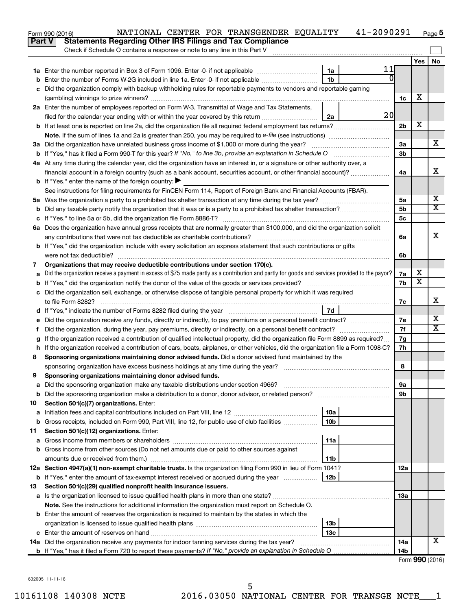|               | 41-2090291<br>NATIONAL CENTER FOR TRANSGENDER EQUALITY<br>Form 990 (2016)                                                                       |                |                              | Page 5                     |  |
|---------------|-------------------------------------------------------------------------------------------------------------------------------------------------|----------------|------------------------------|----------------------------|--|
| <b>Part V</b> | <b>Statements Regarding Other IRS Filings and Tax Compliance</b>                                                                                |                |                              |                            |  |
|               | Check if Schedule O contains a response or note to any line in this Part V                                                                      |                |                              |                            |  |
|               |                                                                                                                                                 |                | Yes                          | No                         |  |
|               | 11<br>1a                                                                                                                                        |                |                              |                            |  |
| b             | $\overline{0}$<br>1 <sub>b</sub><br>Enter the number of Forms W-2G included in line 1a. Enter -0- if not applicable                             |                |                              |                            |  |
| c             | Did the organization comply with backup withholding rules for reportable payments to vendors and reportable gaming                              |                |                              |                            |  |
|               |                                                                                                                                                 | 1c             | х                            |                            |  |
|               | 2a Enter the number of employees reported on Form W-3, Transmittal of Wage and Tax Statements,                                                  |                |                              |                            |  |
|               | 20<br>filed for the calendar year ending with or within the year covered by this return<br>2a                                                   |                |                              |                            |  |
|               | <b>b</b> If at least one is reported on line 2a, did the organization file all required federal employment tax returns?                         | 2 <sub>b</sub> | X                            |                            |  |
|               |                                                                                                                                                 |                |                              |                            |  |
|               | 3a Did the organization have unrelated business gross income of \$1,000 or more during the year?                                                | 3a             |                              | х                          |  |
|               | b If "Yes," has it filed a Form 990-T for this year? If "No," to line 3b, provide an explanation in Schedule O                                  | 3b             |                              |                            |  |
|               | 4a At any time during the calendar year, did the organization have an interest in, or a signature or other authority over, a                    |                |                              |                            |  |
|               | financial account in a foreign country (such as a bank account, securities account, or other financial account)?                                | 4a             |                              | X                          |  |
|               | <b>b</b> If "Yes," enter the name of the foreign country: $\blacktriangleright$                                                                 |                |                              |                            |  |
|               | See instructions for filing requirements for FinCEN Form 114, Report of Foreign Bank and Financial Accounts (FBAR).                             |                |                              |                            |  |
|               |                                                                                                                                                 | 5a             |                              | х                          |  |
| b             |                                                                                                                                                 | 5b             |                              | $\overline{\text{X}}$      |  |
|               |                                                                                                                                                 | 5c             |                              |                            |  |
|               | 6a Does the organization have annual gross receipts that are normally greater than \$100,000, and did the organization solicit                  |                |                              |                            |  |
|               |                                                                                                                                                 | 6a             |                              | X                          |  |
|               | <b>b</b> If "Yes," did the organization include with every solicitation an express statement that such contributions or gifts                   |                |                              |                            |  |
|               | were not tax deductible?                                                                                                                        | 6b             |                              |                            |  |
| 7             | Organizations that may receive deductible contributions under section 170(c).                                                                   |                |                              |                            |  |
| a             | Did the organization receive a payment in excess of \$75 made partly as a contribution and partly for goods and services provided to the payor? | 7a             | х<br>$\overline{\textbf{x}}$ |                            |  |
| b             |                                                                                                                                                 |                |                              |                            |  |
|               | c Did the organization sell, exchange, or otherwise dispose of tangible personal property for which it was required                             |                |                              |                            |  |
|               |                                                                                                                                                 | 7c             |                              | х                          |  |
|               | 7d                                                                                                                                              |                |                              |                            |  |
|               |                                                                                                                                                 | 7e             |                              | х<br>$\overline{\text{X}}$ |  |
| Ť.            | Did the organization, during the year, pay premiums, directly or indirectly, on a personal benefit contract?                                    | 7f             |                              |                            |  |
| g             | If the organization received a contribution of qualified intellectual property, did the organization file Form 8899 as required?                | 7g             |                              |                            |  |
|               | h If the organization received a contribution of cars, boats, airplanes, or other vehicles, did the organization file a Form 1098-C?            | 7h             |                              |                            |  |
| 8             | Sponsoring organizations maintaining donor advised funds. Did a donor advised fund maintained by the                                            |                |                              |                            |  |
|               |                                                                                                                                                 | 8              |                              |                            |  |
|               | Sponsoring organizations maintaining donor advised funds.                                                                                       |                |                              |                            |  |
| а             |                                                                                                                                                 | 9а             |                              |                            |  |
| b             |                                                                                                                                                 | 9b             |                              |                            |  |
| 10            | Section 501(c)(7) organizations. Enter:                                                                                                         |                |                              |                            |  |
| a             | 10a<br>10 <sub>b</sub><br>Gross receipts, included on Form 990, Part VIII, line 12, for public use of club facilities                           |                |                              |                            |  |
| b             | Section 501(c)(12) organizations. Enter:                                                                                                        |                |                              |                            |  |
| 11            | 11a                                                                                                                                             |                |                              |                            |  |
| а             | Gross income from other sources (Do not net amounts due or paid to other sources against                                                        |                |                              |                            |  |
| b             | 11b                                                                                                                                             |                |                              |                            |  |
|               | 12a Section 4947(a)(1) non-exempt charitable trusts. Is the organization filing Form 990 in lieu of Form 1041?                                  | 12a            |                              |                            |  |
|               | <b>b</b> If "Yes," enter the amount of tax-exempt interest received or accrued during the year<br>12b                                           |                |                              |                            |  |
| 13            | Section 501(c)(29) qualified nonprofit health insurance issuers.                                                                                |                |                              |                            |  |
| а             |                                                                                                                                                 | 1За            |                              |                            |  |
|               | Note. See the instructions for additional information the organization must report on Schedule O.                                               |                |                              |                            |  |
|               | <b>b</b> Enter the amount of reserves the organization is required to maintain by the states in which the                                       |                |                              |                            |  |
|               | 13b                                                                                                                                             |                |                              |                            |  |
| c             | 13 <sub>c</sub>                                                                                                                                 |                |                              |                            |  |
|               | 14a Did the organization receive any payments for indoor tanning services during the tax year?                                                  | 14a            |                              | х                          |  |
|               |                                                                                                                                                 | 14b            |                              |                            |  |
|               |                                                                                                                                                 |                |                              | Enrm $QQ \cap (2016)$      |  |

Form (2016) **990**

632005 11-11-16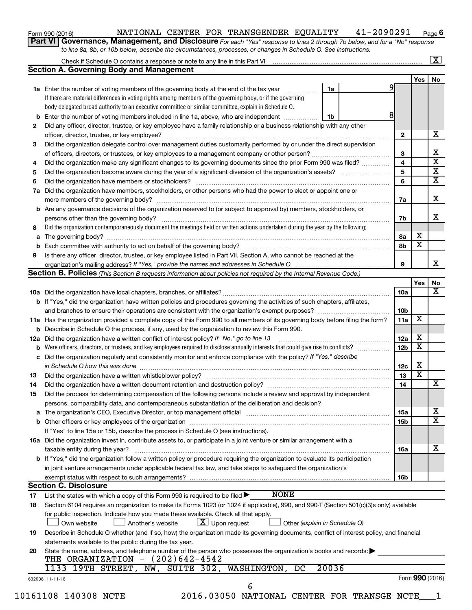| Form 990 (2016) |  |
|-----------------|--|
|-----------------|--|

#### Form 990 (2016) Page NATIONAL CENTER FOR TRANSGENDER EQUALITY 41-2090291

**6**

**Part VI** Governance, Management, and Disclosure For each "Yes" response to lines 2 through 7b below, and for a "No" response *to line 8a, 8b, or 10b below, describe the circumstances, processes, or changes in Schedule O. See instructions.*

|     |                                                                                                                                                                                                                                |                               |            |                         | $\overline{\mathbf{X}}$ |
|-----|--------------------------------------------------------------------------------------------------------------------------------------------------------------------------------------------------------------------------------|-------------------------------|------------|-------------------------|-------------------------|
|     | <b>Section A. Governing Body and Management</b>                                                                                                                                                                                |                               |            |                         |                         |
|     |                                                                                                                                                                                                                                |                               |            | Yes                     | No                      |
|     | 1a Enter the number of voting members of the governing body at the end of the tax year                                                                                                                                         | 1a                            | 9          |                         |                         |
|     | If there are material differences in voting rights among members of the governing body, or if the governing                                                                                                                    |                               |            |                         |                         |
|     | body delegated broad authority to an executive committee or similar committee, explain in Schedule O.                                                                                                                          |                               |            |                         |                         |
| b   | Enter the number of voting members included in line 1a, above, who are independent                                                                                                                                             | 1b                            | 8          |                         |                         |
| 2   | Did any officer, director, trustee, or key employee have a family relationship or a business relationship with any other                                                                                                       |                               |            |                         |                         |
|     | officer, director, trustee, or key employee?                                                                                                                                                                                   |                               | 2          |                         |                         |
| 3   | Did the organization delegate control over management duties customarily performed by or under the direct supervision                                                                                                          |                               |            |                         |                         |
|     |                                                                                                                                                                                                                                |                               | 3          |                         |                         |
| 4   | Did the organization make any significant changes to its governing documents since the prior Form 990 was filed?                                                                                                               |                               | 4          |                         |                         |
| 5   |                                                                                                                                                                                                                                |                               | 5          |                         |                         |
| 6   |                                                                                                                                                                                                                                |                               | 6          |                         |                         |
| 7a  | Did the organization have members, stockholders, or other persons who had the power to elect or appoint one or                                                                                                                 |                               |            |                         |                         |
|     |                                                                                                                                                                                                                                |                               | 7а         |                         |                         |
| b   | Are any governance decisions of the organization reserved to (or subject to approval by) members, stockholders, or                                                                                                             |                               |            |                         |                         |
|     |                                                                                                                                                                                                                                |                               | 7b         |                         |                         |
| 8   | Did the organization contemporaneously document the meetings held or written actions undertaken during the year by the following:                                                                                              |                               |            |                         |                         |
| a   |                                                                                                                                                                                                                                |                               | 8а         | х                       |                         |
| b   |                                                                                                                                                                                                                                |                               | 8b         | $\overline{\textbf{x}}$ |                         |
| 9   | Is there any officer, director, trustee, or key employee listed in Part VII, Section A, who cannot be reached at the                                                                                                           |                               |            |                         |                         |
|     |                                                                                                                                                                                                                                |                               | 9          |                         |                         |
|     | <b>Section B. Policies</b> (This Section B requests information about policies not required by the Internal Revenue Code.)                                                                                                     |                               |            |                         |                         |
|     |                                                                                                                                                                                                                                |                               |            | Yes                     |                         |
|     |                                                                                                                                                                                                                                |                               | <b>10a</b> |                         |                         |
|     | <b>b</b> If "Yes," did the organization have written policies and procedures governing the activities of such chapters, affiliates,                                                                                            |                               |            |                         |                         |
|     |                                                                                                                                                                                                                                |                               | 10b        |                         |                         |
|     | 11a Has the organization provided a complete copy of this Form 990 to all members of its governing body before filing the form?                                                                                                |                               | 11a        | X                       |                         |
|     | Describe in Schedule O the process, if any, used by the organization to review this Form 990.                                                                                                                                  |                               |            |                         |                         |
| 12a | Did the organization have a written conflict of interest policy? If "No," go to line 13                                                                                                                                        |                               | 12a        | х                       |                         |
|     | Were officers, directors, or trustees, and key employees required to disclose annually interests that could give rise to conflicts?                                                                                            |                               | 12b        | $\overline{\textbf{x}}$ |                         |
| с   | Did the organization regularly and consistently monitor and enforce compliance with the policy? If "Yes," describe                                                                                                             |                               |            |                         |                         |
|     | in Schedule O how this was done manufactured and contain an account of the was done                                                                                                                                            |                               | 12c        | х                       |                         |
| 13  |                                                                                                                                                                                                                                |                               | 13         | $\overline{\textbf{x}}$ |                         |
| 14  |                                                                                                                                                                                                                                |                               | 14         |                         |                         |
|     | Did the process for determining compensation of the following persons include a review and approval by independent                                                                                                             |                               |            |                         |                         |
| 15  |                                                                                                                                                                                                                                |                               |            |                         |                         |
|     | persons, comparability data, and contemporaneous substantiation of the deliberation and decision?                                                                                                                              |                               |            |                         |                         |
| а   | The organization's CEO, Executive Director, or top management official manufactured content of the organization's CEO, Executive Director, or top management official manufactured content of the organization's CEO, Executiv |                               | 15a        |                         |                         |
|     |                                                                                                                                                                                                                                |                               | 15b        |                         |                         |
|     | If "Yes" to line 15a or 15b, describe the process in Schedule O (see instructions).                                                                                                                                            |                               |            |                         |                         |
|     | 16a Did the organization invest in, contribute assets to, or participate in a joint venture or similar arrangement with a                                                                                                      |                               |            |                         |                         |
|     | taxable entity during the year?                                                                                                                                                                                                |                               | 16a        |                         |                         |
|     | <b>b</b> If "Yes," did the organization follow a written policy or procedure requiring the organization to evaluate its participation                                                                                          |                               |            |                         |                         |
|     | in joint venture arrangements under applicable federal tax law, and take steps to safeguard the organization's                                                                                                                 |                               |            |                         |                         |
|     | exempt status with respect to such arrangements?                                                                                                                                                                               |                               | 16b        |                         |                         |
|     | <b>Section C. Disclosure</b>                                                                                                                                                                                                   |                               |            |                         |                         |
| 17  | <b>NONE</b><br>List the states with which a copy of this Form 990 is required to be filed $\blacktriangleright$                                                                                                                |                               |            |                         |                         |
| 18  | Section 6104 requires an organization to make its Forms 1023 (or 1024 if applicable), 990, and 990-T (Section 501(c)(3)s only) available                                                                                       |                               |            |                         |                         |
|     | for public inspection. Indicate how you made these available. Check all that apply.                                                                                                                                            |                               |            |                         |                         |
|     | $\lfloor x \rfloor$ Upon request<br>Own website<br>Another's website                                                                                                                                                           | Other (explain in Schedule O) |            |                         |                         |
| 19  | Describe in Schedule O whether (and if so, how) the organization made its governing documents, conflict of interest policy, and financial                                                                                      |                               |            |                         |                         |
|     | statements available to the public during the tax year.                                                                                                                                                                        |                               |            |                         |                         |
| 20  | State the name, address, and telephone number of the person who possesses the organization's books and records:                                                                                                                |                               |            |                         |                         |
|     | THE ORGANIZATION $-$ (202)642-4542                                                                                                                                                                                             |                               |            |                         |                         |
|     | NW, SUITE 302, WASHINGTON,<br>DC<br>1133 19TH STREET,                                                                                                                                                                          | 20036                         |            |                         |                         |
|     | 632006 11-11-16                                                                                                                                                                                                                |                               |            | Form 990 (2016)         |                         |
|     | 6<br>10161108 140308 NCTE<br>2016.03050 NATIONAL CENTER FOR TRANSGE NCTE                                                                                                                                                       |                               |            |                         |                         |
|     |                                                                                                                                                                                                                                |                               |            |                         |                         |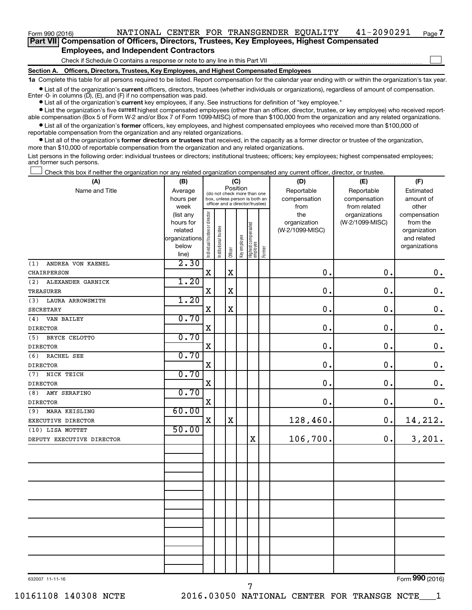**Part VII Compensation of Officers, Directors, Trustees, Key Employees, Highest Compensated Employees, and Independent Contractors**

Check if Schedule O contains a response or note to any line in this Part VII

**Section A. Officers, Directors, Trustees, Key Employees, and Highest Compensated Employees**

**1a**  Complete this table for all persons required to be listed. Report compensation for the calendar year ending with or within the organization's tax year.

**•** List all of the organization's current officers, directors, trustees (whether individuals or organizations), regardless of amount of compensation. Enter -0- in columns  $(D)$ ,  $(E)$ , and  $(F)$  if no compensation was paid.

**•** List all of the organization's **current** key employees, if any. See instructions for definition of "key employee."

**•** List the organization's five current highest compensated employees (other than an officer, director, trustee, or key employee) who received reportable compensation (Box 5 of Form W-2 and/or Box 7 of Form 1099-MISC) of more than \$100,000 from the organization and any related organizations.

**•** List all of the organization's former officers, key employees, and highest compensated employees who received more than \$100,000 of reportable compensation from the organization and any related organizations.

**•** List all of the organization's former directors or trustees that received, in the capacity as a former director or trustee of the organization, more than \$10,000 of reportable compensation from the organization and any related organizations.

List persons in the following order: individual trustees or directors; institutional trustees; officers; key employees; highest compensated employees; and former such persons.

Check this box if neither the organization nor any related organization compensated any current officer, director, or trustee.  $\Box$ 

| (A)                       | (B)                    |                                |                       |                                         | (C)          |                                                                  |        | (D)                 | (E)                              | (F)                      |
|---------------------------|------------------------|--------------------------------|-----------------------|-----------------------------------------|--------------|------------------------------------------------------------------|--------|---------------------|----------------------------------|--------------------------|
| Name and Title            | Average                |                                |                       | Position<br>(do not check more than one |              |                                                                  |        | Reportable          | Reportable                       | Estimated                |
|                           | hours per              |                                |                       |                                         |              | box, unless person is both an<br>officer and a director/trustee) |        | compensation        | compensation                     | amount of                |
|                           | week                   |                                |                       |                                         |              |                                                                  |        | from                | from related                     | other                    |
|                           | (list any<br>hours for |                                |                       |                                         |              |                                                                  |        | the<br>organization | organizations<br>(W-2/1099-MISC) | compensation<br>from the |
|                           | related                |                                |                       |                                         |              |                                                                  |        | (W-2/1099-MISC)     |                                  | organization             |
|                           | organizations          |                                |                       |                                         |              |                                                                  |        |                     |                                  | and related              |
|                           | below                  |                                |                       |                                         |              |                                                                  |        |                     |                                  | organizations            |
|                           | line)                  | Individual trustee or director | Institutional trustee | Officer                                 | Key employee | Highest compensated<br>  employee                                | Former |                     |                                  |                          |
| ANDREA VON KAENEL<br>(1)  | 2.30                   |                                |                       |                                         |              |                                                                  |        |                     |                                  |                          |
| CHAIRPERSON               |                        | $\mathbf X$                    |                       | $\mathbf X$                             |              |                                                                  |        | $\mathbf 0$ .       | 0.                               | $\boldsymbol{0}$ .       |
| (2)<br>ALEXANDER GARNICK  | 1.20                   |                                |                       |                                         |              |                                                                  |        |                     |                                  |                          |
| TREASURER                 |                        | $\mathbf X$                    |                       | X                                       |              |                                                                  |        | 0.                  | 0.                               | $\mathbf 0$ .            |
| (3)<br>LAURA ARROWSMITH   | 1.20                   |                                |                       |                                         |              |                                                                  |        |                     |                                  |                          |
| <b>SECRETARY</b>          |                        | $\mathbf x$                    |                       | $\rm X$                                 |              |                                                                  |        | 0.                  | 0.                               | $\mathbf 0$ .            |
| VAN BAILEY<br>(4)         | 0.70                   |                                |                       |                                         |              |                                                                  |        |                     |                                  |                          |
| <b>DIRECTOR</b>           |                        | $\mathbf X$                    |                       |                                         |              |                                                                  |        | $\mathbf 0$ .       | 0.                               | $\mathbf 0$ .            |
| (5)<br>BRYCE CELOTTO      | 0.70                   |                                |                       |                                         |              |                                                                  |        |                     |                                  |                          |
| <b>DIRECTOR</b>           |                        | $\mathbf X$                    |                       |                                         |              |                                                                  |        | $\mathbf 0$ .       | 0.                               | $\mathbf 0$ .            |
| (6)<br>RACHEL SEE         | 0.70                   |                                |                       |                                         |              |                                                                  |        |                     |                                  |                          |
| <b>DIRECTOR</b>           |                        | $\mathbf X$                    |                       |                                         |              |                                                                  |        | 0.                  | 0.                               | $\mathbf 0$ .            |
| (7)<br>NICK TEICH         | 0.70                   |                                |                       |                                         |              |                                                                  |        |                     |                                  |                          |
| <b>DIRECTOR</b>           |                        | $\mathbf X$                    |                       |                                         |              |                                                                  |        | 0.                  | $\mathbf 0$ .                    | $\mathbf 0$ .            |
| (8)<br>AMY SERAFINO       | 0.70                   |                                |                       |                                         |              |                                                                  |        |                     |                                  |                          |
| <b>DIRECTOR</b>           |                        | $\mathbf X$                    |                       |                                         |              |                                                                  |        | $\mathbf 0$ .       | 0.                               | $\mathbf 0$ .            |
| (9)<br>MARA KEISLING      | 60.00                  |                                |                       |                                         |              |                                                                  |        |                     |                                  |                          |
| EXECUTIVE DIRECTOR        |                        | $\mathbf X$                    |                       | $\mathbf X$                             |              |                                                                  |        | 128,460.            | 0.                               | 14, 212.                 |
| (10) LISA MOTTET          | 50.00                  |                                |                       |                                         |              |                                                                  |        |                     |                                  |                          |
| DEPUTY EXECUTIVE DIRECTOR |                        |                                |                       |                                         |              | X                                                                |        | 106,700.            | 0.                               | 3,201.                   |
|                           |                        |                                |                       |                                         |              |                                                                  |        |                     |                                  |                          |
|                           |                        |                                |                       |                                         |              |                                                                  |        |                     |                                  |                          |
|                           |                        |                                |                       |                                         |              |                                                                  |        |                     |                                  |                          |
|                           |                        |                                |                       |                                         |              |                                                                  |        |                     |                                  |                          |
|                           |                        |                                |                       |                                         |              |                                                                  |        |                     |                                  |                          |
|                           |                        |                                |                       |                                         |              |                                                                  |        |                     |                                  |                          |
|                           |                        |                                |                       |                                         |              |                                                                  |        |                     |                                  |                          |
|                           |                        |                                |                       |                                         |              |                                                                  |        |                     |                                  |                          |
|                           |                        |                                |                       |                                         |              |                                                                  |        |                     |                                  |                          |
|                           |                        |                                |                       |                                         |              |                                                                  |        |                     |                                  |                          |
|                           |                        |                                |                       |                                         |              |                                                                  |        |                     |                                  |                          |
|                           |                        |                                |                       |                                         |              |                                                                  |        |                     |                                  |                          |
|                           |                        |                                |                       |                                         |              |                                                                  |        |                     |                                  |                          |
|                           |                        |                                |                       |                                         |              |                                                                  |        |                     |                                  |                          |

632007 11-11-16

Form (2016) **990**

**7**

 $\Box$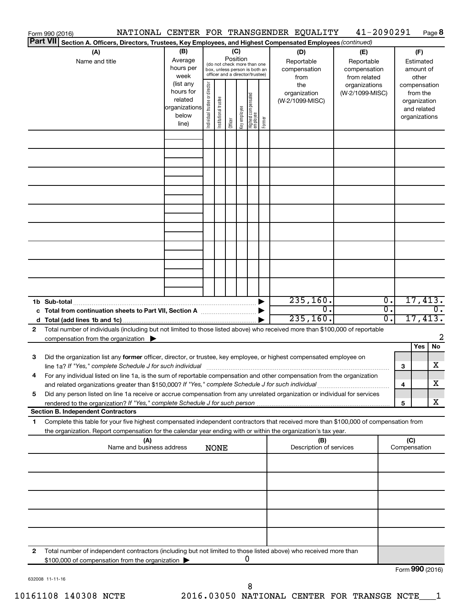|                 | Form 990 (2016)                                                                                                                           |                        |                       |                                 |          |              |                                  |        | NATIONAL CENTER FOR TRANSGENDER EQUALITY | 41-2090291      |                  | Page 8                      |
|-----------------|-------------------------------------------------------------------------------------------------------------------------------------------|------------------------|-----------------------|---------------------------------|----------|--------------|----------------------------------|--------|------------------------------------------|-----------------|------------------|-----------------------------|
| <b>Part VII</b> | Section A. Officers, Directors, Trustees, Key Employees, and Highest Compensated Employees (continued)                                    |                        |                       |                                 |          |              |                                  |        |                                          |                 |                  |                             |
|                 | (A)                                                                                                                                       | (B)                    |                       |                                 | (C)      |              |                                  |        | (D)                                      | (E)             |                  | (F)                         |
|                 | Name and title                                                                                                                            | Average                |                       | (do not check more than one     | Position |              |                                  |        | Reportable                               | Reportable      |                  | Estimated                   |
|                 |                                                                                                                                           | hours per              |                       | box, unless person is both an   |          |              |                                  |        | compensation                             | compensation    |                  | amount of                   |
|                 |                                                                                                                                           | week                   |                       | officer and a director/trustee) |          |              |                                  |        | from                                     | from related    |                  | other                       |
|                 |                                                                                                                                           | (list any<br>hours for | director              |                                 |          |              |                                  |        | the                                      | organizations   |                  | compensation                |
|                 |                                                                                                                                           | related                |                       |                                 |          |              |                                  |        | organization                             | (W-2/1099-MISC) |                  | from the                    |
|                 |                                                                                                                                           | organizations          |                       |                                 |          |              |                                  |        | (W-2/1099-MISC)                          |                 |                  | organization<br>and related |
|                 |                                                                                                                                           | below                  |                       |                                 |          |              |                                  |        |                                          |                 |                  | organizations               |
|                 |                                                                                                                                           | line)                  | Individual trustee or | Institutional trustee           | Officer  | Key employee | Highest compensated<br> employee | Former |                                          |                 |                  |                             |
|                 |                                                                                                                                           |                        |                       |                                 |          |              |                                  |        |                                          |                 |                  |                             |
|                 |                                                                                                                                           |                        |                       |                                 |          |              |                                  |        |                                          |                 |                  |                             |
|                 |                                                                                                                                           |                        |                       |                                 |          |              |                                  |        |                                          |                 |                  |                             |
|                 |                                                                                                                                           |                        |                       |                                 |          |              |                                  |        |                                          |                 |                  |                             |
|                 |                                                                                                                                           |                        |                       |                                 |          |              |                                  |        |                                          |                 |                  |                             |
|                 |                                                                                                                                           |                        |                       |                                 |          |              |                                  |        |                                          |                 |                  |                             |
|                 |                                                                                                                                           |                        |                       |                                 |          |              |                                  |        |                                          |                 |                  |                             |
|                 |                                                                                                                                           |                        |                       |                                 |          |              |                                  |        |                                          |                 |                  |                             |
|                 |                                                                                                                                           |                        |                       |                                 |          |              |                                  |        |                                          |                 |                  |                             |
|                 |                                                                                                                                           |                        |                       |                                 |          |              |                                  |        |                                          |                 |                  |                             |
|                 |                                                                                                                                           |                        |                       |                                 |          |              |                                  |        |                                          |                 |                  |                             |
|                 |                                                                                                                                           |                        |                       |                                 |          |              |                                  |        |                                          |                 |                  |                             |
|                 |                                                                                                                                           |                        |                       |                                 |          |              |                                  |        |                                          |                 |                  |                             |
|                 |                                                                                                                                           |                        |                       |                                 |          |              |                                  |        |                                          |                 |                  |                             |
|                 |                                                                                                                                           |                        |                       |                                 |          |              |                                  |        |                                          |                 |                  |                             |
|                 |                                                                                                                                           |                        |                       |                                 |          |              |                                  |        |                                          |                 |                  |                             |
|                 |                                                                                                                                           |                        |                       |                                 |          |              |                                  |        |                                          |                 |                  |                             |
|                 |                                                                                                                                           |                        |                       |                                 |          |              |                                  |        |                                          |                 |                  |                             |
|                 | 1b Sub-total                                                                                                                              |                        |                       |                                 |          |              |                                  |        | 235, 160.                                |                 | σ.               | 17,413.                     |
|                 | c Total from continuation sheets to Part VII, Section A manuscreen by                                                                     |                        |                       |                                 |          |              |                                  |        | σ.                                       |                 | σ.               | $\overline{0}$ .            |
|                 |                                                                                                                                           |                        |                       |                                 |          |              |                                  |        | 235, 160.                                |                 | $\overline{0}$ . | 17,413.                     |
| 2               | Total number of individuals (including but not limited to those listed above) who received more than \$100,000 of reportable              |                        |                       |                                 |          |              |                                  |        |                                          |                 |                  |                             |
|                 | compensation from the organization $\blacktriangleright$                                                                                  |                        |                       |                                 |          |              |                                  |        |                                          |                 |                  | 2                           |
|                 |                                                                                                                                           |                        |                       |                                 |          |              |                                  |        |                                          |                 |                  | No<br>Yes                   |
| 3               | Did the organization list any former officer, director, or trustee, key employee, or highest compensated employee on                      |                        |                       |                                 |          |              |                                  |        |                                          |                 |                  |                             |
|                 | line 1a? If "Yes," complete Schedule J for such individual manufactured content to the successive complete schedule J for such individual |                        |                       |                                 |          |              |                                  |        |                                          |                 | 3                | X                           |
|                 | For any individual listed on line 1a, is the sum of reportable compensation and other compensation from the organization                  |                        |                       |                                 |          |              |                                  |        |                                          |                 |                  |                             |
|                 | and related organizations greater than \$150,000? If "Yes," complete Schedule J for such individual                                       |                        |                       |                                 |          |              |                                  |        |                                          |                 | 4                | X                           |
| 5               | Did any person listed on line 1a receive or accrue compensation from any unrelated organization or individual for services                |                        |                       |                                 |          |              |                                  |        |                                          |                 |                  |                             |
|                 |                                                                                                                                           |                        |                       |                                 |          |              |                                  |        |                                          |                 | 5                | x                           |
|                 | <b>Section B. Independent Contractors</b>                                                                                                 |                        |                       |                                 |          |              |                                  |        |                                          |                 |                  |                             |
| 1.              | Complete this table for your five highest compensated independent contractors that received more than \$100,000 of compensation from      |                        |                       |                                 |          |              |                                  |        |                                          |                 |                  |                             |
|                 | the organization. Report compensation for the calendar year ending with or within the organization's tax year.                            |                        |                       |                                 |          |              |                                  |        |                                          |                 |                  |                             |
|                 | (A)                                                                                                                                       |                        |                       |                                 |          |              |                                  |        | (B)                                      |                 | (C)              |                             |
|                 | Name and business address                                                                                                                 |                        |                       | <b>NONE</b>                     |          |              |                                  |        | Description of services                  |                 | Compensation     |                             |
|                 |                                                                                                                                           |                        |                       |                                 |          |              |                                  |        |                                          |                 |                  |                             |
|                 |                                                                                                                                           |                        |                       |                                 |          |              |                                  |        |                                          |                 |                  |                             |
|                 |                                                                                                                                           |                        |                       |                                 |          |              |                                  |        |                                          |                 |                  |                             |
|                 |                                                                                                                                           |                        |                       |                                 |          |              |                                  |        |                                          |                 |                  |                             |
|                 |                                                                                                                                           |                        |                       |                                 |          |              |                                  |        |                                          |                 |                  |                             |
|                 |                                                                                                                                           |                        |                       |                                 |          |              |                                  |        |                                          |                 |                  |                             |
|                 |                                                                                                                                           |                        |                       |                                 |          |              |                                  |        |                                          |                 |                  |                             |
|                 |                                                                                                                                           |                        |                       |                                 |          |              |                                  |        |                                          |                 |                  |                             |
|                 |                                                                                                                                           |                        |                       |                                 |          |              |                                  |        |                                          |                 |                  |                             |
|                 |                                                                                                                                           |                        |                       |                                 |          |              |                                  |        |                                          |                 |                  |                             |
| 2               | Total number of independent contractors (including but not limited to those listed above) who received more than                          |                        |                       |                                 |          |              |                                  |        |                                          |                 |                  |                             |
|                 | \$100,000 of compensation from the organization                                                                                           |                        |                       |                                 |          |              | 0                                |        |                                          |                 |                  |                             |
|                 |                                                                                                                                           |                        |                       |                                 |          |              |                                  |        |                                          |                 |                  | Form 990 (2016)             |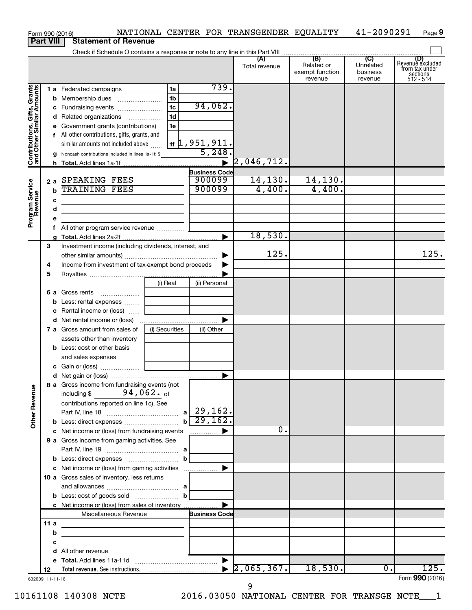| <b>Part VIII</b><br><b>Statement of Revenue</b><br>(B)<br>(C)<br>(A)<br>Revenue excluded<br>Related or<br>Unrelated<br>Total revenue<br>from tax under<br>exempt function<br>business<br>sections<br>512 - 514<br>revenue<br>revenue<br>739.<br>Contributions, Gifts, Grants<br>and Other Similar Amounts<br>1a<br>1 a Federated campaigns<br>1 <sub>b</sub><br>94,062.<br>1 <sub>c</sub><br>c Fundraising events<br>1 <sub>d</sub><br>d Related organizations<br>1e<br>e Government grants (contributions)<br>f All other contributions, gifts, grants, and<br>$1$ if $\vert 1$ , 951 , 911.<br>similar amounts not included above<br>5,248.<br><b>g</b> Noncash contributions included in lines 1a-1f: \$<br> 2,046,712.<br>$\blacktriangleright$<br><b>Business Code</b><br>900099<br>14, 130.<br>14,130.<br>2 a SPEAKING FEES<br>Program Service<br>Revenue<br>900099<br>4,400.<br>4,400.<br><b>TRAINING FEES</b><br>b<br>с<br>d<br>the control of the control of the control of the control of the control of<br>е<br>All other program service revenue<br>18,530.<br>▶<br>3<br>Investment income (including dividends, interest, and<br>125.<br>125.<br>Income from investment of tax-exempt bond proceeds<br>4<br>5<br>(i) Real<br>(ii) Personal<br>6 a Gross rents<br><b>b</b> Less: rental expenses<br>c Rental income or (loss)<br>▶<br>(i) Securities<br>7 a Gross amount from sales of<br>(ii) Other<br>assets other than inventory<br><b>b</b> Less: cost or other basis<br>and sales expenses<br>8 a Gross income from fundraising events (not<br><b>Other Revenue</b><br>including \$ $94,062.$ of<br>contributions reported on line 1c). See<br>$b \overline{29,162.}$<br>0.<br>c Net income or (loss) from fundraising events<br>$\blacktriangleright$<br>9 a Gross income from gaming activities. See<br>$\mathbf{b}$<br>c Net income or (loss) from gaming activities<br>▶<br>10 a Gross sales of inventory, less returns<br>c Net income or (loss) from sales of inventory<br>Miscellaneous Revenue<br><b>Business Code</b><br>11 a<br>b<br>the control of the control of the control of the control of the control of<br>с<br><u> 1989 - Johann Barbara, martin a</u><br>d<br>18,530.<br>125.<br>$\overline{0}$ .<br>12<br>632009 11-11-16 | Form 990 (2016) |  |  |  | NATIONAL CENTER FOR TRANSGENDER EQUALITY | 41-2090291 | Page 9          |
|-----------------------------------------------------------------------------------------------------------------------------------------------------------------------------------------------------------------------------------------------------------------------------------------------------------------------------------------------------------------------------------------------------------------------------------------------------------------------------------------------------------------------------------------------------------------------------------------------------------------------------------------------------------------------------------------------------------------------------------------------------------------------------------------------------------------------------------------------------------------------------------------------------------------------------------------------------------------------------------------------------------------------------------------------------------------------------------------------------------------------------------------------------------------------------------------------------------------------------------------------------------------------------------------------------------------------------------------------------------------------------------------------------------------------------------------------------------------------------------------------------------------------------------------------------------------------------------------------------------------------------------------------------------------------------------------------------------------------------------------------------------------------------------------------------------------------------------------------------------------------------------------------------------------------------------------------------------------------------------------------------------------------------------------------------------------------------------------------------------------------------------------------------------------------------------------------------------------------------------------------------------------|-----------------|--|--|--|------------------------------------------|------------|-----------------|
|                                                                                                                                                                                                                                                                                                                                                                                                                                                                                                                                                                                                                                                                                                                                                                                                                                                                                                                                                                                                                                                                                                                                                                                                                                                                                                                                                                                                                                                                                                                                                                                                                                                                                                                                                                                                                                                                                                                                                                                                                                                                                                                                                                                                                                                                 |                 |  |  |  |                                          |            |                 |
|                                                                                                                                                                                                                                                                                                                                                                                                                                                                                                                                                                                                                                                                                                                                                                                                                                                                                                                                                                                                                                                                                                                                                                                                                                                                                                                                                                                                                                                                                                                                                                                                                                                                                                                                                                                                                                                                                                                                                                                                                                                                                                                                                                                                                                                                 |                 |  |  |  |                                          |            |                 |
|                                                                                                                                                                                                                                                                                                                                                                                                                                                                                                                                                                                                                                                                                                                                                                                                                                                                                                                                                                                                                                                                                                                                                                                                                                                                                                                                                                                                                                                                                                                                                                                                                                                                                                                                                                                                                                                                                                                                                                                                                                                                                                                                                                                                                                                                 |                 |  |  |  |                                          |            |                 |
|                                                                                                                                                                                                                                                                                                                                                                                                                                                                                                                                                                                                                                                                                                                                                                                                                                                                                                                                                                                                                                                                                                                                                                                                                                                                                                                                                                                                                                                                                                                                                                                                                                                                                                                                                                                                                                                                                                                                                                                                                                                                                                                                                                                                                                                                 |                 |  |  |  |                                          |            |                 |
|                                                                                                                                                                                                                                                                                                                                                                                                                                                                                                                                                                                                                                                                                                                                                                                                                                                                                                                                                                                                                                                                                                                                                                                                                                                                                                                                                                                                                                                                                                                                                                                                                                                                                                                                                                                                                                                                                                                                                                                                                                                                                                                                                                                                                                                                 |                 |  |  |  |                                          |            |                 |
|                                                                                                                                                                                                                                                                                                                                                                                                                                                                                                                                                                                                                                                                                                                                                                                                                                                                                                                                                                                                                                                                                                                                                                                                                                                                                                                                                                                                                                                                                                                                                                                                                                                                                                                                                                                                                                                                                                                                                                                                                                                                                                                                                                                                                                                                 |                 |  |  |  |                                          |            |                 |
|                                                                                                                                                                                                                                                                                                                                                                                                                                                                                                                                                                                                                                                                                                                                                                                                                                                                                                                                                                                                                                                                                                                                                                                                                                                                                                                                                                                                                                                                                                                                                                                                                                                                                                                                                                                                                                                                                                                                                                                                                                                                                                                                                                                                                                                                 |                 |  |  |  |                                          |            |                 |
|                                                                                                                                                                                                                                                                                                                                                                                                                                                                                                                                                                                                                                                                                                                                                                                                                                                                                                                                                                                                                                                                                                                                                                                                                                                                                                                                                                                                                                                                                                                                                                                                                                                                                                                                                                                                                                                                                                                                                                                                                                                                                                                                                                                                                                                                 |                 |  |  |  |                                          |            |                 |
|                                                                                                                                                                                                                                                                                                                                                                                                                                                                                                                                                                                                                                                                                                                                                                                                                                                                                                                                                                                                                                                                                                                                                                                                                                                                                                                                                                                                                                                                                                                                                                                                                                                                                                                                                                                                                                                                                                                                                                                                                                                                                                                                                                                                                                                                 |                 |  |  |  |                                          |            |                 |
|                                                                                                                                                                                                                                                                                                                                                                                                                                                                                                                                                                                                                                                                                                                                                                                                                                                                                                                                                                                                                                                                                                                                                                                                                                                                                                                                                                                                                                                                                                                                                                                                                                                                                                                                                                                                                                                                                                                                                                                                                                                                                                                                                                                                                                                                 |                 |  |  |  |                                          |            |                 |
|                                                                                                                                                                                                                                                                                                                                                                                                                                                                                                                                                                                                                                                                                                                                                                                                                                                                                                                                                                                                                                                                                                                                                                                                                                                                                                                                                                                                                                                                                                                                                                                                                                                                                                                                                                                                                                                                                                                                                                                                                                                                                                                                                                                                                                                                 |                 |  |  |  |                                          |            |                 |
|                                                                                                                                                                                                                                                                                                                                                                                                                                                                                                                                                                                                                                                                                                                                                                                                                                                                                                                                                                                                                                                                                                                                                                                                                                                                                                                                                                                                                                                                                                                                                                                                                                                                                                                                                                                                                                                                                                                                                                                                                                                                                                                                                                                                                                                                 |                 |  |  |  |                                          |            |                 |
|                                                                                                                                                                                                                                                                                                                                                                                                                                                                                                                                                                                                                                                                                                                                                                                                                                                                                                                                                                                                                                                                                                                                                                                                                                                                                                                                                                                                                                                                                                                                                                                                                                                                                                                                                                                                                                                                                                                                                                                                                                                                                                                                                                                                                                                                 |                 |  |  |  |                                          |            |                 |
|                                                                                                                                                                                                                                                                                                                                                                                                                                                                                                                                                                                                                                                                                                                                                                                                                                                                                                                                                                                                                                                                                                                                                                                                                                                                                                                                                                                                                                                                                                                                                                                                                                                                                                                                                                                                                                                                                                                                                                                                                                                                                                                                                                                                                                                                 |                 |  |  |  |                                          |            |                 |
|                                                                                                                                                                                                                                                                                                                                                                                                                                                                                                                                                                                                                                                                                                                                                                                                                                                                                                                                                                                                                                                                                                                                                                                                                                                                                                                                                                                                                                                                                                                                                                                                                                                                                                                                                                                                                                                                                                                                                                                                                                                                                                                                                                                                                                                                 |                 |  |  |  |                                          |            |                 |
|                                                                                                                                                                                                                                                                                                                                                                                                                                                                                                                                                                                                                                                                                                                                                                                                                                                                                                                                                                                                                                                                                                                                                                                                                                                                                                                                                                                                                                                                                                                                                                                                                                                                                                                                                                                                                                                                                                                                                                                                                                                                                                                                                                                                                                                                 |                 |  |  |  |                                          |            |                 |
|                                                                                                                                                                                                                                                                                                                                                                                                                                                                                                                                                                                                                                                                                                                                                                                                                                                                                                                                                                                                                                                                                                                                                                                                                                                                                                                                                                                                                                                                                                                                                                                                                                                                                                                                                                                                                                                                                                                                                                                                                                                                                                                                                                                                                                                                 |                 |  |  |  |                                          |            |                 |
|                                                                                                                                                                                                                                                                                                                                                                                                                                                                                                                                                                                                                                                                                                                                                                                                                                                                                                                                                                                                                                                                                                                                                                                                                                                                                                                                                                                                                                                                                                                                                                                                                                                                                                                                                                                                                                                                                                                                                                                                                                                                                                                                                                                                                                                                 |                 |  |  |  |                                          |            |                 |
|                                                                                                                                                                                                                                                                                                                                                                                                                                                                                                                                                                                                                                                                                                                                                                                                                                                                                                                                                                                                                                                                                                                                                                                                                                                                                                                                                                                                                                                                                                                                                                                                                                                                                                                                                                                                                                                                                                                                                                                                                                                                                                                                                                                                                                                                 |                 |  |  |  |                                          |            |                 |
|                                                                                                                                                                                                                                                                                                                                                                                                                                                                                                                                                                                                                                                                                                                                                                                                                                                                                                                                                                                                                                                                                                                                                                                                                                                                                                                                                                                                                                                                                                                                                                                                                                                                                                                                                                                                                                                                                                                                                                                                                                                                                                                                                                                                                                                                 |                 |  |  |  |                                          |            |                 |
|                                                                                                                                                                                                                                                                                                                                                                                                                                                                                                                                                                                                                                                                                                                                                                                                                                                                                                                                                                                                                                                                                                                                                                                                                                                                                                                                                                                                                                                                                                                                                                                                                                                                                                                                                                                                                                                                                                                                                                                                                                                                                                                                                                                                                                                                 |                 |  |  |  |                                          |            |                 |
|                                                                                                                                                                                                                                                                                                                                                                                                                                                                                                                                                                                                                                                                                                                                                                                                                                                                                                                                                                                                                                                                                                                                                                                                                                                                                                                                                                                                                                                                                                                                                                                                                                                                                                                                                                                                                                                                                                                                                                                                                                                                                                                                                                                                                                                                 |                 |  |  |  |                                          |            |                 |
|                                                                                                                                                                                                                                                                                                                                                                                                                                                                                                                                                                                                                                                                                                                                                                                                                                                                                                                                                                                                                                                                                                                                                                                                                                                                                                                                                                                                                                                                                                                                                                                                                                                                                                                                                                                                                                                                                                                                                                                                                                                                                                                                                                                                                                                                 |                 |  |  |  |                                          |            |                 |
|                                                                                                                                                                                                                                                                                                                                                                                                                                                                                                                                                                                                                                                                                                                                                                                                                                                                                                                                                                                                                                                                                                                                                                                                                                                                                                                                                                                                                                                                                                                                                                                                                                                                                                                                                                                                                                                                                                                                                                                                                                                                                                                                                                                                                                                                 |                 |  |  |  |                                          |            |                 |
|                                                                                                                                                                                                                                                                                                                                                                                                                                                                                                                                                                                                                                                                                                                                                                                                                                                                                                                                                                                                                                                                                                                                                                                                                                                                                                                                                                                                                                                                                                                                                                                                                                                                                                                                                                                                                                                                                                                                                                                                                                                                                                                                                                                                                                                                 |                 |  |  |  |                                          |            |                 |
|                                                                                                                                                                                                                                                                                                                                                                                                                                                                                                                                                                                                                                                                                                                                                                                                                                                                                                                                                                                                                                                                                                                                                                                                                                                                                                                                                                                                                                                                                                                                                                                                                                                                                                                                                                                                                                                                                                                                                                                                                                                                                                                                                                                                                                                                 |                 |  |  |  |                                          |            |                 |
|                                                                                                                                                                                                                                                                                                                                                                                                                                                                                                                                                                                                                                                                                                                                                                                                                                                                                                                                                                                                                                                                                                                                                                                                                                                                                                                                                                                                                                                                                                                                                                                                                                                                                                                                                                                                                                                                                                                                                                                                                                                                                                                                                                                                                                                                 |                 |  |  |  |                                          |            |                 |
|                                                                                                                                                                                                                                                                                                                                                                                                                                                                                                                                                                                                                                                                                                                                                                                                                                                                                                                                                                                                                                                                                                                                                                                                                                                                                                                                                                                                                                                                                                                                                                                                                                                                                                                                                                                                                                                                                                                                                                                                                                                                                                                                                                                                                                                                 |                 |  |  |  |                                          |            |                 |
|                                                                                                                                                                                                                                                                                                                                                                                                                                                                                                                                                                                                                                                                                                                                                                                                                                                                                                                                                                                                                                                                                                                                                                                                                                                                                                                                                                                                                                                                                                                                                                                                                                                                                                                                                                                                                                                                                                                                                                                                                                                                                                                                                                                                                                                                 |                 |  |  |  |                                          |            |                 |
|                                                                                                                                                                                                                                                                                                                                                                                                                                                                                                                                                                                                                                                                                                                                                                                                                                                                                                                                                                                                                                                                                                                                                                                                                                                                                                                                                                                                                                                                                                                                                                                                                                                                                                                                                                                                                                                                                                                                                                                                                                                                                                                                                                                                                                                                 |                 |  |  |  |                                          |            |                 |
|                                                                                                                                                                                                                                                                                                                                                                                                                                                                                                                                                                                                                                                                                                                                                                                                                                                                                                                                                                                                                                                                                                                                                                                                                                                                                                                                                                                                                                                                                                                                                                                                                                                                                                                                                                                                                                                                                                                                                                                                                                                                                                                                                                                                                                                                 |                 |  |  |  |                                          |            |                 |
|                                                                                                                                                                                                                                                                                                                                                                                                                                                                                                                                                                                                                                                                                                                                                                                                                                                                                                                                                                                                                                                                                                                                                                                                                                                                                                                                                                                                                                                                                                                                                                                                                                                                                                                                                                                                                                                                                                                                                                                                                                                                                                                                                                                                                                                                 |                 |  |  |  |                                          |            |                 |
|                                                                                                                                                                                                                                                                                                                                                                                                                                                                                                                                                                                                                                                                                                                                                                                                                                                                                                                                                                                                                                                                                                                                                                                                                                                                                                                                                                                                                                                                                                                                                                                                                                                                                                                                                                                                                                                                                                                                                                                                                                                                                                                                                                                                                                                                 |                 |  |  |  |                                          |            |                 |
|                                                                                                                                                                                                                                                                                                                                                                                                                                                                                                                                                                                                                                                                                                                                                                                                                                                                                                                                                                                                                                                                                                                                                                                                                                                                                                                                                                                                                                                                                                                                                                                                                                                                                                                                                                                                                                                                                                                                                                                                                                                                                                                                                                                                                                                                 |                 |  |  |  |                                          |            |                 |
|                                                                                                                                                                                                                                                                                                                                                                                                                                                                                                                                                                                                                                                                                                                                                                                                                                                                                                                                                                                                                                                                                                                                                                                                                                                                                                                                                                                                                                                                                                                                                                                                                                                                                                                                                                                                                                                                                                                                                                                                                                                                                                                                                                                                                                                                 |                 |  |  |  |                                          |            |                 |
|                                                                                                                                                                                                                                                                                                                                                                                                                                                                                                                                                                                                                                                                                                                                                                                                                                                                                                                                                                                                                                                                                                                                                                                                                                                                                                                                                                                                                                                                                                                                                                                                                                                                                                                                                                                                                                                                                                                                                                                                                                                                                                                                                                                                                                                                 |                 |  |  |  |                                          |            |                 |
|                                                                                                                                                                                                                                                                                                                                                                                                                                                                                                                                                                                                                                                                                                                                                                                                                                                                                                                                                                                                                                                                                                                                                                                                                                                                                                                                                                                                                                                                                                                                                                                                                                                                                                                                                                                                                                                                                                                                                                                                                                                                                                                                                                                                                                                                 |                 |  |  |  |                                          |            |                 |
|                                                                                                                                                                                                                                                                                                                                                                                                                                                                                                                                                                                                                                                                                                                                                                                                                                                                                                                                                                                                                                                                                                                                                                                                                                                                                                                                                                                                                                                                                                                                                                                                                                                                                                                                                                                                                                                                                                                                                                                                                                                                                                                                                                                                                                                                 |                 |  |  |  |                                          |            |                 |
|                                                                                                                                                                                                                                                                                                                                                                                                                                                                                                                                                                                                                                                                                                                                                                                                                                                                                                                                                                                                                                                                                                                                                                                                                                                                                                                                                                                                                                                                                                                                                                                                                                                                                                                                                                                                                                                                                                                                                                                                                                                                                                                                                                                                                                                                 |                 |  |  |  |                                          |            |                 |
|                                                                                                                                                                                                                                                                                                                                                                                                                                                                                                                                                                                                                                                                                                                                                                                                                                                                                                                                                                                                                                                                                                                                                                                                                                                                                                                                                                                                                                                                                                                                                                                                                                                                                                                                                                                                                                                                                                                                                                                                                                                                                                                                                                                                                                                                 |                 |  |  |  |                                          |            |                 |
|                                                                                                                                                                                                                                                                                                                                                                                                                                                                                                                                                                                                                                                                                                                                                                                                                                                                                                                                                                                                                                                                                                                                                                                                                                                                                                                                                                                                                                                                                                                                                                                                                                                                                                                                                                                                                                                                                                                                                                                                                                                                                                                                                                                                                                                                 |                 |  |  |  |                                          |            |                 |
|                                                                                                                                                                                                                                                                                                                                                                                                                                                                                                                                                                                                                                                                                                                                                                                                                                                                                                                                                                                                                                                                                                                                                                                                                                                                                                                                                                                                                                                                                                                                                                                                                                                                                                                                                                                                                                                                                                                                                                                                                                                                                                                                                                                                                                                                 |                 |  |  |  |                                          |            |                 |
|                                                                                                                                                                                                                                                                                                                                                                                                                                                                                                                                                                                                                                                                                                                                                                                                                                                                                                                                                                                                                                                                                                                                                                                                                                                                                                                                                                                                                                                                                                                                                                                                                                                                                                                                                                                                                                                                                                                                                                                                                                                                                                                                                                                                                                                                 |                 |  |  |  |                                          |            |                 |
|                                                                                                                                                                                                                                                                                                                                                                                                                                                                                                                                                                                                                                                                                                                                                                                                                                                                                                                                                                                                                                                                                                                                                                                                                                                                                                                                                                                                                                                                                                                                                                                                                                                                                                                                                                                                                                                                                                                                                                                                                                                                                                                                                                                                                                                                 |                 |  |  |  |                                          |            |                 |
|                                                                                                                                                                                                                                                                                                                                                                                                                                                                                                                                                                                                                                                                                                                                                                                                                                                                                                                                                                                                                                                                                                                                                                                                                                                                                                                                                                                                                                                                                                                                                                                                                                                                                                                                                                                                                                                                                                                                                                                                                                                                                                                                                                                                                                                                 |                 |  |  |  |                                          |            |                 |
|                                                                                                                                                                                                                                                                                                                                                                                                                                                                                                                                                                                                                                                                                                                                                                                                                                                                                                                                                                                                                                                                                                                                                                                                                                                                                                                                                                                                                                                                                                                                                                                                                                                                                                                                                                                                                                                                                                                                                                                                                                                                                                                                                                                                                                                                 |                 |  |  |  |                                          |            |                 |
|                                                                                                                                                                                                                                                                                                                                                                                                                                                                                                                                                                                                                                                                                                                                                                                                                                                                                                                                                                                                                                                                                                                                                                                                                                                                                                                                                                                                                                                                                                                                                                                                                                                                                                                                                                                                                                                                                                                                                                                                                                                                                                                                                                                                                                                                 |                 |  |  |  |                                          |            |                 |
|                                                                                                                                                                                                                                                                                                                                                                                                                                                                                                                                                                                                                                                                                                                                                                                                                                                                                                                                                                                                                                                                                                                                                                                                                                                                                                                                                                                                                                                                                                                                                                                                                                                                                                                                                                                                                                                                                                                                                                                                                                                                                                                                                                                                                                                                 |                 |  |  |  |                                          |            |                 |
|                                                                                                                                                                                                                                                                                                                                                                                                                                                                                                                                                                                                                                                                                                                                                                                                                                                                                                                                                                                                                                                                                                                                                                                                                                                                                                                                                                                                                                                                                                                                                                                                                                                                                                                                                                                                                                                                                                                                                                                                                                                                                                                                                                                                                                                                 |                 |  |  |  |                                          |            |                 |
|                                                                                                                                                                                                                                                                                                                                                                                                                                                                                                                                                                                                                                                                                                                                                                                                                                                                                                                                                                                                                                                                                                                                                                                                                                                                                                                                                                                                                                                                                                                                                                                                                                                                                                                                                                                                                                                                                                                                                                                                                                                                                                                                                                                                                                                                 |                 |  |  |  |                                          |            |                 |
|                                                                                                                                                                                                                                                                                                                                                                                                                                                                                                                                                                                                                                                                                                                                                                                                                                                                                                                                                                                                                                                                                                                                                                                                                                                                                                                                                                                                                                                                                                                                                                                                                                                                                                                                                                                                                                                                                                                                                                                                                                                                                                                                                                                                                                                                 |                 |  |  |  |                                          |            |                 |
|                                                                                                                                                                                                                                                                                                                                                                                                                                                                                                                                                                                                                                                                                                                                                                                                                                                                                                                                                                                                                                                                                                                                                                                                                                                                                                                                                                                                                                                                                                                                                                                                                                                                                                                                                                                                                                                                                                                                                                                                                                                                                                                                                                                                                                                                 |                 |  |  |  |                                          |            |                 |
|                                                                                                                                                                                                                                                                                                                                                                                                                                                                                                                                                                                                                                                                                                                                                                                                                                                                                                                                                                                                                                                                                                                                                                                                                                                                                                                                                                                                                                                                                                                                                                                                                                                                                                                                                                                                                                                                                                                                                                                                                                                                                                                                                                                                                                                                 |                 |  |  |  |                                          |            |                 |
|                                                                                                                                                                                                                                                                                                                                                                                                                                                                                                                                                                                                                                                                                                                                                                                                                                                                                                                                                                                                                                                                                                                                                                                                                                                                                                                                                                                                                                                                                                                                                                                                                                                                                                                                                                                                                                                                                                                                                                                                                                                                                                                                                                                                                                                                 |                 |  |  |  |                                          |            |                 |
|                                                                                                                                                                                                                                                                                                                                                                                                                                                                                                                                                                                                                                                                                                                                                                                                                                                                                                                                                                                                                                                                                                                                                                                                                                                                                                                                                                                                                                                                                                                                                                                                                                                                                                                                                                                                                                                                                                                                                                                                                                                                                                                                                                                                                                                                 |                 |  |  |  |                                          |            | Form 990 (2016) |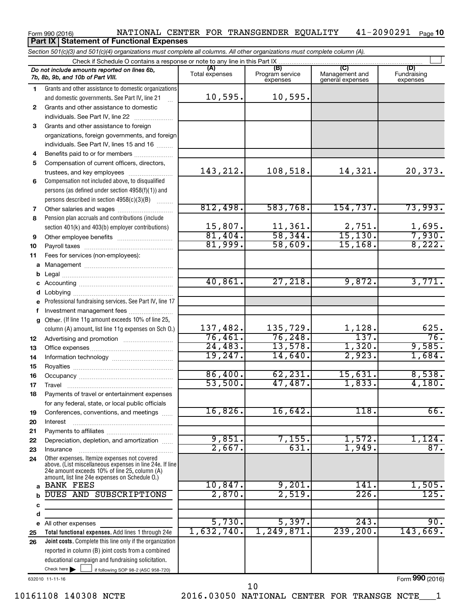#### Form 990 (2016) NATIONAL CENTER FOR TRANSGENDER EQUALITY 41-2090291 Page 41-2090291 Page 10 **Part IX Statement of Functional Expenses**

*Section 501(c)(3) and 501(c)(4) organizations must complete all columns. All other organizations must complete column (A).*

|              |                                                                                                 | Check if Schedule O contains a response or note to any line in this Part IX |                                    |                                                                             |                                 |  |  |  |
|--------------|-------------------------------------------------------------------------------------------------|-----------------------------------------------------------------------------|------------------------------------|-----------------------------------------------------------------------------|---------------------------------|--|--|--|
|              | Do not include amounts reported on lines 6b,<br>7b, 8b, 9b, and 10b of Part VIII.               | (A)<br>Total expenses                                                       | (B)<br>Program service<br>expenses | (C)<br>(D)<br>Management and<br>Fundraising<br>general expenses<br>expenses |                                 |  |  |  |
| 1.           | Grants and other assistance to domestic organizations                                           |                                                                             |                                    |                                                                             |                                 |  |  |  |
|              | and domestic governments. See Part IV, line 21                                                  | 10,595.                                                                     | 10,595.                            |                                                                             |                                 |  |  |  |
| $\mathbf{2}$ | Grants and other assistance to domestic                                                         |                                                                             |                                    |                                                                             |                                 |  |  |  |
|              | individuals. See Part IV, line 22                                                               |                                                                             |                                    |                                                                             |                                 |  |  |  |
| 3            | Grants and other assistance to foreign                                                          |                                                                             |                                    |                                                                             |                                 |  |  |  |
|              | organizations, foreign governments, and foreign                                                 |                                                                             |                                    |                                                                             |                                 |  |  |  |
|              | individuals. See Part IV, lines 15 and 16                                                       |                                                                             |                                    |                                                                             |                                 |  |  |  |
| 4            | Benefits paid to or for members                                                                 |                                                                             |                                    |                                                                             |                                 |  |  |  |
| 5            | Compensation of current officers, directors,                                                    |                                                                             |                                    |                                                                             |                                 |  |  |  |
|              | trustees, and key employees                                                                     | 143, 212.                                                                   | 108,518.                           | 14,321.                                                                     | 20,373.                         |  |  |  |
| 6            | Compensation not included above, to disqualified                                                |                                                                             |                                    |                                                                             |                                 |  |  |  |
|              | persons (as defined under section 4958(f)(1)) and                                               |                                                                             |                                    |                                                                             |                                 |  |  |  |
|              | persons described in section 4958(c)(3)(B)                                                      |                                                                             |                                    |                                                                             |                                 |  |  |  |
| 7            |                                                                                                 | 812,498.                                                                    | 583,768.                           | 154, 737.                                                                   | 73,993.                         |  |  |  |
| 8            | Pension plan accruals and contributions (include                                                |                                                                             |                                    |                                                                             |                                 |  |  |  |
|              | section 401(k) and 403(b) employer contributions)                                               | $\frac{15,807.}{81,404.}$                                                   | $\frac{11,361}{58,344}$            | $\frac{2,751}{15,130}$                                                      |                                 |  |  |  |
| 9            | Other employee benefits                                                                         |                                                                             |                                    |                                                                             | $\frac{1,695}{7,930}$<br>8,222. |  |  |  |
| 10           |                                                                                                 | 81,999.                                                                     | 58,609.                            | 15, 168.                                                                    |                                 |  |  |  |
| 11           | Fees for services (non-employees):                                                              |                                                                             |                                    |                                                                             |                                 |  |  |  |
| a            |                                                                                                 |                                                                             |                                    |                                                                             |                                 |  |  |  |
| b            |                                                                                                 |                                                                             |                                    |                                                                             |                                 |  |  |  |
| c            |                                                                                                 | 40,861.                                                                     | 27,218.                            | 9,872.                                                                      | 3,771.                          |  |  |  |
|              |                                                                                                 |                                                                             |                                    |                                                                             |                                 |  |  |  |
| е            | Professional fundraising services. See Part IV, line 17                                         |                                                                             |                                    |                                                                             |                                 |  |  |  |
| f            | Investment management fees                                                                      |                                                                             |                                    |                                                                             |                                 |  |  |  |
| a            | Other. (If line 11g amount exceeds 10% of line 25,                                              |                                                                             |                                    |                                                                             |                                 |  |  |  |
|              | column (A) amount, list line 11g expenses on Sch O.)                                            | 137,482.                                                                    | 135,729.                           | 1,128.                                                                      | 625.                            |  |  |  |
| 12           |                                                                                                 | 76,461.                                                                     | 76, 248.                           | 137.                                                                        | 76.                             |  |  |  |
| 13           |                                                                                                 | 24,483.                                                                     | 13,578.                            | 1,320.                                                                      | 9,585.                          |  |  |  |
| 14           |                                                                                                 | 19,247.                                                                     | 14,640.                            | 2,923.                                                                      | 1,684.                          |  |  |  |
| 15           |                                                                                                 |                                                                             |                                    |                                                                             |                                 |  |  |  |
| 16           |                                                                                                 | 86,400.                                                                     | 62, 231.                           | 15,631.<br>1,833.                                                           | 8,538.<br>4,180.                |  |  |  |
| 17           |                                                                                                 | 53,500.                                                                     | 47,487.                            |                                                                             |                                 |  |  |  |
| 18           | Payments of travel or entertainment expenses                                                    |                                                                             |                                    |                                                                             |                                 |  |  |  |
|              | for any federal, state, or local public officials                                               | 16,826.                                                                     | 16,642.                            | $\overline{118}$ .                                                          | 66.                             |  |  |  |
| 19           | Conferences, conventions, and meetings                                                          |                                                                             |                                    |                                                                             |                                 |  |  |  |
| 20           | Interest                                                                                        |                                                                             |                                    |                                                                             |                                 |  |  |  |
| 21           | Depreciation, depletion, and amortization                                                       | 9,851.                                                                      | 7,155.                             | 1,572.                                                                      | 1,124.                          |  |  |  |
| 22           |                                                                                                 | 2,667.                                                                      | 631.                               | 1,949.                                                                      | 87.                             |  |  |  |
| 23<br>24     | Insurance<br>Other expenses. Itemize expenses not covered                                       |                                                                             |                                    |                                                                             |                                 |  |  |  |
|              | above. (List miscellaneous expenses in line 24e. If line                                        |                                                                             |                                    |                                                                             |                                 |  |  |  |
|              | 24e amount exceeds 10% of line 25, column (A)<br>amount, list line 24e expenses on Schedule O.) |                                                                             |                                    |                                                                             |                                 |  |  |  |
| a            | <b>BANK FEES</b>                                                                                | 10,847.                                                                     | 9,201.                             | $\overline{141}$ .                                                          | 1,505.                          |  |  |  |
|              | DUES AND SUBSCRIPTIONS                                                                          | 2,870.                                                                      | 2,519.                             | 226.                                                                        | 125.                            |  |  |  |
| c            |                                                                                                 |                                                                             |                                    |                                                                             |                                 |  |  |  |
| d            |                                                                                                 |                                                                             |                                    |                                                                             |                                 |  |  |  |
| е            | All other expenses                                                                              | 5,730.                                                                      | 5,397.                             | 243.                                                                        | 90.                             |  |  |  |
| 25           | Total functional expenses. Add lines 1 through 24e                                              | 1,632,740.                                                                  | 1,249,871.                         | 239,200.                                                                    | 143,669.                        |  |  |  |
| 26           | Joint costs. Complete this line only if the organization                                        |                                                                             |                                    |                                                                             |                                 |  |  |  |
|              | reported in column (B) joint costs from a combined                                              |                                                                             |                                    |                                                                             |                                 |  |  |  |
|              | educational campaign and fundraising solicitation.                                              |                                                                             |                                    |                                                                             |                                 |  |  |  |
|              | Check here $\blacktriangleright$<br>if following SOP 98-2 (ASC 958-720)                         |                                                                             |                                    |                                                                             |                                 |  |  |  |

632010 11-11-16

Form (2016) **990**

10161108 140308 NCTE 2016.03050 NATIONAL CENTER FOR TRANSGE NCTE\_\_\_1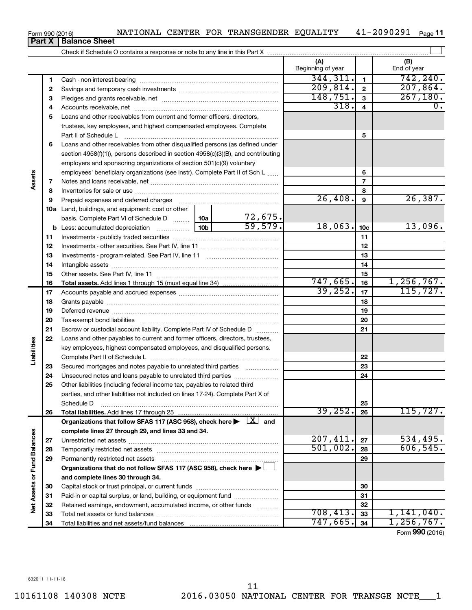|  |  |  |  | NATIONAL CENTER FOR TRANSGENDER EQUALITY |  | $41 - 2090291$ Page 11 |  |
|--|--|--|--|------------------------------------------|--|------------------------|--|
|--|--|--|--|------------------------------------------|--|------------------------|--|

**Part X Balance Sheet**

|                             |    |                                                                                                                                                                                                                               |                 |         | (A)<br>Beginning of year |                 | (B)<br>End of year |
|-----------------------------|----|-------------------------------------------------------------------------------------------------------------------------------------------------------------------------------------------------------------------------------|-----------------|---------|--------------------------|-----------------|--------------------|
|                             | 1  |                                                                                                                                                                                                                               |                 |         | 344, 311.                | $\mathbf{1}$    | 742, 240.          |
|                             | 2  |                                                                                                                                                                                                                               |                 |         | 209,814.                 | $\mathbf 2$     | 207,864.           |
|                             | З  |                                                                                                                                                                                                                               |                 |         | 148,751.                 | 3               | 267, 180.          |
|                             | 4  |                                                                                                                                                                                                                               |                 |         | 318.                     | $\overline{4}$  | 0.                 |
|                             | 5  | Loans and other receivables from current and former officers, directors,                                                                                                                                                      |                 |         |                          |                 |                    |
|                             |    | trustees, key employees, and highest compensated employees. Complete                                                                                                                                                          |                 |         |                          |                 |                    |
|                             |    | Part II of Schedule Latin minimum and all the Schedule Latin minimum and all the Marian minimum and the Schedule                                                                                                              |                 |         |                          | 5               |                    |
|                             | 6  | Loans and other receivables from other disqualified persons (as defined under                                                                                                                                                 |                 |         |                          |                 |                    |
|                             |    | section 4958(f)(1)), persons described in section 4958(c)(3)(B), and contributing                                                                                                                                             |                 |         |                          |                 |                    |
|                             |    | employers and sponsoring organizations of section 501(c)(9) voluntary                                                                                                                                                         |                 |         |                          |                 |                    |
|                             |    | employees' beneficiary organizations (see instr). Complete Part II of Sch L                                                                                                                                                   |                 |         |                          | 6               |                    |
| Assets                      | 7  |                                                                                                                                                                                                                               |                 |         |                          | $\overline{7}$  |                    |
|                             | 8  |                                                                                                                                                                                                                               |                 |         |                          | 8               |                    |
|                             | 9  | Prepaid expenses and deferred charges [11] [11] Prepaid expenses and deferred charges [11] [11] Martin Marian Marian Marian Marian Marian Marian Marian Marian Marian Marian Marian Marian Marian Marian Marian Marian Marian |                 |         | 26,408.                  | 9               | 26, 387.           |
|                             |    | 10a Land, buildings, and equipment: cost or other                                                                                                                                                                             |                 |         |                          |                 |                    |
|                             |    | basis. Complete Part VI of Schedule D    10a                                                                                                                                                                                  |                 | 72,675. |                          |                 |                    |
|                             |    | <b>b</b> Less: accumulated depreciation <i></i>                                                                                                                                                                               | 10 <sub>b</sub> | 59,579. | 18,063.                  | 10 <sub>c</sub> | 13,096.            |
|                             | 11 |                                                                                                                                                                                                                               |                 |         |                          | 11              |                    |
|                             | 12 |                                                                                                                                                                                                                               |                 |         |                          | 12              |                    |
|                             | 13 |                                                                                                                                                                                                                               |                 |         | 13                       |                 |                    |
|                             | 14 |                                                                                                                                                                                                                               |                 | 14      |                          |                 |                    |
|                             | 15 |                                                                                                                                                                                                                               |                 |         |                          | 15              |                    |
|                             | 16 |                                                                                                                                                                                                                               |                 |         | 747,665.                 | 16              | 1,256,767.         |
|                             | 17 |                                                                                                                                                                                                                               |                 |         | 39,252.                  | 17              | 115, 727.          |
|                             | 18 |                                                                                                                                                                                                                               |                 | 18      |                          |                 |                    |
|                             | 19 |                                                                                                                                                                                                                               |                 | 19      |                          |                 |                    |
|                             | 20 |                                                                                                                                                                                                                               |                 | 20      |                          |                 |                    |
|                             | 21 | Escrow or custodial account liability. Complete Part IV of Schedule D                                                                                                                                                         |                 |         | 21                       |                 |                    |
|                             | 22 | Loans and other payables to current and former officers, directors, trustees,                                                                                                                                                 |                 |         |                          |                 |                    |
| Liabilities                 |    | key employees, highest compensated employees, and disqualified persons.                                                                                                                                                       |                 |         |                          |                 |                    |
|                             |    |                                                                                                                                                                                                                               |                 |         |                          | 22              |                    |
|                             | 23 | Secured mortgages and notes payable to unrelated third parties                                                                                                                                                                |                 |         |                          | 23              |                    |
|                             | 24 | Unsecured notes and loans payable to unrelated third parties                                                                                                                                                                  |                 |         |                          | 24              |                    |
|                             | 25 | Other liabilities (including federal income tax, payables to related third                                                                                                                                                    |                 |         |                          |                 |                    |
|                             |    | parties, and other liabilities not included on lines 17-24). Complete Part X of                                                                                                                                               |                 |         |                          |                 |                    |
|                             |    | Schedule D                                                                                                                                                                                                                    |                 |         | 39, 252.                 | 25              | 115, 727.          |
|                             | 26 | Organizations that follow SFAS 117 (ASC 958), check here $\blacktriangleright \begin{array}{c} \perp X \end{array}$ and                                                                                                       |                 |         |                          | 26              |                    |
|                             |    | complete lines 27 through 29, and lines 33 and 34.                                                                                                                                                                            |                 |         |                          |                 |                    |
|                             | 27 |                                                                                                                                                                                                                               |                 |         | 207,411.                 | 27              | 534,495.           |
|                             | 28 |                                                                                                                                                                                                                               |                 |         | 501,002.                 | 28              | 606, 545.          |
|                             | 29 | Permanently restricted net assets                                                                                                                                                                                             |                 |         |                          | 29              |                    |
|                             |    | Organizations that do not follow SFAS 117 (ASC 958), check here ▶                                                                                                                                                             |                 |         |                          |                 |                    |
|                             |    | and complete lines 30 through 34.                                                                                                                                                                                             |                 |         |                          |                 |                    |
| Net Assets or Fund Balances | 30 |                                                                                                                                                                                                                               |                 |         |                          | 30              |                    |
|                             | 31 | Paid-in or capital surplus, or land, building, or equipment fund                                                                                                                                                              |                 |         |                          | 31              |                    |
|                             | 32 | Retained earnings, endowment, accumulated income, or other funds                                                                                                                                                              |                 |         |                          | 32              |                    |
|                             | 33 |                                                                                                                                                                                                                               |                 |         | 708,413.                 | 33              | 1,141,040.         |
|                             | 34 |                                                                                                                                                                                                                               |                 |         | 747,665.                 | 34              | 1,256,767.         |

Form (2016) **990**

#### Form 990 (2016)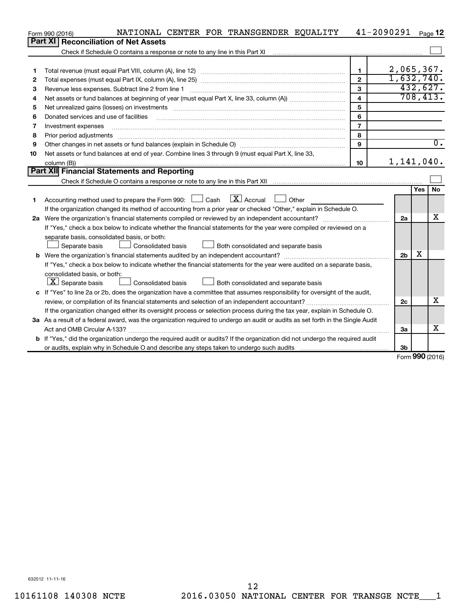|    | NATIONAL CENTER FOR TRANSGENDER EQUALITY<br>Form 990 (2016)                                                                     |                         | 41-2090291     |            | Page 12          |
|----|---------------------------------------------------------------------------------------------------------------------------------|-------------------------|----------------|------------|------------------|
|    | Part XI<br><b>Reconciliation of Net Assets</b>                                                                                  |                         |                |            |                  |
|    |                                                                                                                                 |                         |                |            |                  |
|    |                                                                                                                                 |                         |                |            |                  |
| 1  |                                                                                                                                 | $\mathbf{1}$            | $2,065,367$ .  |            |                  |
| 2  |                                                                                                                                 | $\mathbf{2}$            | 1,632,740.     |            |                  |
| З  | Revenue less expenses. Subtract line 2 from line 1                                                                              | 3                       |                |            | 432,627.         |
| 4  |                                                                                                                                 | $\overline{\mathbf{A}}$ |                |            | 708, 413.        |
| 5  |                                                                                                                                 | 5                       |                |            |                  |
| 6  | Donated services and use of facilities                                                                                          | 6                       |                |            |                  |
| 7  | Investment expenses                                                                                                             | $\overline{7}$          |                |            |                  |
| 8  | Prior period adjustments                                                                                                        | 8                       |                |            |                  |
| 9  |                                                                                                                                 | 9                       |                |            | $\overline{0}$ . |
| 10 | Net assets or fund balances at end of year. Combine lines 3 through 9 (must equal Part X, line 33,                              |                         |                |            |                  |
|    | column (B))                                                                                                                     | 10                      | $1,141,040$ .  |            |                  |
|    | <b>Part XII</b> Financial Statements and Reporting                                                                              |                         |                |            |                  |
|    |                                                                                                                                 |                         |                |            |                  |
|    |                                                                                                                                 |                         |                | <b>Yes</b> | <b>No</b>        |
| 1. | Accounting method used to prepare the Form 990: $\Box$ Cash $\Box X$ Accrual<br>$\Box$ Other                                    |                         |                |            |                  |
|    | If the organization changed its method of accounting from a prior year or checked "Other," explain in Schedule O.               |                         |                |            |                  |
|    |                                                                                                                                 |                         | 2a             |            | X                |
|    | If "Yes," check a box below to indicate whether the financial statements for the year were compiled or reviewed on a            |                         |                |            |                  |
|    | separate basis, consolidated basis, or both:                                                                                    |                         |                |            |                  |
|    | Both consolidated and separate basis<br>Separate basis<br>Consolidated basis                                                    |                         |                |            |                  |
|    |                                                                                                                                 |                         | 2 <sub>b</sub> | X          |                  |
|    | If "Yes," check a box below to indicate whether the financial statements for the year were audited on a separate basis,         |                         |                |            |                  |
|    | consolidated basis, or both:                                                                                                    |                         |                |            |                  |
|    | $ \mathbf{X} $ Separate basis<br>Consolidated basis<br>Both consolidated and separate basis                                     |                         |                |            |                  |
|    | c If "Yes" to line 2a or 2b, does the organization have a committee that assumes responsibility for oversight of the audit,     |                         |                |            |                  |
|    |                                                                                                                                 |                         | 2c             |            | х                |
|    | If the organization changed either its oversight process or selection process during the tax year, explain in Schedule O.       |                         |                |            |                  |
|    | 3a As a result of a federal award, was the organization required to undergo an audit or audits as set forth in the Single Audit |                         |                |            |                  |
|    | Act and OMB Circular A-133?                                                                                                     |                         | За             |            | х                |
|    | b If "Yes," did the organization undergo the required audit or audits? If the organization did not undergo the required audit   |                         |                |            |                  |
|    |                                                                                                                                 |                         | 3b             | $\sim$     |                  |

Form (2016) **990**

632012 11-11-16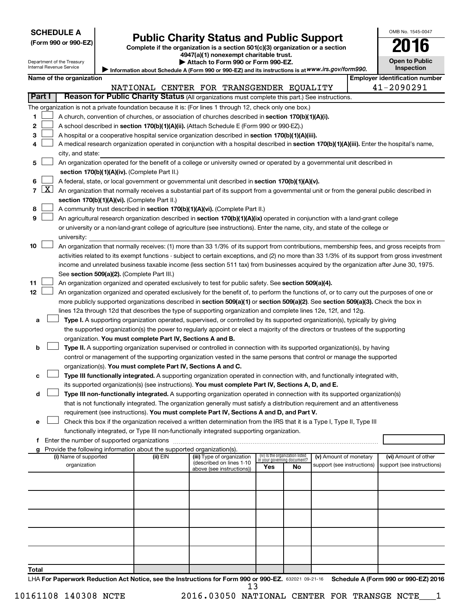| <b>SCHEDULE A</b> |  |
|-------------------|--|
|-------------------|--|

Department of the Treasury

## **Public Charity Status and Public Support** 2016

**(Form 990 or 990-EZ) Complete if the organization is a section 501(c)(3) organization or a section 4947(a)(1) nonexempt charitable trust.**

Information about Schedule A (Form 990 or 990-EZ) and its instructions is at WWW.irs.gov/form990. **| Attach to Form 990 or Form 990-EZ.** 

| <b>Open to Public</b><br>Inspection |
|-------------------------------------|

OMB No. 1545-0047

Internal Revenue Service

|       |                 | Name of the organization                                                                                                                      |                                          |  |                                                        |                                 |    |                                                      | <b>Employer identification number</b>              |
|-------|-----------------|-----------------------------------------------------------------------------------------------------------------------------------------------|------------------------------------------|--|--------------------------------------------------------|---------------------------------|----|------------------------------------------------------|----------------------------------------------------|
|       |                 |                                                                                                                                               | NATIONAL CENTER FOR TRANSGENDER EQUALITY |  |                                                        |                                 |    |                                                      | 41-2090291                                         |
|       | Part I          | Reason for Public Charity Status (All organizations must complete this part.) See instructions.                                               |                                          |  |                                                        |                                 |    |                                                      |                                                    |
|       |                 | The organization is not a private foundation because it is: (For lines 1 through 12, check only one box.)                                     |                                          |  |                                                        |                                 |    |                                                      |                                                    |
| 1.    |                 | A church, convention of churches, or association of churches described in section 170(b)(1)(A)(i).                                            |                                          |  |                                                        |                                 |    |                                                      |                                                    |
| 2     |                 | A school described in section 170(b)(1)(A)(ii). (Attach Schedule E (Form 990 or 990-EZ).)                                                     |                                          |  |                                                        |                                 |    |                                                      |                                                    |
| з     |                 | A hospital or a cooperative hospital service organization described in section 170(b)(1)(A)(iii).                                             |                                          |  |                                                        |                                 |    |                                                      |                                                    |
| 4     |                 | A medical research organization operated in conjunction with a hospital described in section 170(b)(1)(A)(iii). Enter the hospital's name,    |                                          |  |                                                        |                                 |    |                                                      |                                                    |
|       |                 | city, and state:                                                                                                                              |                                          |  |                                                        |                                 |    |                                                      |                                                    |
| 5     |                 | An organization operated for the benefit of a college or university owned or operated by a governmental unit described in                     |                                          |  |                                                        |                                 |    |                                                      |                                                    |
|       |                 | section 170(b)(1)(A)(iv). (Complete Part II.)                                                                                                 |                                          |  |                                                        |                                 |    |                                                      |                                                    |
| 6     |                 | A federal, state, or local government or governmental unit described in section 170(b)(1)(A)(v).                                              |                                          |  |                                                        |                                 |    |                                                      |                                                    |
|       | $7 \mid X \mid$ | An organization that normally receives a substantial part of its support from a governmental unit or from the general public described in     |                                          |  |                                                        |                                 |    |                                                      |                                                    |
|       |                 | section 170(b)(1)(A)(vi). (Complete Part II.)                                                                                                 |                                          |  |                                                        |                                 |    |                                                      |                                                    |
| 8     |                 | A community trust described in section 170(b)(1)(A)(vi). (Complete Part II.)                                                                  |                                          |  |                                                        |                                 |    |                                                      |                                                    |
| 9     |                 | An agricultural research organization described in section 170(b)(1)(A)(ix) operated in conjunction with a land-grant college                 |                                          |  |                                                        |                                 |    |                                                      |                                                    |
|       |                 | or university or a non-land-grant college of agriculture (see instructions). Enter the name, city, and state of the college or                |                                          |  |                                                        |                                 |    |                                                      |                                                    |
|       |                 | university:                                                                                                                                   |                                          |  |                                                        |                                 |    |                                                      |                                                    |
| 10    |                 | An organization that normally receives: (1) more than 33 1/3% of its support from contributions, membership fees, and gross receipts from     |                                          |  |                                                        |                                 |    |                                                      |                                                    |
|       |                 | activities related to its exempt functions - subject to certain exceptions, and (2) no more than 33 1/3% of its support from gross investment |                                          |  |                                                        |                                 |    |                                                      |                                                    |
|       |                 | income and unrelated business taxable income (less section 511 tax) from businesses acquired by the organization after June 30, 1975.         |                                          |  |                                                        |                                 |    |                                                      |                                                    |
|       |                 | See section 509(a)(2). (Complete Part III.)                                                                                                   |                                          |  |                                                        |                                 |    |                                                      |                                                    |
| 11    |                 | An organization organized and operated exclusively to test for public safety. See section 509(a)(4).                                          |                                          |  |                                                        |                                 |    |                                                      |                                                    |
| 12    |                 | An organization organized and operated exclusively for the benefit of, to perform the functions of, or to carry out the purposes of one or    |                                          |  |                                                        |                                 |    |                                                      |                                                    |
|       |                 | more publicly supported organizations described in section 509(a)(1) or section 509(a)(2). See section 509(a)(3). Check the box in            |                                          |  |                                                        |                                 |    |                                                      |                                                    |
|       |                 | lines 12a through 12d that describes the type of supporting organization and complete lines 12e, 12f, and 12g.                                |                                          |  |                                                        |                                 |    |                                                      |                                                    |
| a     |                 | Type I. A supporting organization operated, supervised, or controlled by its supported organization(s), typically by giving                   |                                          |  |                                                        |                                 |    |                                                      |                                                    |
|       |                 | the supported organization(s) the power to regularly appoint or elect a majority of the directors or trustees of the supporting               |                                          |  |                                                        |                                 |    |                                                      |                                                    |
|       |                 | organization. You must complete Part IV, Sections A and B.                                                                                    |                                          |  |                                                        |                                 |    |                                                      |                                                    |
| b     |                 | Type II. A supporting organization supervised or controlled in connection with its supported organization(s), by having                       |                                          |  |                                                        |                                 |    |                                                      |                                                    |
|       |                 | control or management of the supporting organization vested in the same persons that control or manage the supported                          |                                          |  |                                                        |                                 |    |                                                      |                                                    |
|       |                 | organization(s). You must complete Part IV, Sections A and C.                                                                                 |                                          |  |                                                        |                                 |    |                                                      |                                                    |
| с     |                 | Type III functionally integrated. A supporting organization operated in connection with, and functionally integrated with,                    |                                          |  |                                                        |                                 |    |                                                      |                                                    |
|       |                 | its supported organization(s) (see instructions). You must complete Part IV, Sections A, D, and E.                                            |                                          |  |                                                        |                                 |    |                                                      |                                                    |
| d     |                 | Type III non-functionally integrated. A supporting organization operated in connection with its supported organization(s)                     |                                          |  |                                                        |                                 |    |                                                      |                                                    |
|       |                 | that is not functionally integrated. The organization generally must satisfy a distribution requirement and an attentiveness                  |                                          |  |                                                        |                                 |    |                                                      |                                                    |
|       |                 | requirement (see instructions). You must complete Part IV, Sections A and D, and Part V.                                                      |                                          |  |                                                        |                                 |    |                                                      |                                                    |
|       |                 | Check this box if the organization received a written determination from the IRS that it is a Type I, Type II, Type III                       |                                          |  |                                                        |                                 |    |                                                      |                                                    |
|       |                 | functionally integrated, or Type III non-functionally integrated supporting organization.                                                     |                                          |  |                                                        |                                 |    |                                                      |                                                    |
|       |                 | f Enter the number of supported organizations                                                                                                 |                                          |  |                                                        |                                 |    |                                                      |                                                    |
|       |                 | g Provide the following information about the supported organization(s).                                                                      | (ii) EIN                                 |  |                                                        | (iv) Is the organization listed |    |                                                      |                                                    |
|       |                 | (i) Name of supported<br>organization                                                                                                         |                                          |  | (iii) Type of organization<br>(described on lines 1-10 | in your governing document?     |    | (v) Amount of monetary<br>support (see instructions) | (vi) Amount of other<br>support (see instructions) |
|       |                 |                                                                                                                                               |                                          |  | above (see instructions))                              | Yes                             | No |                                                      |                                                    |
|       |                 |                                                                                                                                               |                                          |  |                                                        |                                 |    |                                                      |                                                    |
|       |                 |                                                                                                                                               |                                          |  |                                                        |                                 |    |                                                      |                                                    |
|       |                 |                                                                                                                                               |                                          |  |                                                        |                                 |    |                                                      |                                                    |
|       |                 |                                                                                                                                               |                                          |  |                                                        |                                 |    |                                                      |                                                    |
|       |                 |                                                                                                                                               |                                          |  |                                                        |                                 |    |                                                      |                                                    |
|       |                 |                                                                                                                                               |                                          |  |                                                        |                                 |    |                                                      |                                                    |
|       |                 |                                                                                                                                               |                                          |  |                                                        |                                 |    |                                                      |                                                    |
|       |                 |                                                                                                                                               |                                          |  |                                                        |                                 |    |                                                      |                                                    |
|       |                 |                                                                                                                                               |                                          |  |                                                        |                                 |    |                                                      |                                                    |
| Total |                 |                                                                                                                                               |                                          |  |                                                        |                                 |    |                                                      |                                                    |

LHA For Paperwork Reduction Act Notice, see the Instructions for Form 990 or 990-EZ. 632021 09-21-16 Schedule A (Form 990 or 990-EZ) 2016 13

10161108 140308 NCTE 2016.03050 NATIONAL CENTER FOR TRANSGE NCTE\_\_\_1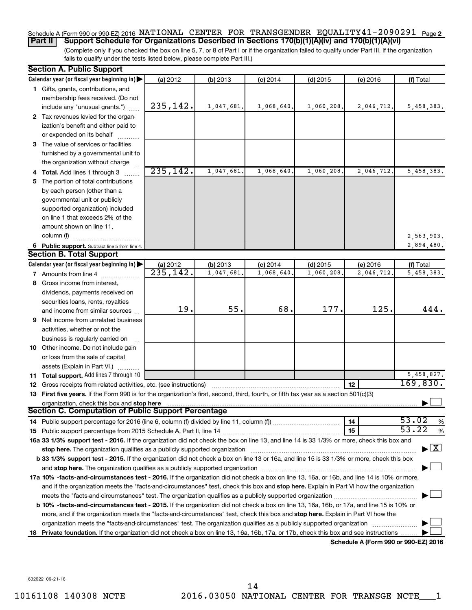#### Schedule A (Form 990 or 990-EZ) 2016 NATIONAL CENTER FOR TRANSGENDER EQUALITY41-2090291 <sub>Page 2</sub> **Part II Support Schedule for Organizations Described in Sections 170(b)(1)(A)(iv) and 170(b)(1)(A)(vi)**

(Complete only if you checked the box on line 5, 7, or 8 of Part I or if the organization failed to qualify under Part III. If the organization fails to qualify under the tests listed below, please complete Part III.)

| <b>Section A. Public Support</b>                                                                                                               |           |            |            |            |                                      |                                    |
|------------------------------------------------------------------------------------------------------------------------------------------------|-----------|------------|------------|------------|--------------------------------------|------------------------------------|
| Calendar year (or fiscal year beginning in)                                                                                                    | (a) 2012  | (b) 2013   | $(c)$ 2014 | $(d)$ 2015 | (e) 2016                             | (f) Total                          |
| 1 Gifts, grants, contributions, and                                                                                                            |           |            |            |            |                                      |                                    |
| membership fees received. (Do not                                                                                                              |           |            |            |            |                                      |                                    |
| include any "unusual grants.")                                                                                                                 | 235,142.  | 1,047,681. | 1,068,640. | 1,060,208. | 2,046,712.                           | 5,458,383.                         |
| 2 Tax revenues levied for the organ-                                                                                                           |           |            |            |            |                                      |                                    |
| ization's benefit and either paid to                                                                                                           |           |            |            |            |                                      |                                    |
| or expended on its behalf                                                                                                                      |           |            |            |            |                                      |                                    |
| 3 The value of services or facilities                                                                                                          |           |            |            |            |                                      |                                    |
| furnished by a governmental unit to                                                                                                            |           |            |            |            |                                      |                                    |
| the organization without charge                                                                                                                |           |            |            |            |                                      |                                    |
| 4 Total. Add lines 1 through 3                                                                                                                 | 235, 142. | 1,047,681  | 1,068,640  | 1,060,208. | 2,046,712                            | 5,458,383.                         |
| 5 The portion of total contributions                                                                                                           |           |            |            |            |                                      |                                    |
| by each person (other than a                                                                                                                   |           |            |            |            |                                      |                                    |
| governmental unit or publicly                                                                                                                  |           |            |            |            |                                      |                                    |
| supported organization) included                                                                                                               |           |            |            |            |                                      |                                    |
| on line 1 that exceeds 2% of the                                                                                                               |           |            |            |            |                                      |                                    |
| amount shown on line 11,                                                                                                                       |           |            |            |            |                                      |                                    |
| column (f)                                                                                                                                     |           |            |            |            |                                      | 2,563,903.                         |
| 6 Public support. Subtract line 5 from line 4.                                                                                                 |           |            |            |            |                                      | 2,894,480.                         |
| <b>Section B. Total Support</b>                                                                                                                |           |            |            |            |                                      |                                    |
| Calendar year (or fiscal year beginning in)                                                                                                    | (a) 2012  | (b) 2013   | $(c)$ 2014 | $(d)$ 2015 | (e) 2016                             | (f) Total                          |
| <b>7</b> Amounts from line 4                                                                                                                   | 235,142.  | 1,047,681  | 1,068,640  | 1,060,208  | 2,046,712                            | 5,458,383.                         |
| 8 Gross income from interest,                                                                                                                  |           |            |            |            |                                      |                                    |
| dividends, payments received on                                                                                                                |           |            |            |            |                                      |                                    |
| securities loans, rents, royalties                                                                                                             |           |            |            |            |                                      |                                    |
| and income from similar sources                                                                                                                | 19.       | 55.        | 68.        | 177.       | 125.                                 | 444.                               |
| 9 Net income from unrelated business                                                                                                           |           |            |            |            |                                      |                                    |
| activities, whether or not the                                                                                                                 |           |            |            |            |                                      |                                    |
| business is regularly carried on                                                                                                               |           |            |            |            |                                      |                                    |
| 10 Other income. Do not include gain                                                                                                           |           |            |            |            |                                      |                                    |
| or loss from the sale of capital                                                                                                               |           |            |            |            |                                      |                                    |
| assets (Explain in Part VI.)                                                                                                                   |           |            |            |            |                                      |                                    |
| 11 Total support. Add lines 7 through 10                                                                                                       |           |            |            |            |                                      | 5,458,827.                         |
| <b>12</b> Gross receipts from related activities, etc. (see instructions)                                                                      |           |            |            |            | 12                                   | 169,830.                           |
| 13 First five years. If the Form 990 is for the organization's first, second, third, fourth, or fifth tax year as a section 501(c)(3)          |           |            |            |            |                                      |                                    |
| organization, check this box and stop here                                                                                                     |           |            |            |            |                                      |                                    |
| <b>Section C. Computation of Public Support Percentage</b>                                                                                     |           |            |            |            |                                      |                                    |
|                                                                                                                                                |           |            |            |            | 14                                   | 53.02<br>%                         |
|                                                                                                                                                |           |            |            |            | 15                                   | 53.22<br>%                         |
| 16a 33 1/3% support test - 2016. If the organization did not check the box on line 13, and line 14 is 33 1/3% or more, check this box and      |           |            |            |            |                                      |                                    |
| stop here. The organization qualifies as a publicly supported organization                                                                     |           |            |            |            |                                      | $\blacktriangleright$ $\mathbf{X}$ |
| b 33 1/3% support test - 2015. If the organization did not check a box on line 13 or 16a, and line 15 is 33 1/3% or more, check this box       |           |            |            |            |                                      |                                    |
|                                                                                                                                                |           |            |            |            |                                      |                                    |
| 17a 10% -facts-and-circumstances test - 2016. If the organization did not check a box on line 13, 16a, or 16b, and line 14 is 10% or more,     |           |            |            |            |                                      |                                    |
| and if the organization meets the "facts-and-circumstances" test, check this box and stop here. Explain in Part VI how the organization        |           |            |            |            |                                      |                                    |
|                                                                                                                                                |           |            |            |            |                                      |                                    |
| <b>b 10%</b> -facts-and-circumstances test - 2015. If the organization did not check a box on line 13, 16a, 16b, or 17a, and line 15 is 10% or |           |            |            |            |                                      |                                    |
| more, and if the organization meets the "facts-and-circumstances" test, check this box and stop here. Explain in Part VI how the               |           |            |            |            |                                      |                                    |
| organization meets the "facts-and-circumstances" test. The organization qualifies as a publicly supported organization                         |           |            |            |            |                                      |                                    |
|                                                                                                                                                |           |            |            |            |                                      |                                    |
| 18 Private foundation. If the organization did not check a box on line 13, 16a, 16b, 17a, or 17b, check this box and see instructions          |           |            |            |            | Schodule A (Form 990 or 990-F7) 2016 |                                    |

**Schedule A (Form 990 or 990-EZ) 2016**

632022 09-21-16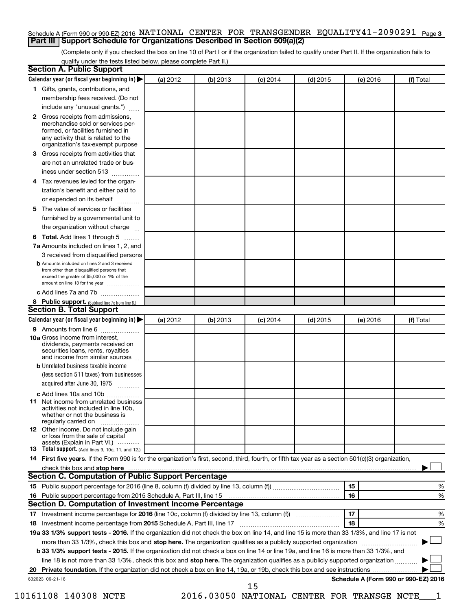#### Schedule A (Form 990 or 990-EZ) 2016 NATIONAL CENTER FOR TRANSGENDER EQUALITY41-2090291 <sub>Page 3</sub> **Part III Support Schedule for Organizations Described in Section 509(a)(2)**

(Complete only if you checked the box on line 10 of Part I or if the organization failed to qualify under Part II. If the organization fails to qualify under the tests listed below, please complete Part II.)

| <b>Section A. Public Support</b>                                                                                                                                                         |          |          |            |            |          |                                      |
|------------------------------------------------------------------------------------------------------------------------------------------------------------------------------------------|----------|----------|------------|------------|----------|--------------------------------------|
| Calendar year (or fiscal year beginning in)                                                                                                                                              | (a) 2012 | (b) 2013 | $(c)$ 2014 | $(d)$ 2015 | (e) 2016 | (f) Total                            |
| 1 Gifts, grants, contributions, and                                                                                                                                                      |          |          |            |            |          |                                      |
| membership fees received. (Do not                                                                                                                                                        |          |          |            |            |          |                                      |
| include any "unusual grants.")                                                                                                                                                           |          |          |            |            |          |                                      |
| 2 Gross receipts from admissions,<br>merchandise sold or services per-<br>formed, or facilities furnished in<br>any activity that is related to the<br>organization's tax-exempt purpose |          |          |            |            |          |                                      |
| 3 Gross receipts from activities that                                                                                                                                                    |          |          |            |            |          |                                      |
| are not an unrelated trade or bus-                                                                                                                                                       |          |          |            |            |          |                                      |
| iness under section 513                                                                                                                                                                  |          |          |            |            |          |                                      |
| 4 Tax revenues levied for the organ-                                                                                                                                                     |          |          |            |            |          |                                      |
| ization's benefit and either paid to                                                                                                                                                     |          |          |            |            |          |                                      |
| or expended on its behalf                                                                                                                                                                |          |          |            |            |          |                                      |
| 5 The value of services or facilities                                                                                                                                                    |          |          |            |            |          |                                      |
| furnished by a governmental unit to                                                                                                                                                      |          |          |            |            |          |                                      |
| the organization without charge                                                                                                                                                          |          |          |            |            |          |                                      |
| 6 Total. Add lines 1 through 5                                                                                                                                                           |          |          |            |            |          |                                      |
| 7a Amounts included on lines 1, 2, and                                                                                                                                                   |          |          |            |            |          |                                      |
| 3 received from disqualified persons                                                                                                                                                     |          |          |            |            |          |                                      |
| <b>b</b> Amounts included on lines 2 and 3 received<br>from other than disqualified persons that<br>exceed the greater of \$5,000 or 1% of the<br>amount on line 13 for the year         |          |          |            |            |          |                                      |
| c Add lines 7a and 7b                                                                                                                                                                    |          |          |            |            |          |                                      |
| 8 Public support. (Subtract line 7c from line 6.)                                                                                                                                        |          |          |            |            |          |                                      |
| <b>Section B. Total Support</b>                                                                                                                                                          |          |          |            |            |          |                                      |
| Calendar year (or fiscal year beginning in)                                                                                                                                              | (a) 2012 | (b) 2013 | $(c)$ 2014 | $(d)$ 2015 | (e) 2016 | (f) Total                            |
| <b>9</b> Amounts from line 6                                                                                                                                                             |          |          |            |            |          |                                      |
| <b>10a</b> Gross income from interest,<br>dividends, payments received on<br>securities loans, rents, royalties<br>and income from similar sources                                       |          |          |            |            |          |                                      |
| <b>b</b> Unrelated business taxable income                                                                                                                                               |          |          |            |            |          |                                      |
| (less section 511 taxes) from businesses                                                                                                                                                 |          |          |            |            |          |                                      |
| acquired after June 30, 1975                                                                                                                                                             |          |          |            |            |          |                                      |
| c Add lines 10a and 10b                                                                                                                                                                  |          |          |            |            |          |                                      |
| 11 Net income from unrelated business<br>activities not included in line 10b.<br>whether or not the business is<br>regularly carried on                                                  |          |          |            |            |          |                                      |
| <b>12</b> Other income. Do not include gain<br>or loss from the sale of capital<br>assets (Explain in Part VI.)                                                                          |          |          |            |            |          |                                      |
| <b>13</b> Total support. (Add lines 9, 10c, 11, and 12.)                                                                                                                                 |          |          |            |            |          |                                      |
| 14 First five years. If the Form 990 is for the organization's first, second, third, fourth, or fifth tax year as a section 501(c)(3) organization,                                      |          |          |            |            |          |                                      |
|                                                                                                                                                                                          |          |          |            |            |          |                                      |
| Section C. Computation of Public Support Percentage                                                                                                                                      |          |          |            |            |          |                                      |
|                                                                                                                                                                                          |          |          |            |            | 15       | ℅                                    |
| 16 Public support percentage from 2015 Schedule A, Part III, line 15                                                                                                                     |          |          |            |            | 16       | %                                    |
| Section D. Computation of Investment Income Percentage                                                                                                                                   |          |          |            |            |          |                                      |
|                                                                                                                                                                                          |          |          |            |            | 17       | %                                    |
| 18 Investment income percentage from 2015 Schedule A, Part III, line 17                                                                                                                  |          |          |            |            | 18       | %                                    |
| 19a 33 1/3% support tests - 2016. If the organization did not check the box on line 14, and line 15 is more than 33 1/3%, and line 17 is not                                             |          |          |            |            |          |                                      |
| more than 33 1/3%, check this box and stop here. The organization qualifies as a publicly supported organization                                                                         |          |          |            |            |          |                                      |
| b 33 1/3% support tests - 2015. If the organization did not check a box on line 14 or line 19a, and line 16 is more than 33 1/3%, and                                                    |          |          |            |            |          |                                      |
| line 18 is not more than 33 1/3%, check this box and stop here. The organization qualifies as a publicly supported organization                                                          |          |          |            |            |          |                                      |
|                                                                                                                                                                                          |          |          |            |            |          |                                      |
| 632023 09-21-16                                                                                                                                                                          |          |          |            |            |          | Schedule A (Form 990 or 990-EZ) 2016 |
|                                                                                                                                                                                          |          |          | 15         |            |          |                                      |

10161108 140308 NCTE 2016.03050 NATIONAL CENTER FOR TRANSGE NCTE\_\_\_1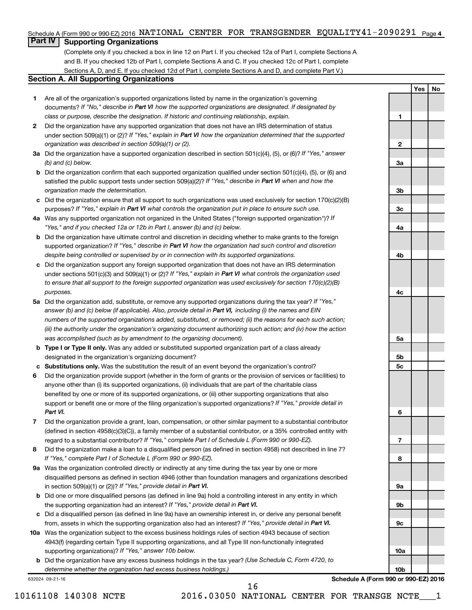#### Schedule A (Form 990 or 990-EZ) 2016 NATIONAL CENTER FOR TRANSGENDER EQUALITY41-2090291 <sub>Page 4</sub>

### **Part IV Supporting Organizations**

(Complete only if you checked a box in line 12 on Part I. If you checked 12a of Part I, complete Sections A and B. If you checked 12b of Part I, complete Sections A and C. If you checked 12c of Part I, complete Sections A, D, and E. If you checked 12d of Part I, complete Sections A and D, and complete Part V.)

#### **Section A. All Supporting Organizations**

- **1** Are all of the organization's supported organizations listed by name in the organization's governing documents? If "No," describe in Part VI how the supported organizations are designated. If designated by *class or purpose, describe the designation. If historic and continuing relationship, explain.*
- **2** Did the organization have any supported organization that does not have an IRS determination of status under section 509(a)(1) or (2)? If "Yes," explain in Part VI how the organization determined that the supported *organization was described in section 509(a)(1) or (2).*
- **3a** Did the organization have a supported organization described in section 501(c)(4), (5), or (6)? If "Yes," answer *(b) and (c) below.*
- **b** Did the organization confirm that each supported organization qualified under section 501(c)(4), (5), or (6) and satisfied the public support tests under section 509(a)(2)? If "Yes," describe in Part VI when and how the *organization made the determination.*
- **c** Did the organization ensure that all support to such organizations was used exclusively for section 170(c)(2)(B) purposes? If "Yes," explain in Part VI what controls the organization put in place to ensure such use.
- **4 a** *If* Was any supported organization not organized in the United States ("foreign supported organization")? *"Yes," and if you checked 12a or 12b in Part I, answer (b) and (c) below.*
- **b** Did the organization have ultimate control and discretion in deciding whether to make grants to the foreign supported organization? If "Yes," describe in Part VI how the organization had such control and discretion *despite being controlled or supervised by or in connection with its supported organizations.*
- **c** Did the organization support any foreign supported organization that does not have an IRS determination under sections 501(c)(3) and 509(a)(1) or (2)? If "Yes," explain in Part VI what controls the organization used *to ensure that all support to the foreign supported organization was used exclusively for section 170(c)(2)(B) purposes.*
- **5a** Did the organization add, substitute, or remove any supported organizations during the tax year? If "Yes," answer (b) and (c) below (if applicable). Also, provide detail in Part VI, including (i) the names and EIN *numbers of the supported organizations added, substituted, or removed; (ii) the reasons for each such action; (iii) the authority under the organization's organizing document authorizing such action; and (iv) how the action was accomplished (such as by amendment to the organizing document).*
- **b** Type I or Type II only. Was any added or substituted supported organization part of a class already designated in the organization's organizing document?
- **c Substitutions only.**  Was the substitution the result of an event beyond the organization's control?
- **6** Did the organization provide support (whether in the form of grants or the provision of services or facilities) to support or benefit one or more of the filing organization's supported organizations? If "Yes," provide detail in anyone other than (i) its supported organizations, (ii) individuals that are part of the charitable class benefited by one or more of its supported organizations, or (iii) other supporting organizations that also *Part VI.*
- **7** Did the organization provide a grant, loan, compensation, or other similar payment to a substantial contributor regard to a substantial contributor? If "Yes," complete Part I of Schedule L (Form 990 or 990-EZ). (defined in section 4958(c)(3)(C)), a family member of a substantial contributor, or a 35% controlled entity with
- **8** Did the organization make a loan to a disqualified person (as defined in section 4958) not described in line 7? *If "Yes," complete Part I of Schedule L (Form 990 or 990-EZ).*
- **9 a** Was the organization controlled directly or indirectly at any time during the tax year by one or more in section 509(a)(1) or (2))? If "Yes," provide detail in Part VI. disqualified persons as defined in section 4946 (other than foundation managers and organizations described
- **b** Did one or more disqualified persons (as defined in line 9a) hold a controlling interest in any entity in which the supporting organization had an interest? If "Yes," provide detail in Part VI.
- **c** Did a disqualified person (as defined in line 9a) have an ownership interest in, or derive any personal benefit from, assets in which the supporting organization also had an interest? If "Yes," provide detail in Part VI.
- **10 a** Was the organization subject to the excess business holdings rules of section 4943 because of section supporting organizations)? If "Yes," answer 10b below. 4943(f) (regarding certain Type II supporting organizations, and all Type III non-functionally integrated
	- **b** Did the organization have any excess business holdings in the tax year? (Use Schedule C, Form 4720, to *determine whether the organization had excess business holdings.)*

632024 09-21-16

**10a 10b Schedule A (Form 990 or 990-EZ) 2016**

**Yes No**

**1**

**2**

**3a**

**3b**

**3c**

**4a**

**4b**

**4c**

**5a**

**5b 5c**

**6**

**7**

**8**

**9a**

**9b**

**9c**

10161108 140308 NCTE 2016.03050 NATIONAL CENTER FOR TRANSGE NCTE\_\_\_1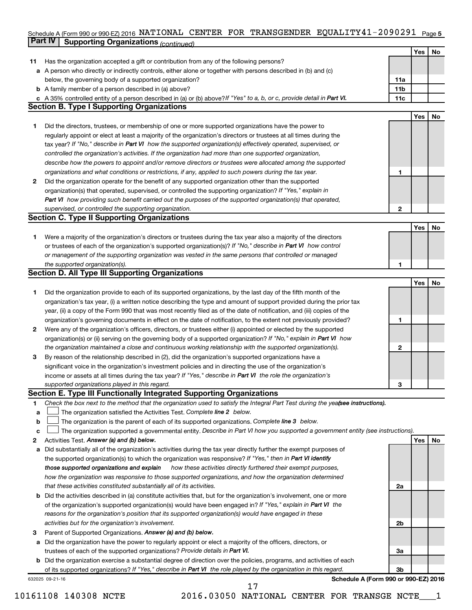#### Schedule A (Form 990 or 990-EZ) 2016 NATIONAL CENTER FOR TRANSGENDER EQUALITY4I-2090291 Page 5 **Part IV Supporting Organizations** *(continued)* NATIONAL CENTER FOR TRANSGENDER EQUALITY41-2090291

|              | <i>continued) continued in a gamzations</i>                                                                                     |                 |     |    |
|--------------|---------------------------------------------------------------------------------------------------------------------------------|-----------------|-----|----|
|              |                                                                                                                                 |                 | Yes | No |
| 11           | Has the organization accepted a gift or contribution from any of the following persons?                                         |                 |     |    |
|              | a A person who directly or indirectly controls, either alone or together with persons described in (b) and (c)                  |                 |     |    |
|              | below, the governing body of a supported organization?                                                                          | 11a             |     |    |
|              | <b>b</b> A family member of a person described in (a) above?                                                                    | 11 <sub>b</sub> |     |    |
|              | c A 35% controlled entity of a person described in (a) or (b) above? If "Yes" to a, b, or c, provide detail in Part VI.         | 11c             |     |    |
|              | <b>Section B. Type I Supporting Organizations</b>                                                                               |                 |     |    |
|              |                                                                                                                                 |                 | Yes | No |
| 1.           | Did the directors, trustees, or membership of one or more supported organizations have the power to                             |                 |     |    |
|              | regularly appoint or elect at least a majority of the organization's directors or trustees at all times during the              |                 |     |    |
|              | tax year? If "No," describe in Part VI how the supported organization(s) effectively operated, supervised, or                   |                 |     |    |
|              | controlled the organization's activities. If the organization had more than one supported organization,                         |                 |     |    |
|              | describe how the powers to appoint and/or remove directors or trustees were allocated among the supported                       |                 |     |    |
|              | organizations and what conditions or restrictions, if any, applied to such powers during the tax year.                          | 1               |     |    |
| $\mathbf{2}$ | Did the organization operate for the benefit of any supported organization other than the supported                             |                 |     |    |
|              | organization(s) that operated, supervised, or controlled the supporting organization? If "Yes," explain in                      |                 |     |    |
|              | Part VI how providing such benefit carried out the purposes of the supported organization(s) that operated,                     |                 |     |    |
|              | supervised, or controlled the supporting organization.                                                                          | 2               |     |    |
|              | <b>Section C. Type II Supporting Organizations</b>                                                                              |                 |     |    |
|              |                                                                                                                                 |                 | Yes | No |
| 1.           | Were a majority of the organization's directors or trustees during the tax year also a majority of the directors                |                 |     |    |
|              | or trustees of each of the organization's supported organization(s)? If "No," describe in Part VI how control                   |                 |     |    |
|              | or management of the supporting organization was vested in the same persons that controlled or managed                          |                 |     |    |
|              | the supported organization(s).                                                                                                  | 1               |     |    |
|              | <b>Section D. All Type III Supporting Organizations</b>                                                                         |                 |     |    |
|              |                                                                                                                                 |                 | Yes | No |
| 1.           | Did the organization provide to each of its supported organizations, by the last day of the fifth month of the                  |                 |     |    |
|              | organization's tax year, (i) a written notice describing the type and amount of support provided during the prior tax           |                 |     |    |
|              | year, (ii) a copy of the Form 990 that was most recently filed as of the date of notification, and (iii) copies of the          |                 |     |    |
|              | organization's governing documents in effect on the date of notification, to the extent not previously provided?                | 1               |     |    |
| $\mathbf{2}$ | Were any of the organization's officers, directors, or trustees either (i) appointed or elected by the supported                |                 |     |    |
|              | organization(s) or (ii) serving on the governing body of a supported organization? If "No," explain in Part VI how              |                 |     |    |
|              | the organization maintained a close and continuous working relationship with the supported organization(s).                     | 2               |     |    |
| 3            | By reason of the relationship described in (2), did the organization's supported organizations have a                           |                 |     |    |
|              | significant voice in the organization's investment policies and in directing the use of the organization's                      |                 |     |    |
|              | income or assets at all times during the tax year? If "Yes," describe in Part VI the role the organization's                    |                 |     |    |
|              | supported organizations played in this regard.                                                                                  | 3               |     |    |
|              | Section E. Type III Functionally Integrated Supporting Organizations                                                            |                 |     |    |
| 1            | Check the box next to the method that the organization used to satisfy the Integral Part Test during the yeafsee instructions). |                 |     |    |
| a            | The organization satisfied the Activities Test. Complete line 2 below.                                                          |                 |     |    |
| b            | The organization is the parent of each of its supported organizations. Complete line 3 below.                                   |                 |     |    |
| c            | The organization supported a governmental entity. Describe in Part VI how you supported a government entity (see instructions). |                 |     |    |
| 2            | Activities Test. Answer (a) and (b) below.                                                                                      |                 | Yes | No |
| а            | Did substantially all of the organization's activities during the tax year directly further the exempt purposes of              |                 |     |    |
|              | the supported organization(s) to which the organization was responsive? If "Yes," then in Part VI identify                      |                 |     |    |
|              | those supported organizations and explain how these activities directly furthered their exempt purposes,                        |                 |     |    |
|              | how the organization was responsive to those supported organizations, and how the organization determined                       |                 |     |    |
|              | that these activities constituted substantially all of its activities.                                                          | 2a              |     |    |
| b            | Did the activities described in (a) constitute activities that, but for the organization's involvement, one or more             |                 |     |    |
|              | of the organization's supported organization(s) would have been engaged in? If "Yes," explain in Part VI the                    |                 |     |    |
|              | reasons for the organization's position that its supported organization(s) would have engaged in these                          |                 |     |    |
|              | activities but for the organization's involvement.                                                                              | 2b              |     |    |
| 3            | Parent of Supported Organizations. Answer (a) and (b) below.                                                                    |                 |     |    |
| a            | Did the organization have the power to regularly appoint or elect a majority of the officers, directors, or                     |                 |     |    |
|              | trustees of each of the supported organizations? Provide details in Part VI.                                                    | За              |     |    |
| b            | Did the organization exercise a substantial degree of direction over the policies, programs, and activities of each             |                 |     |    |
|              | of its supported organizations? If "Yes," describe in Part VI the role played by the organization in this regard.               | 3b              |     |    |
|              | Schedule A (Form 990 or 990-EZ) 2016<br>632025 09-21-16                                                                         |                 |     |    |

10161108 140308 NCTE 2016.03050 NATIONAL CENTER FOR TRANSGE NCTE\_\_\_1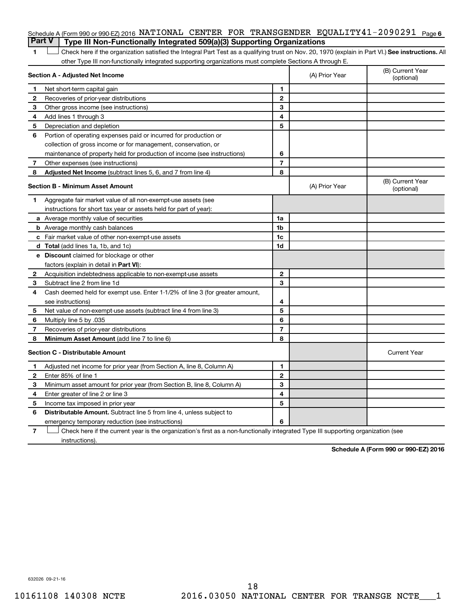### Schedule A (Form 990 or 990-EZ) 2016 NATIONAL CENTER FOR TRANSGENDER EQUALITY41-2090291 <sub>Page 6</sub> **Part V Type III Non-Functionally Integrated 509(a)(3) Supporting Organizations**

1 **Letter See instructions.** All Check here if the organization satisfied the Integral Part Test as a qualifying trust on Nov. 20, 1970 (explain in Part VI.) See instructions. All other Type III non-functionally integrated supporting organizations must complete Sections A through E.

|                | Section A - Adjusted Net Income                                              |                | (A) Prior Year | (B) Current Year<br>(optional) |
|----------------|------------------------------------------------------------------------------|----------------|----------------|--------------------------------|
| 1              | Net short-term capital gain                                                  | 1              |                |                                |
| 2              | Recoveries of prior-year distributions                                       | $\mathbf{2}$   |                |                                |
| З              | Other gross income (see instructions)                                        | 3              |                |                                |
| 4              | Add lines 1 through 3                                                        | 4              |                |                                |
| 5              | Depreciation and depletion                                                   | 5              |                |                                |
| 6              | Portion of operating expenses paid or incurred for production or             |                |                |                                |
|                | collection of gross income or for management, conservation, or               |                |                |                                |
|                | maintenance of property held for production of income (see instructions)     | 6              |                |                                |
| $\overline{7}$ | Other expenses (see instructions)                                            | $\overline{7}$ |                |                                |
| 8              | Adjusted Net Income (subtract lines 5, 6, and 7 from line 4)                 | 8              |                |                                |
|                | <b>Section B - Minimum Asset Amount</b>                                      |                | (A) Prior Year | (B) Current Year<br>(optional) |
| 1              | Aggregate fair market value of all non-exempt-use assets (see                |                |                |                                |
|                | instructions for short tax year or assets held for part of year):            |                |                |                                |
|                | a Average monthly value of securities                                        | 1a             |                |                                |
|                | <b>b</b> Average monthly cash balances                                       | 1b             |                |                                |
|                | c Fair market value of other non-exempt-use assets                           | 1c             |                |                                |
|                | d Total (add lines 1a, 1b, and 1c)                                           | 1 <sub>d</sub> |                |                                |
|                | e Discount claimed for blockage or other                                     |                |                |                                |
|                | factors (explain in detail in <b>Part VI</b> ):                              |                |                |                                |
| $\mathbf{2}$   | Acquisition indebtedness applicable to non-exempt-use assets                 | $\mathbf{2}$   |                |                                |
| 3              | Subtract line 2 from line 1d                                                 | 3              |                |                                |
| 4              | Cash deemed held for exempt use. Enter 1-1/2% of line 3 (for greater amount, |                |                |                                |
|                | see instructions)                                                            | 4              |                |                                |
| 5              | Net value of non-exempt-use assets (subtract line 4 from line 3)             | 5              |                |                                |
| 6              | Multiply line 5 by .035                                                      | 6              |                |                                |
| 7              | Recoveries of prior-year distributions                                       | $\overline{7}$ |                |                                |
| 8              | Minimum Asset Amount (add line 7 to line 6)                                  | 8              |                |                                |
|                | <b>Section C - Distributable Amount</b>                                      |                |                | <b>Current Year</b>            |
| 1              | Adjusted net income for prior year (from Section A, line 8, Column A)        | 1              |                |                                |
| 2              | Enter 85% of line 1                                                          | $\overline{2}$ |                |                                |
| 3              | Minimum asset amount for prior year (from Section B, line 8, Column A)       | 3              |                |                                |
| 4              | Enter greater of line 2 or line 3                                            | 4              |                |                                |
| 5              | Income tax imposed in prior year                                             | 5              |                |                                |
| 6              | <b>Distributable Amount.</b> Subtract line 5 from line 4, unless subject to  |                |                |                                |
|                | emergency temporary reduction (see instructions)                             | 6              |                |                                |
|                |                                                                              |                |                |                                |

**7** Check here if the current year is the organization's first as a non-functionally integrated Type III supporting organization (see † instructions).

**Schedule A (Form 990 or 990-EZ) 2016**

632026 09-21-16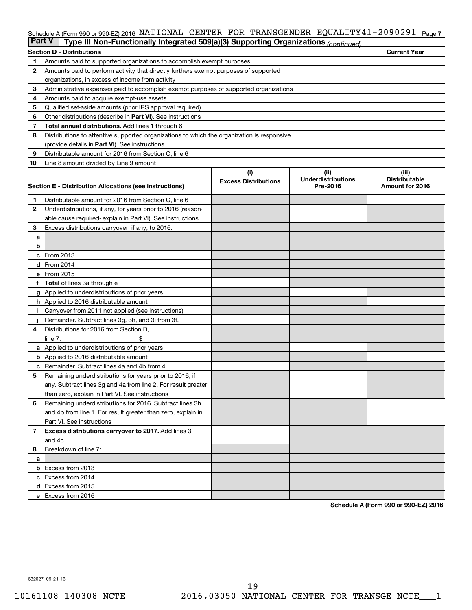#### Schedule A (Form 990 or 990-EZ) 2016 NATIONAL CENTER FOR TRANSGENDER EQUALITY41-2090291 <sub>Page 7</sub>

| <b>Part V</b><br>Type III Non-Functionally Integrated 509(a)(3) Supporting Organizations (continued) |                                                                                            |                             |                                       |                               |  |  |  |
|------------------------------------------------------------------------------------------------------|--------------------------------------------------------------------------------------------|-----------------------------|---------------------------------------|-------------------------------|--|--|--|
|                                                                                                      | <b>Current Year</b><br><b>Section D - Distributions</b>                                    |                             |                                       |                               |  |  |  |
| 1                                                                                                    | Amounts paid to supported organizations to accomplish exempt purposes                      |                             |                                       |                               |  |  |  |
| 2                                                                                                    | Amounts paid to perform activity that directly furthers exempt purposes of supported       |                             |                                       |                               |  |  |  |
|                                                                                                      | organizations, in excess of income from activity                                           |                             |                                       |                               |  |  |  |
| 3                                                                                                    | Administrative expenses paid to accomplish exempt purposes of supported organizations      |                             |                                       |                               |  |  |  |
| 4                                                                                                    | Amounts paid to acquire exempt-use assets                                                  |                             |                                       |                               |  |  |  |
| 5                                                                                                    | Qualified set-aside amounts (prior IRS approval required)                                  |                             |                                       |                               |  |  |  |
| 6                                                                                                    | Other distributions (describe in Part VI). See instructions                                |                             |                                       |                               |  |  |  |
| 7                                                                                                    | <b>Total annual distributions.</b> Add lines 1 through 6                                   |                             |                                       |                               |  |  |  |
| 8                                                                                                    | Distributions to attentive supported organizations to which the organization is responsive |                             |                                       |                               |  |  |  |
|                                                                                                      | (provide details in Part VI). See instructions                                             |                             |                                       |                               |  |  |  |
| 9                                                                                                    | Distributable amount for 2016 from Section C, line 6                                       |                             |                                       |                               |  |  |  |
| 10                                                                                                   | Line 8 amount divided by Line 9 amount                                                     |                             |                                       |                               |  |  |  |
|                                                                                                      |                                                                                            | (i)                         | (ii)                                  | (iii)<br><b>Distributable</b> |  |  |  |
|                                                                                                      | Section E - Distribution Allocations (see instructions)                                    | <b>Excess Distributions</b> | <b>Underdistributions</b><br>Pre-2016 | Amount for 2016               |  |  |  |
|                                                                                                      |                                                                                            |                             |                                       |                               |  |  |  |
| 1                                                                                                    | Distributable amount for 2016 from Section C, line 6                                       |                             |                                       |                               |  |  |  |
| $\mathbf{2}$                                                                                         | Underdistributions, if any, for years prior to 2016 (reason-                               |                             |                                       |                               |  |  |  |
|                                                                                                      | able cause required- explain in Part VI). See instructions                                 |                             |                                       |                               |  |  |  |
| 3                                                                                                    | Excess distributions carryover, if any, to 2016:                                           |                             |                                       |                               |  |  |  |
| а                                                                                                    |                                                                                            |                             |                                       |                               |  |  |  |
| b                                                                                                    |                                                                                            |                             |                                       |                               |  |  |  |
|                                                                                                      | c From 2013<br><b>d</b> From 2014                                                          |                             |                                       |                               |  |  |  |
|                                                                                                      | e From 2015                                                                                |                             |                                       |                               |  |  |  |
|                                                                                                      | f Total of lines 3a through e                                                              |                             |                                       |                               |  |  |  |
|                                                                                                      | <b>g</b> Applied to underdistributions of prior years                                      |                             |                                       |                               |  |  |  |
|                                                                                                      | <b>h</b> Applied to 2016 distributable amount                                              |                             |                                       |                               |  |  |  |
|                                                                                                      | Carryover from 2011 not applied (see instructions)                                         |                             |                                       |                               |  |  |  |
|                                                                                                      | Remainder. Subtract lines 3g, 3h, and 3i from 3f.                                          |                             |                                       |                               |  |  |  |
| 4                                                                                                    | Distributions for 2016 from Section D,                                                     |                             |                                       |                               |  |  |  |
|                                                                                                      | $line 7$ :                                                                                 |                             |                                       |                               |  |  |  |
|                                                                                                      | a Applied to underdistributions of prior years                                             |                             |                                       |                               |  |  |  |
|                                                                                                      | <b>b</b> Applied to 2016 distributable amount                                              |                             |                                       |                               |  |  |  |
| с                                                                                                    | Remainder. Subtract lines 4a and 4b from 4                                                 |                             |                                       |                               |  |  |  |
| 5                                                                                                    | Remaining underdistributions for years prior to 2016, if                                   |                             |                                       |                               |  |  |  |
|                                                                                                      | any. Subtract lines 3g and 4a from line 2. For result greater                              |                             |                                       |                               |  |  |  |
|                                                                                                      | than zero, explain in Part VI. See instructions                                            |                             |                                       |                               |  |  |  |
| 6                                                                                                    | Remaining underdistributions for 2016. Subtract lines 3h                                   |                             |                                       |                               |  |  |  |
|                                                                                                      | and 4b from line 1. For result greater than zero, explain in                               |                             |                                       |                               |  |  |  |
|                                                                                                      | Part VI. See instructions                                                                  |                             |                                       |                               |  |  |  |
| $\overline{7}$                                                                                       | Excess distributions carryover to 2017. Add lines 3j                                       |                             |                                       |                               |  |  |  |
|                                                                                                      | and 4c                                                                                     |                             |                                       |                               |  |  |  |
| 8                                                                                                    | Breakdown of line 7:                                                                       |                             |                                       |                               |  |  |  |
| a                                                                                                    |                                                                                            |                             |                                       |                               |  |  |  |
|                                                                                                      | <b>b</b> Excess from 2013                                                                  |                             |                                       |                               |  |  |  |
|                                                                                                      | c Excess from 2014                                                                         |                             |                                       |                               |  |  |  |
|                                                                                                      | d Excess from 2015                                                                         |                             |                                       |                               |  |  |  |
|                                                                                                      | e Excess from 2016                                                                         |                             |                                       |                               |  |  |  |

**Schedule A (Form 990 or 990-EZ) 2016**

632027 09-21-16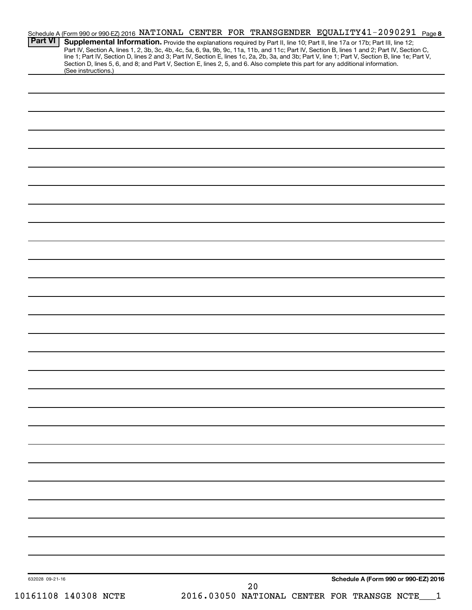| <b>Part VI</b>       | Schedule A (Form 990 or 990-EZ) 2016 NATIONAL CENTER FOR TRANSGENDER EQUALITY 41-2090291 Page 8<br>Supplemental Information. Provide the explanations required by Part II, line 10; Part II, line 17a or 17b; Part III, line 12;<br>Part IV, Section A, lines 1, 2, 3b, 3c, 4b, 4c, 5a, 6, 9a, 9b, 9c, 11a, 11b, and 11c; Part IV, Section B, lines 1 and 2; Part IV, Section C,<br>line 1; Part IV, Section D, lines 2 and 3; Part IV, Section E, lines 1c, 2a, 2b, 3a, and 3b; Part V, line 1; Part V, Section B, line 1e; Part V, |
|----------------------|--------------------------------------------------------------------------------------------------------------------------------------------------------------------------------------------------------------------------------------------------------------------------------------------------------------------------------------------------------------------------------------------------------------------------------------------------------------------------------------------------------------------------------------|
| (See instructions.)  | Section D, lines 5, 6, and 8; and Part V, Section E, lines 2, 5, and 6. Also complete this part for any additional information.                                                                                                                                                                                                                                                                                                                                                                                                      |
|                      |                                                                                                                                                                                                                                                                                                                                                                                                                                                                                                                                      |
|                      |                                                                                                                                                                                                                                                                                                                                                                                                                                                                                                                                      |
|                      |                                                                                                                                                                                                                                                                                                                                                                                                                                                                                                                                      |
|                      |                                                                                                                                                                                                                                                                                                                                                                                                                                                                                                                                      |
|                      |                                                                                                                                                                                                                                                                                                                                                                                                                                                                                                                                      |
|                      |                                                                                                                                                                                                                                                                                                                                                                                                                                                                                                                                      |
|                      |                                                                                                                                                                                                                                                                                                                                                                                                                                                                                                                                      |
|                      |                                                                                                                                                                                                                                                                                                                                                                                                                                                                                                                                      |
|                      |                                                                                                                                                                                                                                                                                                                                                                                                                                                                                                                                      |
|                      |                                                                                                                                                                                                                                                                                                                                                                                                                                                                                                                                      |
|                      |                                                                                                                                                                                                                                                                                                                                                                                                                                                                                                                                      |
|                      |                                                                                                                                                                                                                                                                                                                                                                                                                                                                                                                                      |
|                      |                                                                                                                                                                                                                                                                                                                                                                                                                                                                                                                                      |
|                      |                                                                                                                                                                                                                                                                                                                                                                                                                                                                                                                                      |
|                      |                                                                                                                                                                                                                                                                                                                                                                                                                                                                                                                                      |
|                      |                                                                                                                                                                                                                                                                                                                                                                                                                                                                                                                                      |
|                      |                                                                                                                                                                                                                                                                                                                                                                                                                                                                                                                                      |
|                      |                                                                                                                                                                                                                                                                                                                                                                                                                                                                                                                                      |
|                      |                                                                                                                                                                                                                                                                                                                                                                                                                                                                                                                                      |
|                      |                                                                                                                                                                                                                                                                                                                                                                                                                                                                                                                                      |
|                      |                                                                                                                                                                                                                                                                                                                                                                                                                                                                                                                                      |
|                      |                                                                                                                                                                                                                                                                                                                                                                                                                                                                                                                                      |
|                      |                                                                                                                                                                                                                                                                                                                                                                                                                                                                                                                                      |
|                      |                                                                                                                                                                                                                                                                                                                                                                                                                                                                                                                                      |
|                      |                                                                                                                                                                                                                                                                                                                                                                                                                                                                                                                                      |
|                      |                                                                                                                                                                                                                                                                                                                                                                                                                                                                                                                                      |
|                      |                                                                                                                                                                                                                                                                                                                                                                                                                                                                                                                                      |
|                      |                                                                                                                                                                                                                                                                                                                                                                                                                                                                                                                                      |
|                      |                                                                                                                                                                                                                                                                                                                                                                                                                                                                                                                                      |
|                      |                                                                                                                                                                                                                                                                                                                                                                                                                                                                                                                                      |
|                      |                                                                                                                                                                                                                                                                                                                                                                                                                                                                                                                                      |
|                      |                                                                                                                                                                                                                                                                                                                                                                                                                                                                                                                                      |
|                      |                                                                                                                                                                                                                                                                                                                                                                                                                                                                                                                                      |
|                      |                                                                                                                                                                                                                                                                                                                                                                                                                                                                                                                                      |
|                      |                                                                                                                                                                                                                                                                                                                                                                                                                                                                                                                                      |
| 632028 09-21-16      | Schedule A (Form 990 or 990-EZ) 2016                                                                                                                                                                                                                                                                                                                                                                                                                                                                                                 |
| 10161108 140308 NCTE | 20<br>2016.03050 NATIONAL CENTER FOR TRANSGE NCTE                                                                                                                                                                                                                                                                                                                                                                                                                                                                                    |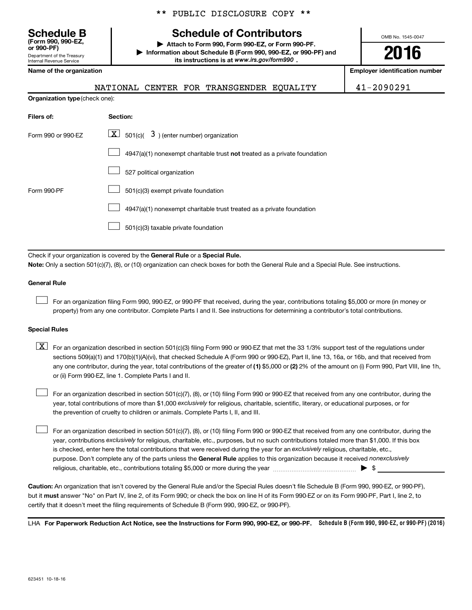Department of the Treasury Internal Revenue Service **(Form 990, 990-EZ,**

**Organization type**

|  |  | ** PUBLIC DISCLOSURE COPY ** |  |  |
|--|--|------------------------------|--|--|
|--|--|------------------------------|--|--|

### **Schedule B Schedule of Contributors**

**or 990-PF) | Attach to Form 990, Form 990-EZ, or Form 990-PF. | Information about Schedule B (Form 990, 990-EZ, or 990-PF) and** its instructions is at www.irs.gov/form990.

OMB No. 1545-0047

## **2016**

**Name of the organization Employer identification number**

|                                | NATIONAL CENTER FOR TRANSGENDER EQUALITY                                           | 41-2090291 |
|--------------------------------|------------------------------------------------------------------------------------|------------|
| Organization type (check one): |                                                                                    |            |
| Filers of:                     | Section:                                                                           |            |
| Form 990 or 990-EZ             | $\boxed{\textbf{X}}$ 501(c)( 3) (enter number) organization                        |            |
|                                | $4947(a)(1)$ nonexempt charitable trust <b>not</b> treated as a private foundation |            |
|                                | 527 political organization                                                         |            |
| Form 990-PF                    | 501(c)(3) exempt private foundation                                                |            |
|                                | 4947(a)(1) nonexempt charitable trust treated as a private foundation              |            |
|                                | 501(c)(3) taxable private foundation                                               |            |

Check if your organization is covered by the General Rule or a Special Rule. **Note:**  Only a section 501(c)(7), (8), or (10) organization can check boxes for both the General Rule and a Special Rule. See instructions.

#### **General Rule**

 $\Box$ 

For an organization filing Form 990, 990-EZ, or 990-PF that received, during the year, contributions totaling \$5,000 or more (in money or property) from any one contributor. Complete Parts I and II. See instructions for determining a contributor's total contributions.

#### **Special Rules**

any one contributor, during the year, total contributions of the greater of **(1)** \$5,000 or **(2)** 2% of the amount on (i) Form 990, Part VIII, line 1h,  $\boxed{\text{X}}$  For an organization described in section 501(c)(3) filing Form 990 or 990-EZ that met the 33 1/3% support test of the regulations under sections 509(a)(1) and 170(b)(1)(A)(vi), that checked Schedule A (Form 990 or 990-EZ), Part II, line 13, 16a, or 16b, and that received from or (ii) Form 990-EZ, line 1. Complete Parts I and II.

year, total contributions of more than \$1,000 *exclusively* for religious, charitable, scientific, literary, or educational purposes, or for For an organization described in section 501(c)(7), (8), or (10) filing Form 990 or 990-EZ that received from any one contributor, during the the prevention of cruelty to children or animals. Complete Parts I, II, and III.  $\Box$ 

purpose. Don't complete any of the parts unless the General Rule applies to this organization because it received nonexclusively year, contributions exclusively for religious, charitable, etc., purposes, but no such contributions totaled more than \$1,000. If this box is checked, enter here the total contributions that were received during the year for an exclusively religious, charitable, etc., For an organization described in section 501(c)(7), (8), or (10) filing Form 990 or 990-EZ that received from any one contributor, during the religious, charitable, etc., contributions totaling \$5,000 or more during the year  $\ldots$  $\ldots$  $\ldots$  $\ldots$  $\ldots$  $\ldots$  $\Box$ 

**Caution:**  An organization that isn't covered by the General Rule and/or the Special Rules doesn't file Schedule B (Form 990, 990-EZ, or 990-PF),  **must** but it answer "No" on Part IV, line 2, of its Form 990; or check the box on line H of its Form 990-EZ or on its Form 990-PF, Part I, line 2, to certify that it doesn't meet the filing requirements of Schedule B (Form 990, 990-EZ, or 990-PF).

LHA For Paperwork Reduction Act Notice, see the Instructions for Form 990, 990-EZ, or 990-PF. Schedule B (Form 990, 990-EZ, or 990-PF) (2016)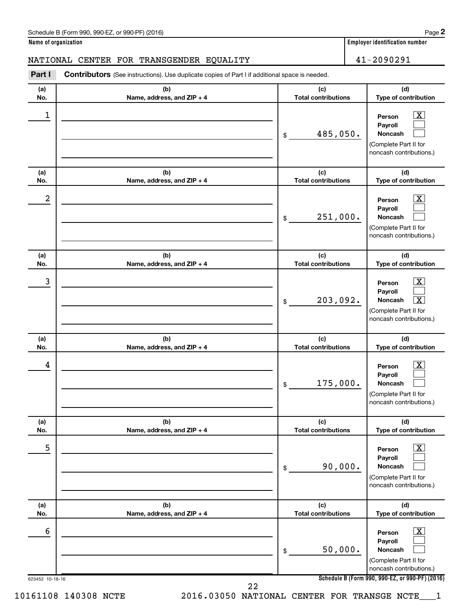#### Schedule B (Form 990, 990-EZ, or 990-PF) (2016)

**Name of organization Employer identification number**

#### NATIONAL CENTER FOR TRANSGENDER EQUALITY 41-2090291

623452 10-18-16 **Schedule B (Form 990, 990-EZ, or 990-PF) (2016) (a) No. (b) Name, address, and ZIP + 4 (c) Total contributions (d) Type of contribution Person Payroll Noncash (a) No. (b) Name, address, and ZIP + 4 (c) Total contributions (d) Type of contribution Person Payroll Noncash (a) No. (b) Name, address, and ZIP + 4 (c) Total contributions (d) Type of contribution Person Payroll Noncash (a) No. (b) Name, address, and ZIP + 4 (c) Total contributions (d) Type of contribution Person Payroll Noncash (a) No. (b) Name, address, and ZIP + 4 (c) Total contributions (d) Type of contribution Person Payroll Noncash (a) No. (b) Name, address, and ZIP + 4 (c) Total contributions (d) Type of contribution Person Payroll Noncash Part I** Contributors (See instructions). Use duplicate copies of Part I if additional space is needed. \$ (Complete Part II for noncash contributions.) \$ (Complete Part II for noncash contributions.) \$ (Complete Part II for noncash contributions.) \$ (Complete Part II for noncash contributions.) \$ (Complete Part II for noncash contributions.) \$ (Complete Part II for noncash contributions.)  $\lfloor x \rfloor$  $\Box$  $\Box$  $\overline{\mathbf{X}}$  $\Box$  $\Box$  $\boxed{\textbf{X}}$  $\Box$  $\boxed{\textbf{X}}$  $\boxed{\textbf{X}}$  $\Box$  $\Box$  $\boxed{\text{X}}$  $\Box$  $\Box$  $\boxed{\text{X}}$  $\Box$  $\Box$  $\begin{array}{|c|c|c|c|c|}\hline \ \text{1} & \text{Person} & \text{X} \ \hline \end{array}$ 485,050.  $2$  Person  $\overline{\text{X}}$ 251,000.  $\begin{array}{|c|c|c|c|c|c|}\hline \text{3} & \text{Person} & \text{X} \ \hline \end{array}$ 203,092. X  $\begin{array}{|c|c|c|c|c|}\hline \text{4} & \text{Person} & \text{\textbf{X}}\ \hline \end{array}$ 175,000.  $\overline{5}$  Person  $\overline{X}$ 90,000.  $\overline{6}$  Person  $\overline{X}$ 50,000. 22

10161108 140308 NCTE 2016.03050 NATIONAL CENTER FOR TRANSGE NCTE\_\_\_1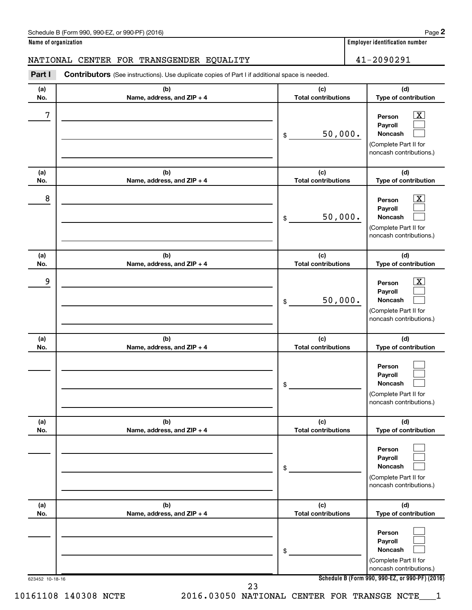#### Schedule B (Form 990, 990-EZ, or 990-PF) (2016)

**Name of organization Employer identification number**

### NATIONAL CENTER FOR TRANSGENDER EQUALITY 41-2090291

623452 10-18-16 **Schedule B (Form 990, 990-EZ, or 990-PF) (2016) (a) No. (b) Name, address, and ZIP + 4 (c) Total contributions (d) Type of contribution Person Payroll Noncash (a) No. (b) Name, address, and ZIP + 4 (c) Total contributions (d) Type of contribution Person Payroll Noncash (a) No. (b) Name, address, and ZIP + 4 (c) Total contributions (d) Type of contribution Person Payroll Noncash (a) No. (b) Name, address, and ZIP + 4 (c) Total contributions (d) Type of contribution Person Payroll Noncash (a) No. (b) Name, address, and ZIP + 4 (c) Total contributions (d) Type of contribution Person Payroll Noncash (a) No. (b) Name, address, and ZIP + 4 (c) Total contributions (d) Type of contribution Person Payroll Noncash Part I** Contributors (See instructions). Use duplicate copies of Part I if additional space is needed. \$ (Complete Part II for noncash contributions.) \$ (Complete Part II for noncash contributions.) \$ (Complete Part II for noncash contributions.) \$ (Complete Part II for noncash contributions.) \$ (Complete Part II for noncash contributions.) \$ (Complete Part II for noncash contributions.)  $\lfloor x \rfloor$  $\Box$  $\Box$  $\overline{\mathbf{X}}$  $\Box$  $\Box$  $\boxed{\textbf{X}}$  $\Box$  $\Box$  $\Box$  $\Box$  $\Box$  $\Box$  $\Box$  $\Box$  $\Box$  $\Box$  $\Box$  $7$   $|$  Person  $\overline{\text{X}}$ 50,000.  $8$  Person  $\overline{\text{X}}$ 50,000. 9 X 50,000.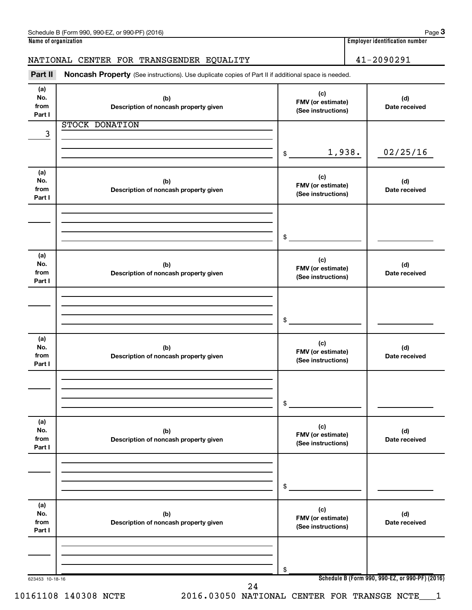### NATIONAL CENTER FOR TRANSGENDER EQUALITY 41-2090291

Part II Noncash Property (See instructions). Use duplicate copies of Part II if additional space is needed.

| (a)<br>No.<br>from<br>Part I | (b)<br>Description of noncash property given | (c)<br>FMV (or estimate)<br>(See instructions) | (d)<br>Date received                            |
|------------------------------|----------------------------------------------|------------------------------------------------|-------------------------------------------------|
| 3                            | <b>STOCK DONATION</b>                        |                                                |                                                 |
|                              |                                              |                                                |                                                 |
|                              |                                              | 1,938.<br>\$                                   | 02/25/16                                        |
| (a)<br>No.<br>from<br>Part I | (b)<br>Description of noncash property given | (c)<br>FMV (or estimate)<br>(See instructions) | (d)<br>Date received                            |
|                              |                                              |                                                |                                                 |
|                              |                                              | $\frac{1}{2}$                                  |                                                 |
| (a)<br>No.<br>from<br>Part I | (b)<br>Description of noncash property given | (c)<br>FMV (or estimate)<br>(See instructions) | (d)<br>Date received                            |
|                              |                                              |                                                |                                                 |
|                              |                                              | $\mathsf{\$}$                                  |                                                 |
| (a)<br>No.<br>from<br>Part I | (b)<br>Description of noncash property given | (c)<br>FMV (or estimate)<br>(See instructions) | (d)<br>Date received                            |
|                              |                                              |                                                |                                                 |
|                              |                                              | \$                                             |                                                 |
| (a)<br>No.<br>from<br>Part I | (b)<br>Description of noncash property given | (c)<br>FMV (or estimate)<br>(See instructions) | (d)<br>Date received                            |
|                              |                                              |                                                |                                                 |
|                              |                                              | \$                                             |                                                 |
| (a)<br>No.<br>from<br>Part I | (b)<br>Description of noncash property given | (c)<br>FMV (or estimate)<br>(See instructions) | (d)<br>Date received                            |
|                              |                                              |                                                |                                                 |
|                              |                                              | \$                                             |                                                 |
| 623453 10-18-16              | 24                                           |                                                | Schedule B (Form 990, 990-EZ, or 990-PF) (2016) |

10161108 140308 NCTE 2016.03050 NATIONAL CENTER FOR TRANSGE NCTE\_\_\_1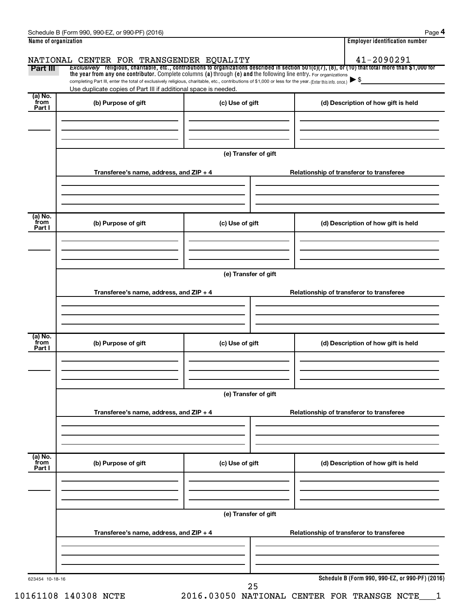|                           | Schedule B (Form 990, 990-EZ, or 990-PF) (2016)                                                                                                                                                                                                                                 |                                          | Page 4                                                                                                                                                |  |  |  |  |
|---------------------------|---------------------------------------------------------------------------------------------------------------------------------------------------------------------------------------------------------------------------------------------------------------------------------|------------------------------------------|-------------------------------------------------------------------------------------------------------------------------------------------------------|--|--|--|--|
| Name of organization      |                                                                                                                                                                                                                                                                                 |                                          | <b>Employer identification number</b>                                                                                                                 |  |  |  |  |
|                           | NATIONAL CENTER FOR TRANSGENDER EQUALITY                                                                                                                                                                                                                                        |                                          | 41-2090291                                                                                                                                            |  |  |  |  |
| Part III                  |                                                                                                                                                                                                                                                                                 |                                          | Exclusively religious, charitable, etc., contributions to organizations described in section 501(c)(7), (8), or (10) that total more than \$1,000 for |  |  |  |  |
|                           | the year from any one contributor. Complete columns (a) through (e) and the following line entry. For organizations<br>completing Part III, enter the total of exclusively religious, charitable, etc., contributions of \$1,000 or less for the year. (Enter this info. once.) |                                          |                                                                                                                                                       |  |  |  |  |
|                           | Use duplicate copies of Part III if additional space is needed.                                                                                                                                                                                                                 |                                          |                                                                                                                                                       |  |  |  |  |
| (a) No.<br>from<br>Part I | (b) Purpose of gift                                                                                                                                                                                                                                                             | (c) Use of gift                          | (d) Description of how gift is held                                                                                                                   |  |  |  |  |
|                           |                                                                                                                                                                                                                                                                                 |                                          |                                                                                                                                                       |  |  |  |  |
|                           |                                                                                                                                                                                                                                                                                 |                                          |                                                                                                                                                       |  |  |  |  |
|                           |                                                                                                                                                                                                                                                                                 | (e) Transfer of gift                     |                                                                                                                                                       |  |  |  |  |
|                           | Transferee's name, address, and ZIP + 4                                                                                                                                                                                                                                         |                                          | Relationship of transferor to transferee                                                                                                              |  |  |  |  |
|                           |                                                                                                                                                                                                                                                                                 |                                          |                                                                                                                                                       |  |  |  |  |
| (a) No.<br>from<br>Part I | (b) Purpose of gift                                                                                                                                                                                                                                                             | (c) Use of gift                          | (d) Description of how gift is held                                                                                                                   |  |  |  |  |
|                           |                                                                                                                                                                                                                                                                                 |                                          |                                                                                                                                                       |  |  |  |  |
|                           |                                                                                                                                                                                                                                                                                 |                                          |                                                                                                                                                       |  |  |  |  |
|                           | (e) Transfer of gift                                                                                                                                                                                                                                                            |                                          |                                                                                                                                                       |  |  |  |  |
|                           | Transferee's name, address, and ZIP + 4                                                                                                                                                                                                                                         |                                          | Relationship of transferor to transferee                                                                                                              |  |  |  |  |
|                           |                                                                                                                                                                                                                                                                                 |                                          |                                                                                                                                                       |  |  |  |  |
|                           |                                                                                                                                                                                                                                                                                 |                                          |                                                                                                                                                       |  |  |  |  |
| (a) No.<br>from<br>Part I | (b) Purpose of gift                                                                                                                                                                                                                                                             | (c) Use of gift                          | (d) Description of how gift is held                                                                                                                   |  |  |  |  |
|                           |                                                                                                                                                                                                                                                                                 |                                          |                                                                                                                                                       |  |  |  |  |
|                           |                                                                                                                                                                                                                                                                                 |                                          |                                                                                                                                                       |  |  |  |  |
|                           |                                                                                                                                                                                                                                                                                 |                                          |                                                                                                                                                       |  |  |  |  |
|                           | (e) Transfer of gift                                                                                                                                                                                                                                                            |                                          |                                                                                                                                                       |  |  |  |  |
|                           | Transferee's name, address, and ZIP + 4                                                                                                                                                                                                                                         |                                          | Relationship of transferor to transferee                                                                                                              |  |  |  |  |
|                           |                                                                                                                                                                                                                                                                                 |                                          |                                                                                                                                                       |  |  |  |  |
|                           |                                                                                                                                                                                                                                                                                 |                                          |                                                                                                                                                       |  |  |  |  |
| (a) No.<br>from           |                                                                                                                                                                                                                                                                                 |                                          |                                                                                                                                                       |  |  |  |  |
| Part I                    | (b) Purpose of gift                                                                                                                                                                                                                                                             | (c) Use of gift                          | (d) Description of how gift is held                                                                                                                   |  |  |  |  |
|                           |                                                                                                                                                                                                                                                                                 |                                          |                                                                                                                                                       |  |  |  |  |
|                           |                                                                                                                                                                                                                                                                                 |                                          |                                                                                                                                                       |  |  |  |  |
|                           | (e) Transfer of gift                                                                                                                                                                                                                                                            |                                          |                                                                                                                                                       |  |  |  |  |
|                           | Transferee's name, address, and ZIP + 4                                                                                                                                                                                                                                         | Relationship of transferor to transferee |                                                                                                                                                       |  |  |  |  |
|                           |                                                                                                                                                                                                                                                                                 |                                          |                                                                                                                                                       |  |  |  |  |
|                           |                                                                                                                                                                                                                                                                                 |                                          |                                                                                                                                                       |  |  |  |  |
|                           |                                                                                                                                                                                                                                                                                 |                                          | Schedule B (Form 990, 990-EZ, or 990-PF) (2016)                                                                                                       |  |  |  |  |

10161108 140308 NCTE 2016.03050 NATIONAL CENTER FOR TRANSGE NCTE\_\_\_1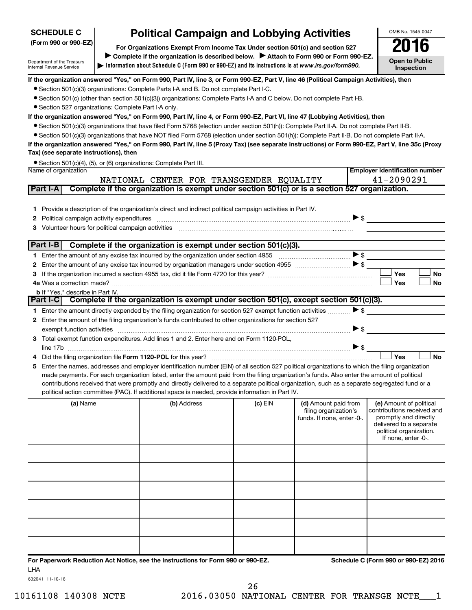## **SCHEDULE C**

# **Political Campaign and Lobbying Activities**<br>Drganizations Exempt From Income Tax Under section 501(c) and section 527 **2016**

**Information about Schedule C (Form 990 or 990-EZ) and its instructions is at |**  *www.irs.gov/form990.* **(Form 990 or 990-EZ) For Organizations Exempt From Income Tax Under section 501(c) and section 527** Complete if the organization is described below. > Attach to Form 990 or Form 990-EZ. **Open to Public**

**Inspection**

**Employer identification number**

OMB No. 1545-0047

Department of the Treasury Internal Revenue Service

#### **If the organization answered "Yes," on Form 990, Part IV, line 3, or Form 990-EZ, Part V, line 46 (Political Campaign Activities), then**

- Section 501(c)(3) organizations: Complete Parts I-A and B. Do not complete Part I-C.
- Section 501(c) (other than section 501(c)(3)) organizations: Complete Parts I-A and C below. Do not complete Part I-B.
- Section 527 organizations: Complete Part I-A only.

#### **If the organization answered "Yes," on Form 990, Part IV, line 4, or Form 990-EZ, Part VI, line 47 (Lobbying Activities), then**

- Section 501(c)(3) organizations that have filed Form 5768 (election under section 501(h)): Complete Part II-A. Do not complete Part II-B.
- Section 501(c)(3) organizations that have NOT filed Form 5768 (election under section 501(h)): Complete Part II-B. Do not complete Part II-A.

#### **If the organization answered "Yes," on Form 990, Part IV, line 5 (Proxy Tax) (see separate instructions) or Form 990-EZ, Part V, line 35c (Proxy Tax) (see separate instructions), then**

|                      | ● Section 501(c)(4), (5), or (6) organizations: Complete Part III. |
|----------------------|--------------------------------------------------------------------|
| Name of organization |                                                                    |

|          |                                                                                                                                                                                                                                                    | NATIONAL CENTER FOR TRANSGENDER EQUALITY                                                                                                                                                                                       |           |                                                                             |                          | 41-2090291                                                                                                |           |  |
|----------|----------------------------------------------------------------------------------------------------------------------------------------------------------------------------------------------------------------------------------------------------|--------------------------------------------------------------------------------------------------------------------------------------------------------------------------------------------------------------------------------|-----------|-----------------------------------------------------------------------------|--------------------------|-----------------------------------------------------------------------------------------------------------|-----------|--|
| Part I-A |                                                                                                                                                                                                                                                    | Complete if the organization is exempt under section 501(c) or is a section 527 organization.                                                                                                                                  |           |                                                                             |                          |                                                                                                           |           |  |
| 3        |                                                                                                                                                                                                                                                    | 1 Provide a description of the organization's direct and indirect political campaign activities in Part IV.<br>Volunteer hours for political campaign activities [11] [12] Martin Martin Martin Martin Martin Martin Martin Ma |           |                                                                             |                          |                                                                                                           |           |  |
|          | Part I-B<br>Complete if the organization is exempt under section 501(c)(3).                                                                                                                                                                        |                                                                                                                                                                                                                                |           |                                                                             |                          |                                                                                                           |           |  |
|          |                                                                                                                                                                                                                                                    | Enter the amount of any excise tax incurred by the organization under section 4955 $\ldots$ $\ldots$ $\ldots$ $\ldots$                                                                                                         |           |                                                                             |                          |                                                                                                           |           |  |
| 2        |                                                                                                                                                                                                                                                    |                                                                                                                                                                                                                                |           |                                                                             |                          |                                                                                                           |           |  |
|          |                                                                                                                                                                                                                                                    |                                                                                                                                                                                                                                |           |                                                                             |                          | Yes                                                                                                       | <b>No</b> |  |
|          | 4a Was a correction made?                                                                                                                                                                                                                          |                                                                                                                                                                                                                                |           |                                                                             |                          | Yes                                                                                                       | <b>No</b> |  |
|          | <b>b</b> If "Yes." describe in Part IV.                                                                                                                                                                                                            |                                                                                                                                                                                                                                |           |                                                                             |                          |                                                                                                           |           |  |
|          | Part I-CI                                                                                                                                                                                                                                          | Complete if the organization is exempt under section 501(c), except section 501(c)(3).                                                                                                                                         |           |                                                                             |                          |                                                                                                           |           |  |
|          |                                                                                                                                                                                                                                                    | Enter the amount directly expended by the filing organization for section 527 exempt function activities                                                                                                                       |           |                                                                             | $\blacktriangleright$ \$ |                                                                                                           |           |  |
| 2.       |                                                                                                                                                                                                                                                    | Enter the amount of the filing organization's funds contributed to other organizations for section 527                                                                                                                         |           |                                                                             |                          |                                                                                                           |           |  |
|          |                                                                                                                                                                                                                                                    | exempt function activities with activities and contain activities are activities and contained activities and contain activities and contain activities and contain activities and contain activities and contain activities a |           |                                                                             | $\blacktriangleright$ \$ |                                                                                                           |           |  |
| З.       |                                                                                                                                                                                                                                                    | Total exempt function expenditures. Add lines 1 and 2. Enter here and on Form 1120-POL,                                                                                                                                        |           |                                                                             |                          |                                                                                                           |           |  |
|          |                                                                                                                                                                                                                                                    | line 17b                                                                                                                                                                                                                       |           |                                                                             | >                        |                                                                                                           |           |  |
|          |                                                                                                                                                                                                                                                    |                                                                                                                                                                                                                                |           |                                                                             |                          | Yes                                                                                                       | <b>No</b> |  |
| 5        |                                                                                                                                                                                                                                                    | Enter the names, addresses and employer identification number (EIN) of all section 527 political organizations to which the filing organization                                                                                |           |                                                                             |                          |                                                                                                           |           |  |
|          | made payments. For each organization listed, enter the amount paid from the filing organization's funds. Also enter the amount of political                                                                                                        |                                                                                                                                                                                                                                |           |                                                                             |                          |                                                                                                           |           |  |
|          | contributions received that were promptly and directly delivered to a separate political organization, such as a separate segregated fund or a<br>political action committee (PAC). If additional space is needed, provide information in Part IV. |                                                                                                                                                                                                                                |           |                                                                             |                          |                                                                                                           |           |  |
|          |                                                                                                                                                                                                                                                    |                                                                                                                                                                                                                                |           |                                                                             |                          |                                                                                                           |           |  |
|          | (a) Name                                                                                                                                                                                                                                           | (b) Address                                                                                                                                                                                                                    | (c) $EIN$ | (d) Amount paid from<br>filing organization's<br>funds. If none, enter -0-. |                          | (e) Amount of political<br>contributions received and<br>promptly and directly<br>delivered to a separate |           |  |

|  | funds. If none, enter -0-. | promptly and directly<br>delivered to a separate<br>political organization.<br>If none, enter -0-. |
|--|----------------------------|----------------------------------------------------------------------------------------------------|
|  |                            |                                                                                                    |
|  |                            |                                                                                                    |
|  |                            |                                                                                                    |
|  |                            |                                                                                                    |
|  |                            |                                                                                                    |
|  |                            |                                                                                                    |

**For Paperwork Reduction Act Notice, see the Instructions for Form 990 or 990-EZ. Schedule C (Form 990 or 990-EZ) 2016** LHA

632041 11-10-16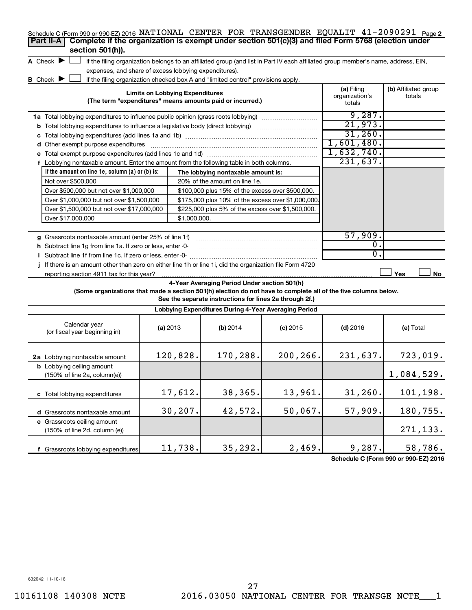| Schedule C (Form 990 or 990-EZ) 2016 NATIONAL CENTER FOR TRANSGENDER EQUALIT $41-2090291$ Page 2<br>Complete if the organization is exempt under section 501(c)(3) and filed Form 5768 (election under<br>Part II-A |                                                                                                                                                                                                                           |                                                                                                                                   |            |                  |            |  |  |  |  |
|---------------------------------------------------------------------------------------------------------------------------------------------------------------------------------------------------------------------|---------------------------------------------------------------------------------------------------------------------------------------------------------------------------------------------------------------------------|-----------------------------------------------------------------------------------------------------------------------------------|------------|------------------|------------|--|--|--|--|
| section 501(h)).                                                                                                                                                                                                    |                                                                                                                                                                                                                           |                                                                                                                                   |            |                  |            |  |  |  |  |
| A Check $\blacktriangleright$                                                                                                                                                                                       |                                                                                                                                                                                                                           | if the filing organization belongs to an affiliated group (and list in Part IV each affiliated group member's name, address, EIN, |            |                  |            |  |  |  |  |
|                                                                                                                                                                                                                     | expenses, and share of excess lobbying expenditures).                                                                                                                                                                     |                                                                                                                                   |            |                  |            |  |  |  |  |
| <b>B</b> Check $\blacktriangleright$                                                                                                                                                                                |                                                                                                                                                                                                                           | if the filing organization checked box A and "limited control" provisions apply.                                                  |            |                  |            |  |  |  |  |
| <b>Limits on Lobbying Expenditures</b><br>(The term "expenditures" means amounts paid or incurred.)                                                                                                                 | (a) Filing<br>organization's<br>totals                                                                                                                                                                                    | (b) Affiliated group<br>totals                                                                                                    |            |                  |            |  |  |  |  |
| 1a Total lobbying expenditures to influence public opinion (grass roots lobbying) [111]                                                                                                                             |                                                                                                                                                                                                                           |                                                                                                                                   |            | 9,287.           |            |  |  |  |  |
|                                                                                                                                                                                                                     |                                                                                                                                                                                                                           |                                                                                                                                   |            | 21,973.          |            |  |  |  |  |
| c                                                                                                                                                                                                                   |                                                                                                                                                                                                                           |                                                                                                                                   |            | 31,260.          |            |  |  |  |  |
| d Other exempt purpose expenditures                                                                                                                                                                                 |                                                                                                                                                                                                                           |                                                                                                                                   |            | 1,601,480.       |            |  |  |  |  |
| е                                                                                                                                                                                                                   |                                                                                                                                                                                                                           |                                                                                                                                   |            | 1,632,740.       |            |  |  |  |  |
| Lobbying nontaxable amount. Enter the amount from the following table in both columns.<br>f                                                                                                                         |                                                                                                                                                                                                                           |                                                                                                                                   |            | 231,637.         |            |  |  |  |  |
| If the amount on line 1e, column (a) or (b) is:                                                                                                                                                                     |                                                                                                                                                                                                                           | The lobbying nontaxable amount is:                                                                                                |            |                  |            |  |  |  |  |
| Not over \$500,000                                                                                                                                                                                                  |                                                                                                                                                                                                                           | 20% of the amount on line 1e.                                                                                                     |            |                  |            |  |  |  |  |
| Over \$500,000 but not over \$1,000,000                                                                                                                                                                             |                                                                                                                                                                                                                           | \$100,000 plus 15% of the excess over \$500,000.                                                                                  |            |                  |            |  |  |  |  |
| Over \$1,000,000 but not over \$1,500,000                                                                                                                                                                           |                                                                                                                                                                                                                           | \$175,000 plus 10% of the excess over \$1,000,000                                                                                 |            |                  |            |  |  |  |  |
| Over \$1,500,000 but not over \$17,000,000                                                                                                                                                                          |                                                                                                                                                                                                                           | \$225,000 plus 5% of the excess over \$1,500,000.                                                                                 |            |                  |            |  |  |  |  |
| Over \$17,000,000                                                                                                                                                                                                   | \$1,000,000.                                                                                                                                                                                                              |                                                                                                                                   |            |                  |            |  |  |  |  |
|                                                                                                                                                                                                                     |                                                                                                                                                                                                                           |                                                                                                                                   |            |                  |            |  |  |  |  |
| g Grassroots nontaxable amount (enter 25% of line 1f)                                                                                                                                                               |                                                                                                                                                                                                                           |                                                                                                                                   |            | 57,909.          |            |  |  |  |  |
| h Subtract line 1g from line 1a. If zero or less, enter -0-                                                                                                                                                         |                                                                                                                                                                                                                           |                                                                                                                                   |            | $\overline{0}$ . |            |  |  |  |  |
| i Subtract line 1f from line 1c. If zero or less, enter -0-                                                                                                                                                         |                                                                                                                                                                                                                           |                                                                                                                                   |            | $\overline{0}$ . |            |  |  |  |  |
| If there is an amount other than zero on either line 1h or line 1i, did the organization file Form 4720                                                                                                             |                                                                                                                                                                                                                           |                                                                                                                                   |            |                  |            |  |  |  |  |
| reporting section 4911 tax for this year?                                                                                                                                                                           |                                                                                                                                                                                                                           |                                                                                                                                   |            |                  | Yes<br>No  |  |  |  |  |
|                                                                                                                                                                                                                     | 4-Year Averaging Period Under section 501(h)<br>(Some organizations that made a section 501(h) election do not have to complete all of the five columns below.<br>See the separate instructions for lines 2a through 2f.) |                                                                                                                                   |            |                  |            |  |  |  |  |
|                                                                                                                                                                                                                     |                                                                                                                                                                                                                           | Lobbying Expenditures During 4-Year Averaging Period                                                                              |            |                  |            |  |  |  |  |
| Calendar year<br>(or fiscal year beginning in)                                                                                                                                                                      | (a) 2013                                                                                                                                                                                                                  | (b) 2014                                                                                                                          | $(c)$ 2015 | $(d)$ 2016       | (e) Total  |  |  |  |  |
| 2a Lobbying nontaxable amount                                                                                                                                                                                       | 120,828.                                                                                                                                                                                                                  | 170,288.                                                                                                                          | 200, 266.  | 231,637.         | 723,019.   |  |  |  |  |
| <b>b</b> Lobbying ceiling amount<br>(150% of line 2a, column(e))                                                                                                                                                    |                                                                                                                                                                                                                           |                                                                                                                                   |            |                  | 1,084,529. |  |  |  |  |

**Schedule C (Form 990 or 990-EZ) 2016**

271,133.

632042 11-10-16

**c** Total lobbying expenditures

**d** Grassroots nontaxable amount **e** Grassroots ceiling amount

(150% of line 2d, column (e))

**f** Grassroots lobbying expenditures

17,612. 38,365. 13,961. 31,260. 101,198.

 $30,207.$  42,572. 50,067. 57,909. 180,755.

11,738.  $\begin{array}{|c|c|c|c|c|c|c|c|} \hline \end{array}$  35,292. 2,469. 9,287. 58,786.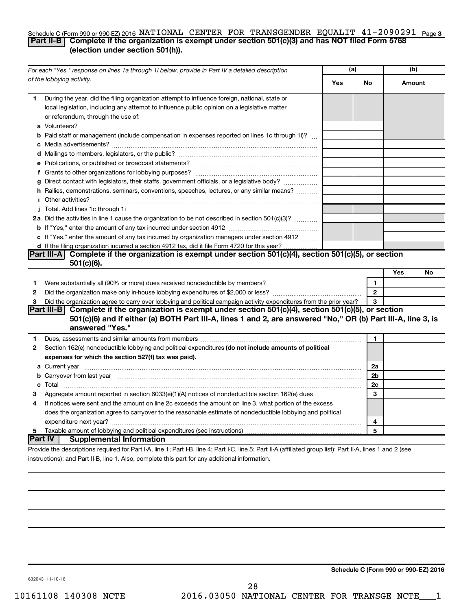#### Schedule C (Form 990 or 990-EZ) 2016 NATIONAL CENTER FOR TRANSGENDER EQUALIT  $41$  –  $2090291$  Page 3 **Part II-B Complete if the organization is exempt under section 501(c)(3) and has NOT filed Form 5768 (election under section 501(h)).**

| For each "Yes," response on lines 1a through 1i below, provide in Part IV a detailed description                                                                                                                                                                                                                                                                        |     | (a)          | (b) |        |
|-------------------------------------------------------------------------------------------------------------------------------------------------------------------------------------------------------------------------------------------------------------------------------------------------------------------------------------------------------------------------|-----|--------------|-----|--------|
| of the lobbying activity.                                                                                                                                                                                                                                                                                                                                               | Yes | No           |     | Amount |
| During the year, did the filing organization attempt to influence foreign, national, state or<br>1<br>local legislation, including any attempt to influence public opinion on a legislative matter<br>or referendum, through the use of:                                                                                                                                |     |              |     |        |
| <b>b</b> Paid staff or management (include compensation in expenses reported on lines 1c through 1i)?                                                                                                                                                                                                                                                                   |     |              |     |        |
|                                                                                                                                                                                                                                                                                                                                                                         |     |              |     |        |
| g Direct contact with legislators, their staffs, government officials, or a legislative body?                                                                                                                                                                                                                                                                           |     |              |     |        |
| h Rallies, demonstrations, seminars, conventions, speeches, lectures, or any similar means?<br><i>i</i> Other activities?                                                                                                                                                                                                                                               |     |              |     |        |
| 2a Did the activities in line 1 cause the organization to be not described in section 501(c)(3)?                                                                                                                                                                                                                                                                        |     |              |     |        |
| c If "Yes," enter the amount of any tax incurred by organization managers under section 4912<br>d If the filing organization incurred a section 4912 tax, did it file Form 4720 for this year?                                                                                                                                                                          |     |              |     |        |
| Part III-A Complete if the organization is exempt under section 501(c)(4), section 501(c)(5), or section<br>$501(c)(6)$ .                                                                                                                                                                                                                                               |     |              |     |        |
|                                                                                                                                                                                                                                                                                                                                                                         |     | $\mathbf{1}$ | Yes | No     |
| 1<br>2                                                                                                                                                                                                                                                                                                                                                                  |     | $\mathbf{2}$ |     |        |
| Did the organization agree to carry over lobbying and political campaign activity expenditures from the prior year?<br>3<br>Part III-B Complete if the organization is exempt under section 501(c)(4), section 501(c)(5), or section<br>501(c)(6) and if either (a) BOTH Part III-A, lines 1 and 2, are answered "No," OR (b) Part III-A, line 3, is<br>answered "Yes." |     | 3            |     |        |
| Dues, assessments and similar amounts from members [11] matter continuum matter assessments and similar amounts from members [11] matter continuum matter as a set of the state of the state of the state of the state of the<br>1                                                                                                                                      |     | 1            |     |        |
| Section 162(e) nondeductible lobbying and political expenditures (do not include amounts of political<br>$\mathbf{2}$<br>expenses for which the section 527(f) tax was paid).                                                                                                                                                                                           |     |              |     |        |
| b Carryover from last year manufactured and contract the contract of the contract of the contract of the contract of contract of contract of contract of contract of contract of contract of contract of contract of contract                                                                                                                                           |     | 2a<br>2b     |     |        |
|                                                                                                                                                                                                                                                                                                                                                                         |     | 2c           |     |        |
| З                                                                                                                                                                                                                                                                                                                                                                       |     | 3            |     |        |
| If notices were sent and the amount on line 2c exceeds the amount on line 3, what portion of the excess<br>4<br>does the organization agree to carryover to the reasonable estimate of nondeductible lobbying and political                                                                                                                                             |     | 4            |     |        |
|                                                                                                                                                                                                                                                                                                                                                                         |     | 5            |     |        |
| Part IV  <br><b>Supplemental Information</b><br>Provide the descriptions required for Part I-A line 1: Part I-B line 4: Part I-C line 5: Part II-A (affiliated group list): Part II-A lines 1 and 2 (see                                                                                                                                                                |     |              |     |        |

Provide the descriptions required for Part I-A, line 1; Part I-B, line 4; Part I-C, line 5; Part II-A (affiliated group list); Part II-A, lines 1 and 2 (see instructions); and Part II-B, line 1. Also, complete this part for any additional information.

**Schedule C (Form 990 or 990-EZ) 2016**

632043 11-10-16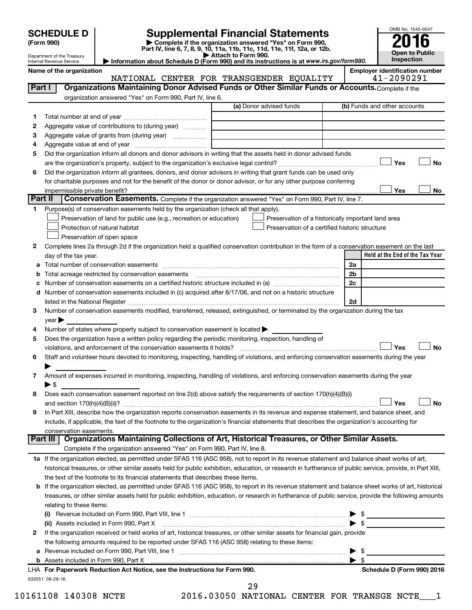| <b>SCHEDULE D</b> |  |
|-------------------|--|
|-------------------|--|

| (Form 990) |  |
|------------|--|
|------------|--|

## **SCHEDULE D Supplemental Financial Statements**<br> **Form 990 2016**<br> **Part IV** line 6.7.8.9.10, 11a, 11b, 11d, 11d, 11d, 11d, 11d, 12a, 0r, 12b

**(Form 990) | Complete if the organization answered "Yes" on Form 990, Part IV, line 6, 7, 8, 9, 10, 11a, 11b, 11c, 11d, 11e, 11f, 12a, or 12b.**

**| Attach to Form 990. | Information about Schedule D (Form 990) and its instructions is at**  *www.irs.gov/form990.*



Department of the Treasury Internal Revenue Service **Name of the organization Employer identification number**  $\vert$  **Employer identification number** 

|         | NATIONAL CENTER FOR TRANSGENDER EQUALITY                                                                                                                                                                                       | 41-2090291                      |
|---------|--------------------------------------------------------------------------------------------------------------------------------------------------------------------------------------------------------------------------------|---------------------------------|
| Part I  | Organizations Maintaining Donor Advised Funds or Other Similar Funds or Accounts. Complete if the                                                                                                                              |                                 |
|         | organization answered "Yes" on Form 990, Part IV, line 6.                                                                                                                                                                      |                                 |
|         | (a) Donor advised funds                                                                                                                                                                                                        | (b) Funds and other accounts    |
| 1       |                                                                                                                                                                                                                                |                                 |
| 2       | Aggregate value of contributions to (during year)                                                                                                                                                                              |                                 |
| З       | Aggregate value of grants from (during year)                                                                                                                                                                                   |                                 |
| 4       |                                                                                                                                                                                                                                |                                 |
| 5       | Did the organization inform all donors and donor advisors in writing that the assets held in donor advised funds                                                                                                               |                                 |
|         |                                                                                                                                                                                                                                | Yes<br>No                       |
| 6       | Did the organization inform all grantees, donors, and donor advisors in writing that grant funds can be used only                                                                                                              |                                 |
|         | for charitable purposes and not for the benefit of the donor or donor advisor, or for any other purpose conferring                                                                                                             |                                 |
|         | impermissible private benefit?                                                                                                                                                                                                 | Yes<br>No                       |
| Part II | Conservation Easements. Complete if the organization answered "Yes" on Form 990, Part IV, line 7.                                                                                                                              |                                 |
| 1.      | Purpose(s) of conservation easements held by the organization (check all that apply).                                                                                                                                          |                                 |
|         | Preservation of land for public use (e.g., recreation or education)<br>Preservation of a historically important land area                                                                                                      |                                 |
|         | Preservation of a certified historic structure<br>Protection of natural habitat                                                                                                                                                |                                 |
|         | Preservation of open space                                                                                                                                                                                                     |                                 |
| 2       | Complete lines 2a through 2d if the organization held a qualified conservation contribution in the form of a conservation easement on the last                                                                                 |                                 |
|         | day of the tax year.                                                                                                                                                                                                           | Held at the End of the Tax Year |
| а       |                                                                                                                                                                                                                                | 2a                              |
|         | Total acreage restricted by conservation easements                                                                                                                                                                             | 2b                              |
|         |                                                                                                                                                                                                                                | 2c                              |
| d       | Number of conservation easements included in (c) acquired after 8/17/06, and not on a historic structure                                                                                                                       |                                 |
|         | listed in the National Register [111] in the National Register [11] in the National Register [11] in the National Register [11] in the National Register [11] in the National Register [11] in the National Register [11] in t | 2d                              |
| 3       | Number of conservation easements modified, transferred, released, extinguished, or terminated by the organization during the tax                                                                                               |                                 |
|         | year                                                                                                                                                                                                                           |                                 |
| 4       | Number of states where property subject to conservation easement is located >                                                                                                                                                  |                                 |
| 5       | Does the organization have a written policy regarding the periodic monitoring, inspection, handling of                                                                                                                         |                                 |
|         | violations, and enforcement of the conservation easements it holds?                                                                                                                                                            | Yes<br>No                       |
| 6       | Staff and volunteer hours devoted to monitoring, inspecting, handling of violations, and enforcing conservation easements during the year                                                                                      |                                 |
|         |                                                                                                                                                                                                                                |                                 |
| 7       | Amount of expenses incurred in monitoring, inspecting, handling of violations, and enforcing conservation easements during the year                                                                                            |                                 |
|         | ▶ \$                                                                                                                                                                                                                           |                                 |
| 8       | Does each conservation easement reported on line 2(d) above satisfy the requirements of section 170(h)(4)(B)(i)                                                                                                                |                                 |
|         |                                                                                                                                                                                                                                | No<br>Yes                       |
| 9       | In Part XIII, describe how the organization reports conservation easements in its revenue and expense statement, and balance sheet, and                                                                                        |                                 |
|         | include, if applicable, the text of the footnote to the organization's financial statements that describes the organization's accounting for                                                                                   |                                 |
|         | conservation easements.                                                                                                                                                                                                        |                                 |
|         | Organizations Maintaining Collections of Art, Historical Treasures, or Other Similar Assets.<br>Part III                                                                                                                       |                                 |
|         | Complete if the organization answered "Yes" on Form 990, Part IV, line 8.                                                                                                                                                      |                                 |
|         | 1a If the organization elected, as permitted under SFAS 116 (ASC 958), not to report in its revenue statement and balance sheet works of art,                                                                                  |                                 |
|         | historical treasures, or other similar assets held for public exhibition, education, or research in furtherance of public service, provide, in Part XIII,                                                                      |                                 |
|         | the text of the footnote to its financial statements that describes these items.                                                                                                                                               |                                 |
| b       | If the organization elected, as permitted under SFAS 116 (ASC 958), to report in its revenue statement and balance sheet works of art, historical                                                                              |                                 |
|         | treasures, or other similar assets held for public exhibition, education, or research in furtherance of public service, provide the following amounts                                                                          |                                 |
|         | relating to these items:                                                                                                                                                                                                       |                                 |
|         |                                                                                                                                                                                                                                | \$                              |
|         | (ii) Assets included in Form 990, Part X                                                                                                                                                                                       | $\blacktriangleright$ \$        |
| 2       | If the organization received or held works of art, historical treasures, or other similar assets for financial gain, provide                                                                                                   |                                 |
|         | the following amounts required to be reported under SFAS 116 (ASC 958) relating to these items:                                                                                                                                |                                 |
|         |                                                                                                                                                                                                                                | \$                              |
| а       |                                                                                                                                                                                                                                | $\blacktriangleright$ s         |
| b       | LHA For Paperwork Reduction Act Notice, see the Instructions for Form 990.                                                                                                                                                     |                                 |
|         |                                                                                                                                                                                                                                | Schedule D (Form 990) 2016      |

632051 08-29-16

10161108 140308 NCTE 2016.03050 NATIONAL CENTER FOR TRANSGE NCTE\_\_\_1 29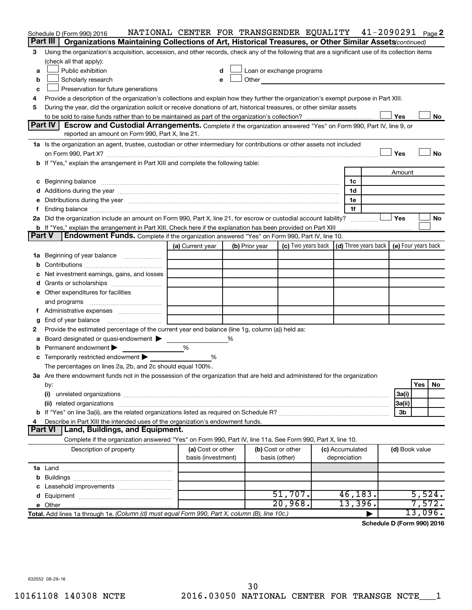|        | Schedule D (Form 990) 2016                                                                                                                                                                                                     | NATIONAL CENTER FOR TRANSGENDER EQUALITY 41-2090291 Page2 |   |                |                                                                                                                                                                                                                                |                 |                |         |           |
|--------|--------------------------------------------------------------------------------------------------------------------------------------------------------------------------------------------------------------------------------|-----------------------------------------------------------|---|----------------|--------------------------------------------------------------------------------------------------------------------------------------------------------------------------------------------------------------------------------|-----------------|----------------|---------|-----------|
|        | Part III<br>Organizations Maintaining Collections of Art, Historical Treasures, or Other Similar Assets (continued)                                                                                                            |                                                           |   |                |                                                                                                                                                                                                                                |                 |                |         |           |
| 3      | Using the organization's acquisition, accession, and other records, check any of the following that are a significant use of its collection items                                                                              |                                                           |   |                |                                                                                                                                                                                                                                |                 |                |         |           |
|        | (check all that apply):                                                                                                                                                                                                        |                                                           |   |                |                                                                                                                                                                                                                                |                 |                |         |           |
| a      | Public exhibition                                                                                                                                                                                                              | d                                                         |   |                | Loan or exchange programs                                                                                                                                                                                                      |                 |                |         |           |
| b      | Scholarly research                                                                                                                                                                                                             | е                                                         |   |                | Other and the control of the control of the control of the control of the control of the control of the control of the control of the control of the control of the control of the control of the control of the control of th |                 |                |         |           |
| c      | Preservation for future generations                                                                                                                                                                                            |                                                           |   |                |                                                                                                                                                                                                                                |                 |                |         |           |
| 4      | Provide a description of the organization's collections and explain how they further the organization's exempt purpose in Part XIII.                                                                                           |                                                           |   |                |                                                                                                                                                                                                                                |                 |                |         |           |
| 5      | During the year, did the organization solicit or receive donations of art, historical treasures, or other similar assets                                                                                                       |                                                           |   |                |                                                                                                                                                                                                                                |                 |                |         |           |
|        |                                                                                                                                                                                                                                |                                                           |   |                |                                                                                                                                                                                                                                |                 | Yes            |         | No        |
|        | Part IV<br>Escrow and Custodial Arrangements. Complete if the organization answered "Yes" on Form 990, Part IV, line 9, or                                                                                                     |                                                           |   |                |                                                                                                                                                                                                                                |                 |                |         |           |
|        | reported an amount on Form 990, Part X, line 21.                                                                                                                                                                               |                                                           |   |                |                                                                                                                                                                                                                                |                 |                |         |           |
|        | 1a Is the organization an agent, trustee, custodian or other intermediary for contributions or other assets not included                                                                                                       |                                                           |   |                |                                                                                                                                                                                                                                |                 |                |         |           |
|        |                                                                                                                                                                                                                                |                                                           |   |                |                                                                                                                                                                                                                                |                 | Yes            |         | <b>No</b> |
|        | b If "Yes," explain the arrangement in Part XIII and complete the following table:                                                                                                                                             |                                                           |   |                |                                                                                                                                                                                                                                |                 |                |         |           |
|        |                                                                                                                                                                                                                                |                                                           |   |                |                                                                                                                                                                                                                                |                 | Amount         |         |           |
|        | c Beginning balance measurements and the contract of the contract of the contract of the contract of the contract of the contract of the contract of the contract of the contract of the contract of the contract of the contr |                                                           |   |                |                                                                                                                                                                                                                                | 1c              |                |         |           |
|        |                                                                                                                                                                                                                                |                                                           |   |                |                                                                                                                                                                                                                                | 1d              |                |         |           |
|        | e Distributions during the year manufactured and an account of the year manufactured and account of the year manufactured and account of the USA of the Distributions during the year                                          |                                                           |   |                |                                                                                                                                                                                                                                | 1e              |                |         |           |
|        |                                                                                                                                                                                                                                |                                                           |   |                |                                                                                                                                                                                                                                | 1f              |                |         |           |
|        | 2a Did the organization include an amount on Form 990, Part X, line 21, for escrow or custodial account liability?                                                                                                             |                                                           |   |                |                                                                                                                                                                                                                                |                 | Yes            |         | No        |
|        | <b>b</b> If "Yes," explain the arrangement in Part XIII. Check here if the explanation has been provided on Part XIII<br>Part V                                                                                                |                                                           |   |                |                                                                                                                                                                                                                                |                 |                |         |           |
|        | Endowment Funds. Complete if the organization answered "Yes" on Form 990, Part IV, line 10.                                                                                                                                    |                                                           |   |                |                                                                                                                                                                                                                                |                 |                |         |           |
|        |                                                                                                                                                                                                                                | (a) Current year                                          |   | (b) Prior year | (c) Two years back $\vert$ (d) Three years back $\vert$ (e) Four years back                                                                                                                                                    |                 |                |         |           |
|        | 1a Beginning of year balance                                                                                                                                                                                                   |                                                           |   |                |                                                                                                                                                                                                                                |                 |                |         |           |
|        |                                                                                                                                                                                                                                |                                                           |   |                |                                                                                                                                                                                                                                |                 |                |         |           |
|        | Net investment earnings, gains, and losses                                                                                                                                                                                     |                                                           |   |                |                                                                                                                                                                                                                                |                 |                |         |           |
|        | e Other expenditures for facilities                                                                                                                                                                                            |                                                           |   |                |                                                                                                                                                                                                                                |                 |                |         |           |
|        |                                                                                                                                                                                                                                |                                                           |   |                |                                                                                                                                                                                                                                |                 |                |         |           |
|        | and programs                                                                                                                                                                                                                   |                                                           |   |                |                                                                                                                                                                                                                                |                 |                |         |           |
| Ť.     |                                                                                                                                                                                                                                |                                                           |   |                |                                                                                                                                                                                                                                |                 |                |         |           |
| g<br>2 | End of year balance<br>Provide the estimated percentage of the current year end balance (line 1g, column (a)) held as:                                                                                                         |                                                           |   |                |                                                                                                                                                                                                                                |                 |                |         |           |
|        | Board designated or quasi-endowment                                                                                                                                                                                            |                                                           | ℅ |                |                                                                                                                                                                                                                                |                 |                |         |           |
| а      | <b>b</b> Permanent endowment $\blacktriangleright$                                                                                                                                                                             | %                                                         |   |                |                                                                                                                                                                                                                                |                 |                |         |           |
|        | c Temporarily restricted endowment $\blacktriangleright$                                                                                                                                                                       | %                                                         |   |                |                                                                                                                                                                                                                                |                 |                |         |           |
|        | The percentages on lines 2a, 2b, and 2c should equal 100%.                                                                                                                                                                     |                                                           |   |                |                                                                                                                                                                                                                                |                 |                |         |           |
|        | 3a Are there endowment funds not in the possession of the organization that are held and administered for the organization                                                                                                     |                                                           |   |                |                                                                                                                                                                                                                                |                 |                |         |           |
|        | by:                                                                                                                                                                                                                            |                                                           |   |                |                                                                                                                                                                                                                                |                 |                | Yes     | No        |
|        | (i)                                                                                                                                                                                                                            |                                                           |   |                |                                                                                                                                                                                                                                |                 | 3a(i)          |         |           |
|        |                                                                                                                                                                                                                                |                                                           |   |                |                                                                                                                                                                                                                                |                 | 3a(ii)         |         |           |
|        |                                                                                                                                                                                                                                |                                                           |   |                |                                                                                                                                                                                                                                |                 | 3b             |         |           |
| 4      | Describe in Part XIII the intended uses of the organization's endowment funds.                                                                                                                                                 |                                                           |   |                |                                                                                                                                                                                                                                |                 |                |         |           |
|        | <b>Part VI</b><br>Land, Buildings, and Equipment.                                                                                                                                                                              |                                                           |   |                |                                                                                                                                                                                                                                |                 |                |         |           |
|        | Complete if the organization answered "Yes" on Form 990, Part IV, line 11a. See Form 990, Part X, line 10.                                                                                                                     |                                                           |   |                |                                                                                                                                                                                                                                |                 |                |         |           |
|        | Description of property                                                                                                                                                                                                        | (a) Cost or other                                         |   |                | (b) Cost or other                                                                                                                                                                                                              | (c) Accumulated | (d) Book value |         |           |
|        |                                                                                                                                                                                                                                | basis (investment)                                        |   |                | basis (other)                                                                                                                                                                                                                  | depreciation    |                |         |           |
|        |                                                                                                                                                                                                                                |                                                           |   |                |                                                                                                                                                                                                                                |                 |                |         |           |
|        |                                                                                                                                                                                                                                |                                                           |   |                |                                                                                                                                                                                                                                |                 |                |         |           |
|        |                                                                                                                                                                                                                                |                                                           |   |                |                                                                                                                                                                                                                                |                 |                |         |           |
|        |                                                                                                                                                                                                                                |                                                           |   |                | 51,707.                                                                                                                                                                                                                        | 46, 183.        |                | 5,524.  |           |
|        |                                                                                                                                                                                                                                |                                                           |   |                | 20,968.                                                                                                                                                                                                                        | 13,396.         |                | 7,572.  |           |
|        | Total. Add lines 1a through 1e. (Column (d) must equal Form 990, Part X, column (B), line 10c.)                                                                                                                                |                                                           |   |                |                                                                                                                                                                                                                                |                 |                | 13,096. |           |

**Schedule D (Form 990) 2016**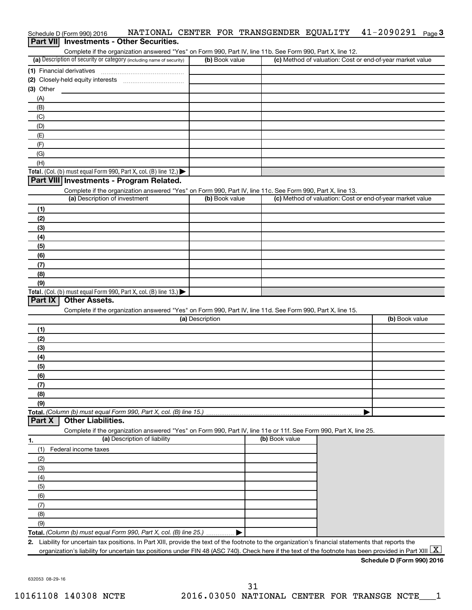| Schedule D (Form 990) 2016                                                                                        |                 |                | NATIONAL CENTER FOR TRANSGENDER EQUALITY | $41 - 2090291$ Page 3                                     |
|-------------------------------------------------------------------------------------------------------------------|-----------------|----------------|------------------------------------------|-----------------------------------------------------------|
| Part VII Investments - Other Securities.                                                                          |                 |                |                                          |                                                           |
| Complete if the organization answered "Yes" on Form 990, Part IV, line 11b. See Form 990, Part X, line 12.        |                 |                |                                          |                                                           |
| (a) Description of security or category (including name of security)                                              |                 | (b) Book value |                                          | (c) Method of valuation: Cost or end-of-year market value |
|                                                                                                                   |                 |                |                                          |                                                           |
|                                                                                                                   |                 |                |                                          |                                                           |
| $(3)$ Other                                                                                                       |                 |                |                                          |                                                           |
| (A)                                                                                                               |                 |                |                                          |                                                           |
| (B)                                                                                                               |                 |                |                                          |                                                           |
| (C)                                                                                                               |                 |                |                                          |                                                           |
| (D)                                                                                                               |                 |                |                                          |                                                           |
| (E)                                                                                                               |                 |                |                                          |                                                           |
| (F)                                                                                                               |                 |                |                                          |                                                           |
| (G)                                                                                                               |                 |                |                                          |                                                           |
| (H)                                                                                                               |                 |                |                                          |                                                           |
| Total. (Col. (b) must equal Form 990, Part X, col. (B) line 12.) $\blacktriangleright$                            |                 |                |                                          |                                                           |
| Part VIII Investments - Program Related.                                                                          |                 |                |                                          |                                                           |
| Complete if the organization answered "Yes" on Form 990, Part IV, line 11c. See Form 990, Part X, line 13.        |                 |                |                                          |                                                           |
| (a) Description of investment                                                                                     |                 | (b) Book value |                                          | (c) Method of valuation: Cost or end-of-year market value |
| (1)                                                                                                               |                 |                |                                          |                                                           |
| (2)                                                                                                               |                 |                |                                          |                                                           |
| (3)                                                                                                               |                 |                |                                          |                                                           |
| (4)                                                                                                               |                 |                |                                          |                                                           |
| (5)                                                                                                               |                 |                |                                          |                                                           |
| (6)                                                                                                               |                 |                |                                          |                                                           |
| (7)                                                                                                               |                 |                |                                          |                                                           |
| (8)                                                                                                               |                 |                |                                          |                                                           |
| (9)                                                                                                               |                 |                |                                          |                                                           |
| Total. (Col. (b) must equal Form 990, Part X, col. (B) line 13.)<br>Part IX<br><b>Other Assets.</b>               |                 |                |                                          |                                                           |
|                                                                                                                   |                 |                |                                          |                                                           |
| Complete if the organization answered "Yes" on Form 990, Part IV, line 11d. See Form 990, Part X, line 15.        | (a) Description |                |                                          | (b) Book value                                            |
|                                                                                                                   |                 |                |                                          |                                                           |
| (1)                                                                                                               |                 |                |                                          |                                                           |
| (2)                                                                                                               |                 |                |                                          |                                                           |
| (3)                                                                                                               |                 |                |                                          |                                                           |
| (4)                                                                                                               |                 |                |                                          |                                                           |
| (5)<br>(6)                                                                                                        |                 |                |                                          |                                                           |
|                                                                                                                   |                 |                |                                          |                                                           |
| (7)<br>(8)                                                                                                        |                 |                |                                          |                                                           |
| (9)                                                                                                               |                 |                |                                          |                                                           |
| Total. (Column (b) must equal Form 990, Part X, col. (B) line 15.)                                                |                 |                |                                          | ▶                                                         |
| <b>Other Liabilities.</b><br>Part X                                                                               |                 |                |                                          |                                                           |
| Complete if the organization answered "Yes" on Form 990, Part IV, line 11e or 11f. See Form 990, Part X, line 25. |                 |                |                                          |                                                           |
| (a) Description of liability<br>1.                                                                                |                 |                | (b) Book value                           |                                                           |
| Federal income taxes<br>(1)                                                                                       |                 |                |                                          |                                                           |
| (2)                                                                                                               |                 |                |                                          |                                                           |
|                                                                                                                   |                 |                |                                          |                                                           |
| (3)                                                                                                               |                 |                |                                          |                                                           |

**Total.**  *(Column (b) must equal Form 990, Part X, col. (B) line 25.)*  $\blacktriangleright$ 

**2.** Liability for uncertain tax positions. In Part XIII, provide the text of the footnote to the organization's financial statements that reports the organization's liability for uncertain tax positions under FIN 48 (ASC 740). Check here if the text of the footnote has been provided in Part XIII  $\boxed{\text{X}}$ 

#### **Schedule D (Form 990) 2016**

632053 08-29-16

(5) (6) (7) (8) (9)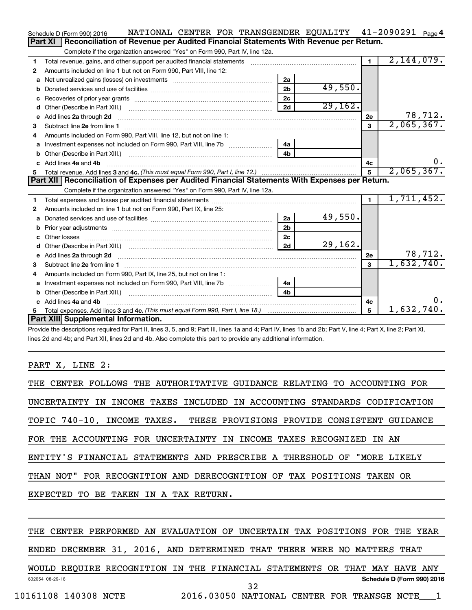|    | NATIONAL CENTER FOR TRANSGENDER EQUALITY 41-2090291 Page 4<br>Schedule D (Form 990) 2016                                                                                                                                            |                |          |                |            |         |
|----|-------------------------------------------------------------------------------------------------------------------------------------------------------------------------------------------------------------------------------------|----------------|----------|----------------|------------|---------|
|    | Part XI<br>Reconciliation of Revenue per Audited Financial Statements With Revenue per Return.                                                                                                                                      |                |          |                |            |         |
|    | Complete if the organization answered "Yes" on Form 990, Part IV, line 12a.                                                                                                                                                         |                |          |                |            |         |
| 1  | Total revenue, gains, and other support per audited financial statements [111][11] matter controller matter controller matter controller matter matter matter matter matter matter matter matter matter matter matter matter m      |                |          | $\blacksquare$ | 2,144,079. |         |
| 2  | Amounts included on line 1 but not on Form 990, Part VIII, line 12:                                                                                                                                                                 |                |          |                |            |         |
| a  |                                                                                                                                                                                                                                     | 2a             |          |                |            |         |
| b  |                                                                                                                                                                                                                                     | 2 <sub>b</sub> | 49,550.  |                |            |         |
| с  |                                                                                                                                                                                                                                     | 2c             |          |                |            |         |
| d  |                                                                                                                                                                                                                                     | 2d             | 29,162.  |                |            |         |
| е  | Add lines 2a through 2d <b>manufactures</b> in the contract of the contract of the contract of the contract of the contract of the contract of the contract of the contract of the contract of the contract of the contract of the  |                |          | 2e             |            | 78,712. |
| 3  |                                                                                                                                                                                                                                     |                |          | 3              | 2,065,367. |         |
| 4  | Amounts included on Form 990, Part VIII, line 12, but not on line 1:                                                                                                                                                                |                |          |                |            |         |
| а  | Investment expenses not included on Form 990, Part VIII, line 7b [                                                                                                                                                                  | 4a             |          |                |            |         |
| b  |                                                                                                                                                                                                                                     | 4 <sub>h</sub> |          |                |            |         |
| C. | Add lines 4a and 4b                                                                                                                                                                                                                 |                |          | 4c             |            | υ.      |
| 5  |                                                                                                                                                                                                                                     |                |          | $\overline{5}$ | 2,065,367. |         |
|    | Part XII   Reconciliation of Expenses per Audited Financial Statements With Expenses per Return.                                                                                                                                    |                |          |                |            |         |
|    | Complete if the organization answered "Yes" on Form 990, Part IV, line 12a.                                                                                                                                                         |                |          |                |            |         |
| 1  |                                                                                                                                                                                                                                     |                |          | $\blacksquare$ | 1,711,452. |         |
| 2  | Amounts included on line 1 but not on Form 990, Part IX, line 25:                                                                                                                                                                   |                |          |                |            |         |
| a  |                                                                                                                                                                                                                                     | 2a             | 49,550.  |                |            |         |
| b  |                                                                                                                                                                                                                                     | 2 <sub>b</sub> |          |                |            |         |
| c  |                                                                                                                                                                                                                                     | 2 <sub>c</sub> |          |                |            |         |
|    |                                                                                                                                                                                                                                     | 2d             | 29, 162. |                |            |         |
| е  | Add lines 2a through 2d <b>contained a contained a contained a</b> contained a contact the state of the contained and contained a contact the contact of the contact of the contact of the contact of the contact of the contact of |                |          | 2е             |            | 78,712. |
| 3  |                                                                                                                                                                                                                                     |                |          | $\mathbf{a}$   | 1,632,740. |         |
| 4  | Amounts included on Form 990, Part IX, line 25, but not on line 1:                                                                                                                                                                  |                |          |                |            |         |
| a  |                                                                                                                                                                                                                                     | 4a             |          |                |            |         |
| b  | Other (Describe in Part XIII.) [100] [100] [100] [100] [100] [100] [100] [100] [100] [100] [100] [100] [100] [                                                                                                                      | 4h             |          |                |            |         |
|    | Add lines 4a and 4b                                                                                                                                                                                                                 |                |          | 4c             |            | 0.      |
| 5  |                                                                                                                                                                                                                                     |                |          | 5              | 1,632,740. |         |
|    | Part XIII Supplemental Information.                                                                                                                                                                                                 |                |          |                |            |         |

Provide the descriptions required for Part II, lines 3, 5, and 9; Part III, lines 1a and 4; Part IV, lines 1b and 2b; Part V, line 4; Part X, line 2; Part XI, lines 2d and 4b; and Part XII, lines 2d and 4b. Also complete this part to provide any additional information.

PART X, LINE 2:

| THE CENTER FOLLOWS THE AUTHORITATIVE GUIDANCE RELATING TO ACCOUNTING FOR  |
|---------------------------------------------------------------------------|
| UNCERTAINTY IN INCOME TAXES INCLUDED IN ACCOUNTING STANDARDS CODIFICATION |
| TOPIC 740-10, INCOME TAXES. THESE PROVISIONS PROVIDE CONSISTENT GUIDANCE  |
| FOR THE ACCOUNTING FOR UNCERTAINTY IN INCOME TAXES RECOGNIZED IN AN       |
| ENTITY'S FINANCIAL STATEMENTS AND PRESCRIBE A THRESHOLD OF "MORE LIKELY   |
| THAN NOT" FOR RECOGNITION AND DERECOGNITION OF TAX POSITIONS TAKEN OR     |
| EXPECTED TO BE TAKEN IN A TAX RETURN.                                     |

#### THE CENTER PERFORMED AN EVALUATION OF UNCERTAIN TAX POSITIONS FOR THE YEAR

ENDED DECEMBER 31, 2016, AND DETERMINED THAT THERE WERE NO MATTERS THAT

632054 08-29-16 **Schedule D (Form 990) 2016** WOULD REQUIRE RECOGNITION IN THE FINANCIAL STATEMENTS OR THAT MAY HAVE ANY

32

10161108 140308 NCTE 2016.03050 NATIONAL CENTER FOR TRANSGE NCTE\_\_\_1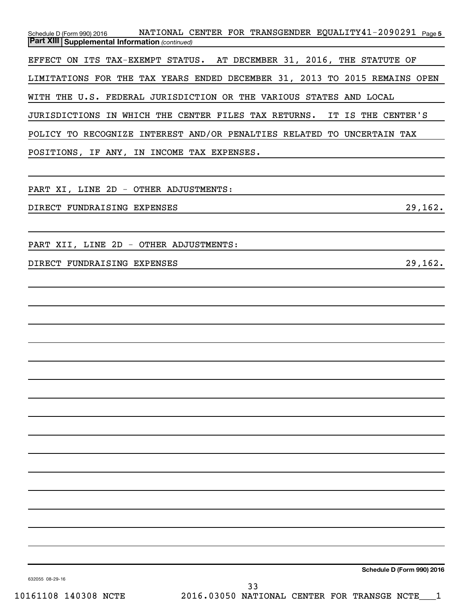Schedule D (Form 990) 2016 NATIONAL CENTER FOR TRANSGENDER EQUALITY41-2090291 <sub>Page 5</sub> *(continued)* **Part XIII Supplemental Information**  EFFECT ON ITS TAX-EXEMPT STATUS. AT DECEMBER 31, 2016, THE STATUTE OF LIMITATIONS FOR THE TAX YEARS ENDED DECEMBER 31, 2013 TO 2015 REMAINS OPEN WITH THE U.S. FEDERAL JURISDICTION OR THE VARIOUS STATES AND LOCAL JURISDICTIONS IN WHICH THE CENTER FILES TAX RETURNS. IT IS THE CENTER'S POLICY TO RECOGNIZE INTEREST AND/OR PENALTIES RELATED TO UNCERTAIN TAX POSITIONS, IF ANY, IN INCOME TAX EXPENSES.

PART XI, LINE 2D - OTHER ADJUSTMENTS:

DIRECT FUNDRAISING EXPENSES 29, 2008 29, 202.

PART XII, LINE 2D - OTHER ADJUSTMENTS:

DIRECT FUNDRAISING EXPENSES 29,162.

**Schedule D (Form 990) 2016**

632055 08-29-16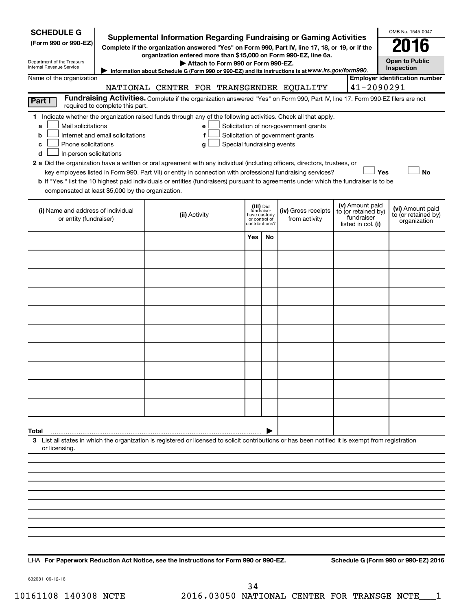| <b>SCHEDULE G</b><br>(Form 990 or 990-EZ)                                                                                                                                                                                                                                                                                                                                                                                                                                          |                                  |                                    |                                                            |              | Supplemental Information Regarding Fundraising or Gaming Activities<br>Complete if the organization answered "Yes" on Form 990, Part IV, line 17, 18, or 19, or if the                    |                                                                            | OMB No. 1545-0047                                       |
|------------------------------------------------------------------------------------------------------------------------------------------------------------------------------------------------------------------------------------------------------------------------------------------------------------------------------------------------------------------------------------------------------------------------------------------------------------------------------------|----------------------------------|------------------------------------|------------------------------------------------------------|--------------|-------------------------------------------------------------------------------------------------------------------------------------------------------------------------------------------|----------------------------------------------------------------------------|---------------------------------------------------------|
| Department of the Treasury<br>Internal Revenue Service                                                                                                                                                                                                                                                                                                                                                                                                                             |                                  | Attach to Form 990 or Form 990-EZ. |                                                            |              | organization entered more than \$15,000 on Form 990-EZ, line 6a.                                                                                                                          |                                                                            | <b>Open to Public</b>                                   |
|                                                                                                                                                                                                                                                                                                                                                                                                                                                                                    |                                  |                                    |                                                            |              | Information about Schedule G (Form 990 or 990-EZ) and its instructions is at WWW.irs.gov/form990.                                                                                         |                                                                            | Inspection<br><b>Employer identification number</b>     |
| Name of the organization                                                                                                                                                                                                                                                                                                                                                                                                                                                           |                                  |                                    |                                                            |              | NATIONAL CENTER FOR TRANSGENDER EQUALITY                                                                                                                                                  | 41-2090291                                                                 |                                                         |
|                                                                                                                                                                                                                                                                                                                                                                                                                                                                                    |                                  |                                    |                                                            |              | Fundraising Activities. Complete if the organization answered "Yes" on Form 990, Part IV, line 17. Form 990-EZ filers are not                                                             |                                                                            |                                                         |
| Part I                                                                                                                                                                                                                                                                                                                                                                                                                                                                             | required to complete this part.  |                                    |                                                            |              |                                                                                                                                                                                           |                                                                            |                                                         |
| 1 Indicate whether the organization raised funds through any of the following activities. Check all that apply.<br>Mail solicitations<br>a<br>b<br>Phone solicitations<br>c<br>In-person solicitations<br>d<br>2 a Did the organization have a written or oral agreement with any individual (including officers, directors, trustees, or<br>b If "Yes," list the 10 highest paid individuals or entities (fundraisers) pursuant to agreements under which the fundraiser is to be | Internet and email solicitations | e<br>f<br>g                        | Special fundraising events                                 |              | Solicitation of non-government grants<br>Solicitation of government grants<br>key employees listed in Form 990, Part VII) or entity in connection with professional fundraising services? | Yes                                                                        | No                                                      |
| compensated at least \$5,000 by the organization.                                                                                                                                                                                                                                                                                                                                                                                                                                  |                                  |                                    |                                                            |              |                                                                                                                                                                                           |                                                                            |                                                         |
| (i) Name and address of individual<br>or entity (fundraiser)                                                                                                                                                                                                                                                                                                                                                                                                                       |                                  | (ii) Activity                      | (iii) Did<br>fundraiser<br>or control of<br>contributions? | have custody | (iv) Gross receipts<br>from activity                                                                                                                                                      | (v) Amount paid<br>to (or retained by)<br>fundraiser<br>listed in col. (i) | (vi) Amount paid<br>to (or retained by)<br>organization |
|                                                                                                                                                                                                                                                                                                                                                                                                                                                                                    |                                  |                                    | Yes                                                        | No           |                                                                                                                                                                                           |                                                                            |                                                         |
|                                                                                                                                                                                                                                                                                                                                                                                                                                                                                    |                                  |                                    |                                                            |              |                                                                                                                                                                                           |                                                                            |                                                         |
|                                                                                                                                                                                                                                                                                                                                                                                                                                                                                    |                                  |                                    |                                                            |              |                                                                                                                                                                                           |                                                                            |                                                         |
|                                                                                                                                                                                                                                                                                                                                                                                                                                                                                    |                                  |                                    |                                                            |              |                                                                                                                                                                                           |                                                                            |                                                         |
|                                                                                                                                                                                                                                                                                                                                                                                                                                                                                    |                                  |                                    |                                                            |              |                                                                                                                                                                                           |                                                                            |                                                         |
|                                                                                                                                                                                                                                                                                                                                                                                                                                                                                    |                                  |                                    |                                                            |              |                                                                                                                                                                                           |                                                                            |                                                         |
|                                                                                                                                                                                                                                                                                                                                                                                                                                                                                    |                                  |                                    |                                                            |              |                                                                                                                                                                                           |                                                                            |                                                         |
|                                                                                                                                                                                                                                                                                                                                                                                                                                                                                    |                                  |                                    |                                                            |              |                                                                                                                                                                                           |                                                                            |                                                         |
|                                                                                                                                                                                                                                                                                                                                                                                                                                                                                    |                                  |                                    |                                                            |              |                                                                                                                                                                                           |                                                                            |                                                         |
|                                                                                                                                                                                                                                                                                                                                                                                                                                                                                    |                                  |                                    |                                                            |              |                                                                                                                                                                                           |                                                                            |                                                         |
| Total                                                                                                                                                                                                                                                                                                                                                                                                                                                                              |                                  |                                    |                                                            |              |                                                                                                                                                                                           |                                                                            |                                                         |
| 3 List all states in which the organization is registered or licensed to solicit contributions or has been notified it is exempt from registration<br>or licensing.                                                                                                                                                                                                                                                                                                                |                                  |                                    |                                                            |              |                                                                                                                                                                                           |                                                                            |                                                         |
|                                                                                                                                                                                                                                                                                                                                                                                                                                                                                    |                                  |                                    |                                                            |              |                                                                                                                                                                                           |                                                                            |                                                         |
|                                                                                                                                                                                                                                                                                                                                                                                                                                                                                    |                                  |                                    |                                                            |              |                                                                                                                                                                                           |                                                                            |                                                         |
|                                                                                                                                                                                                                                                                                                                                                                                                                                                                                    |                                  |                                    |                                                            |              |                                                                                                                                                                                           |                                                                            |                                                         |
|                                                                                                                                                                                                                                                                                                                                                                                                                                                                                    |                                  |                                    |                                                            |              |                                                                                                                                                                                           |                                                                            |                                                         |
|                                                                                                                                                                                                                                                                                                                                                                                                                                                                                    |                                  |                                    |                                                            |              |                                                                                                                                                                                           |                                                                            |                                                         |
|                                                                                                                                                                                                                                                                                                                                                                                                                                                                                    |                                  |                                    |                                                            |              |                                                                                                                                                                                           |                                                                            |                                                         |
|                                                                                                                                                                                                                                                                                                                                                                                                                                                                                    |                                  |                                    |                                                            |              |                                                                                                                                                                                           |                                                                            |                                                         |
|                                                                                                                                                                                                                                                                                                                                                                                                                                                                                    |                                  |                                    |                                                            |              |                                                                                                                                                                                           |                                                                            |                                                         |

**For Paperwork Reduction Act Notice, see the Instructions for Form 990 or 990-EZ. Schedule G (Form 990 or 990-EZ) 2016** LHA

632081 09-12-16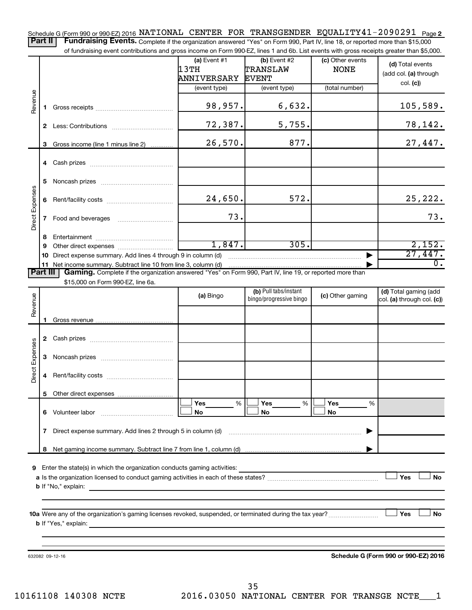Schedule G (Form 990 or 990-EZ) 2016 NATIONAL CENTER FOR TRANSGENDER EQUALITY41-2090291 <sub>Page 2</sub> Part II | Fundraising Events. Complete if the organization answered "Yes" on Form 990, Part IV, line 18, or reported more than \$15,000

of fundraising event contributions and gross income on Form 990-EZ, lines 1 and 6b. List events with gross receipts greater than \$5,000.

|                        |              | or fundraising event contributions and gross income on Form 990-EZ, lines T and 6D. List events with gross receipts greater than \$5,000.     | $(a)$ Event #1<br>13TH | $(b)$ Event #2<br>TRANSLAW                       | (c) Other events<br><b>NONE</b> | (d) Total events<br>(add col. (a) through           |
|------------------------|--------------|-----------------------------------------------------------------------------------------------------------------------------------------------|------------------------|--------------------------------------------------|---------------------------------|-----------------------------------------------------|
|                        |              |                                                                                                                                               | ANNIVERSARY            | <b>EVENT</b>                                     |                                 | col. (c)                                            |
|                        |              |                                                                                                                                               | (event type)           | (event type)                                     | (total number)                  |                                                     |
| Revenue                | 1.           |                                                                                                                                               | 98,957.                | 6,632.                                           |                                 | 105,589.                                            |
|                        |              |                                                                                                                                               | 72,387.                | 5,755.                                           |                                 | <u>78,142.</u>                                      |
|                        | 3            | Gross income (line 1 minus line 2)                                                                                                            | 26,570.                | 877.                                             |                                 | 27,447.                                             |
|                        |              |                                                                                                                                               |                        |                                                  |                                 |                                                     |
|                        | 5.           |                                                                                                                                               |                        |                                                  |                                 |                                                     |
|                        | 6            |                                                                                                                                               | 24,650.                | 572.                                             |                                 | 25, 222.                                            |
| Direct Expenses        | $\mathbf{7}$ |                                                                                                                                               | 73.                    |                                                  |                                 | 73.                                                 |
|                        | 8            |                                                                                                                                               |                        |                                                  |                                 |                                                     |
|                        | 9            |                                                                                                                                               | 1,847.                 | 305.                                             |                                 | 2,152.                                              |
|                        | 10.          | Direct expense summary. Add lines 4 through 9 in column (d)                                                                                   |                        |                                                  |                                 | 27,447.                                             |
| <b>Part III</b>        |              | 11 Net income summary. Subtract line 10 from line 3, column (d)                                                                               |                        |                                                  |                                 | $\overline{0}$ .                                    |
|                        |              | Gaming. Complete if the organization answered "Yes" on Form 990, Part IV, line 19, or reported more than<br>\$15,000 on Form 990-EZ, line 6a. |                        |                                                  |                                 |                                                     |
|                        |              |                                                                                                                                               | (a) Bingo              | (b) Pull tabs/instant<br>bingo/progressive bingo | (c) Other gaming                | (d) Total gaming (add<br>col. (a) through col. (c)) |
| Revenue                |              |                                                                                                                                               |                        |                                                  |                                 |                                                     |
|                        | 1.           |                                                                                                                                               |                        |                                                  |                                 |                                                     |
|                        |              |                                                                                                                                               |                        |                                                  |                                 |                                                     |
| <b>Direct Expenses</b> | 3            |                                                                                                                                               |                        |                                                  |                                 |                                                     |
|                        | 4            |                                                                                                                                               |                        |                                                  |                                 |                                                     |
|                        | 5.           |                                                                                                                                               | <b>Yes</b><br>%        | Yes<br>%                                         | Yes                             |                                                     |
|                        |              | 6 Volunteer labor                                                                                                                             | No                     | No                                               | %<br>No                         |                                                     |
|                        | $\mathbf{7}$ | Direct expense summary. Add lines 2 through 5 in column (d)                                                                                   |                        |                                                  |                                 |                                                     |
|                        | 8            |                                                                                                                                               |                        |                                                  |                                 |                                                     |
|                        |              |                                                                                                                                               |                        |                                                  |                                 |                                                     |
| 9                      |              | Enter the state(s) in which the organization conducts gaming activities:                                                                      |                        |                                                  |                                 |                                                     |
|                        |              |                                                                                                                                               |                        |                                                  |                                 | Yes<br>No                                           |
|                        |              | <b>b</b> If "No," explain:                                                                                                                    |                        |                                                  |                                 |                                                     |
|                        |              |                                                                                                                                               |                        |                                                  |                                 |                                                     |
|                        |              | <b>b</b> If "Yes," explain:                                                                                                                   |                        |                                                  |                                 | Yes<br>No                                           |
|                        |              |                                                                                                                                               |                        |                                                  |                                 |                                                     |
|                        |              |                                                                                                                                               |                        |                                                  |                                 |                                                     |
|                        |              | 632082 09-12-16                                                                                                                               |                        |                                                  |                                 | Schedule G (Form 990 or 990-EZ) 2016                |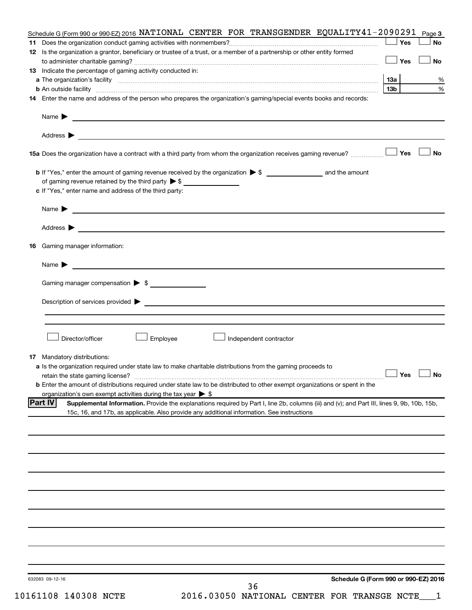| 632083 09-12-16<br>36                                                                                                                                                                                                                   |                      |           |
|-----------------------------------------------------------------------------------------------------------------------------------------------------------------------------------------------------------------------------------------|----------------------|-----------|
| Schedule G (Form 990 or 990-EZ) 2016                                                                                                                                                                                                    |                      |           |
|                                                                                                                                                                                                                                         |                      |           |
|                                                                                                                                                                                                                                         |                      |           |
|                                                                                                                                                                                                                                         |                      |           |
|                                                                                                                                                                                                                                         |                      |           |
|                                                                                                                                                                                                                                         |                      |           |
|                                                                                                                                                                                                                                         |                      |           |
|                                                                                                                                                                                                                                         |                      |           |
|                                                                                                                                                                                                                                         |                      |           |
|                                                                                                                                                                                                                                         |                      |           |
|                                                                                                                                                                                                                                         |                      |           |
|                                                                                                                                                                                                                                         |                      |           |
|                                                                                                                                                                                                                                         |                      |           |
| 15c, 16, and 17b, as applicable. Also provide any additional information. See instructions                                                                                                                                              |                      |           |
| organization's own exempt activities during the tax year $\triangleright$ \$<br> Part IV<br>Supplemental Information. Provide the explanations required by Part I, line 2b, columns (iii) and (v); and Part III, lines 9, 9b, 10b, 15b, |                      |           |
| <b>b</b> Enter the amount of distributions required under state law to be distributed to other exempt organizations or spent in the                                                                                                     |                      |           |
|                                                                                                                                                                                                                                         | $\Box$ Yes $\Box$ No |           |
| <b>17</b> Mandatory distributions:<br>a Is the organization required under state law to make charitable distributions from the gaming proceeds to                                                                                       |                      |           |
|                                                                                                                                                                                                                                         |                      |           |
| Director/officer<br>Employee<br>Independent contractor                                                                                                                                                                                  |                      |           |
|                                                                                                                                                                                                                                         |                      |           |
|                                                                                                                                                                                                                                         |                      |           |
|                                                                                                                                                                                                                                         |                      |           |
| Gaming manager compensation > \$                                                                                                                                                                                                        |                      |           |
| Name $\blacktriangleright$<br><u> 1999 - Johann Barbara, martin amerikan basal dan bahasa dan bahasa dan bahasa dalam bahasa dan bahasa dan bah</u>                                                                                     |                      |           |
|                                                                                                                                                                                                                                         |                      |           |
| <b>16</b> Gaming manager information:                                                                                                                                                                                                   |                      |           |
|                                                                                                                                                                                                                                         |                      |           |
|                                                                                                                                                                                                                                         |                      |           |
| Name $\blacktriangleright$<br><u> 1989 - Johann Barbara, martin amerikan basal dan berasal dan berasal dalam basal dan berasal dan berasal dan</u>                                                                                      |                      |           |
| c If "Yes," enter name and address of the third party:                                                                                                                                                                                  |                      |           |
| of gaming revenue retained by the third party $\triangleright$ \$                                                                                                                                                                       |                      |           |
|                                                                                                                                                                                                                                         |                      |           |
|                                                                                                                                                                                                                                         |                      | <b>No</b> |
|                                                                                                                                                                                                                                         |                      |           |
|                                                                                                                                                                                                                                         |                      |           |
|                                                                                                                                                                                                                                         |                      |           |
| 14 Enter the name and address of the person who prepares the organization's gaming/special events books and records:                                                                                                                    |                      |           |
|                                                                                                                                                                                                                                         | 13b l                | %<br>%    |
| 13 Indicate the percentage of gaming activity conducted in:                                                                                                                                                                             | 13а                  |           |
|                                                                                                                                                                                                                                         | <b>」Yes</b>          | <b>No</b> |
| 12 Is the organization a grantor, beneficiary or trustee of a trust, or a member of a partnership or other entity formed                                                                                                                | Yes                  | <b>No</b> |
|                                                                                                                                                                                                                                         |                      |           |
| Schedule G (Form 990 or 990-EZ) 2016 NATIONAL CENTER FOR TRANSGENDER EQUALITY 41 - 2090291 $_{\text{Page 3}}$                                                                                                                           |                      |           |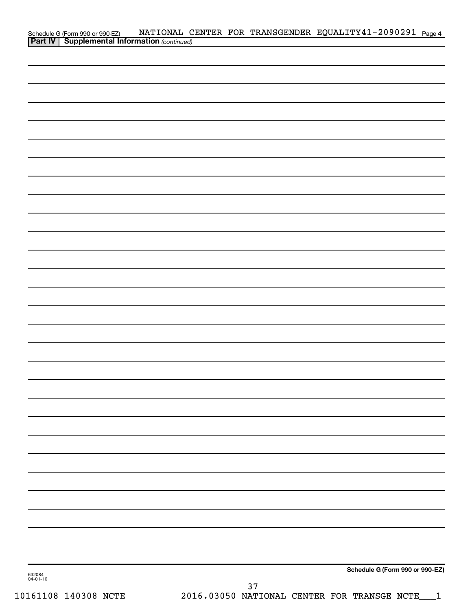|                    |                                                                                                   |  |     | NATIONAL CENTER FOR TRANSGENDER EQUALITY41-2090291 Page 4 |  |
|--------------------|---------------------------------------------------------------------------------------------------|--|-----|-----------------------------------------------------------|--|
|                    | Schedule G (Form 990 or 990-EZ) NATIONAL C<br><b>Part IV</b> Supplemental Information (continued) |  |     |                                                           |  |
|                    |                                                                                                   |  |     |                                                           |  |
|                    |                                                                                                   |  |     |                                                           |  |
|                    |                                                                                                   |  |     |                                                           |  |
|                    |                                                                                                   |  |     |                                                           |  |
|                    |                                                                                                   |  |     |                                                           |  |
|                    |                                                                                                   |  |     |                                                           |  |
|                    |                                                                                                   |  |     |                                                           |  |
|                    |                                                                                                   |  |     |                                                           |  |
|                    |                                                                                                   |  |     |                                                           |  |
|                    |                                                                                                   |  |     |                                                           |  |
|                    |                                                                                                   |  |     |                                                           |  |
|                    |                                                                                                   |  |     |                                                           |  |
|                    |                                                                                                   |  |     |                                                           |  |
|                    |                                                                                                   |  |     |                                                           |  |
|                    |                                                                                                   |  |     |                                                           |  |
|                    |                                                                                                   |  |     |                                                           |  |
|                    |                                                                                                   |  |     |                                                           |  |
|                    |                                                                                                   |  |     |                                                           |  |
|                    |                                                                                                   |  |     |                                                           |  |
|                    |                                                                                                   |  |     |                                                           |  |
|                    |                                                                                                   |  |     |                                                           |  |
|                    |                                                                                                   |  |     |                                                           |  |
|                    |                                                                                                   |  |     |                                                           |  |
|                    |                                                                                                   |  |     |                                                           |  |
|                    |                                                                                                   |  |     |                                                           |  |
|                    |                                                                                                   |  |     |                                                           |  |
|                    |                                                                                                   |  |     |                                                           |  |
|                    |                                                                                                   |  |     |                                                           |  |
|                    |                                                                                                   |  |     |                                                           |  |
|                    |                                                                                                   |  |     |                                                           |  |
|                    |                                                                                                   |  |     |                                                           |  |
|                    |                                                                                                   |  |     |                                                           |  |
|                    |                                                                                                   |  |     |                                                           |  |
|                    |                                                                                                   |  |     |                                                           |  |
|                    |                                                                                                   |  |     |                                                           |  |
|                    |                                                                                                   |  |     |                                                           |  |
|                    |                                                                                                   |  |     |                                                           |  |
|                    |                                                                                                   |  |     |                                                           |  |
|                    |                                                                                                   |  |     |                                                           |  |
|                    |                                                                                                   |  |     |                                                           |  |
|                    |                                                                                                   |  |     |                                                           |  |
|                    |                                                                                                   |  |     |                                                           |  |
|                    |                                                                                                   |  |     |                                                           |  |
|                    |                                                                                                   |  |     |                                                           |  |
|                    |                                                                                                   |  |     |                                                           |  |
|                    |                                                                                                   |  |     |                                                           |  |
|                    |                                                                                                   |  |     | Schedule G (Form 990 or 990-EZ)                           |  |
| 632084<br>04-01-16 |                                                                                                   |  |     |                                                           |  |
|                    |                                                                                                   |  | ר כ |                                                           |  |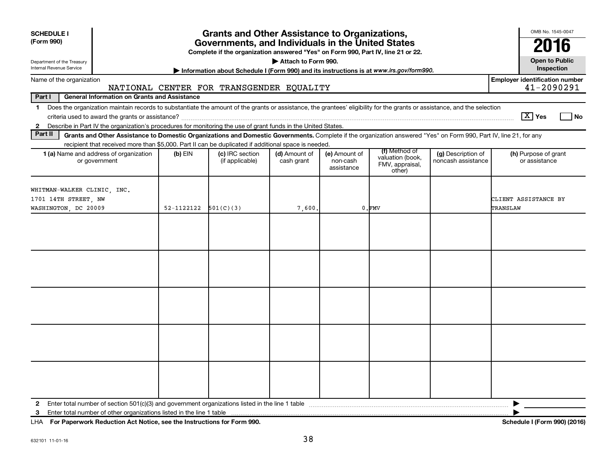| <b>SCHEDULE I</b>                                                                                                                                                                                                                                                                                                        | <b>Grants and Other Assistance to Organizations,</b>                                                                                  |                                          |                             |                                         |                                                                |                                          | OMB No. 1545-0047                                   |  |
|--------------------------------------------------------------------------------------------------------------------------------------------------------------------------------------------------------------------------------------------------------------------------------------------------------------------------|---------------------------------------------------------------------------------------------------------------------------------------|------------------------------------------|-----------------------------|-----------------------------------------|----------------------------------------------------------------|------------------------------------------|-----------------------------------------------------|--|
| (Form 990)                                                                                                                                                                                                                                                                                                               | Governments, and Individuals in the United States<br>Complete if the organization answered "Yes" on Form 990, Part IV, line 21 or 22. |                                          |                             |                                         |                                                                |                                          |                                                     |  |
| Department of the Treasury<br><b>Internal Revenue Service</b>                                                                                                                                                                                                                                                            | Attach to Form 990.<br>Information about Schedule I (Form 990) and its instructions is at www.irs.gov/form990.                        |                                          |                             |                                         |                                                                |                                          |                                                     |  |
| Name of the organization                                                                                                                                                                                                                                                                                                 |                                                                                                                                       | NATIONAL CENTER FOR TRANSGENDER EQUALITY |                             |                                         |                                                                |                                          | <b>Employer identification number</b><br>41-2090291 |  |
| Part I<br><b>General Information on Grants and Assistance</b>                                                                                                                                                                                                                                                            |                                                                                                                                       |                                          |                             |                                         |                                                                |                                          |                                                     |  |
| Does the organization maintain records to substantiate the amount of the grants or assistance, the grantees' eligibility for the grants or assistance, and the selection<br>$\mathbf 1$<br>Describe in Part IV the organization's procedures for monitoring the use of grant funds in the United States.<br>$\mathbf{2}$ |                                                                                                                                       |                                          |                             |                                         |                                                                |                                          | $\boxed{\text{X}}$ Yes<br>  No                      |  |
| Part II<br>Grants and Other Assistance to Domestic Organizations and Domestic Governments. Complete if the organization answered "Yes" on Form 990, Part IV, line 21, for any                                                                                                                                            |                                                                                                                                       |                                          |                             |                                         |                                                                |                                          |                                                     |  |
| recipient that received more than \$5,000. Part II can be duplicated if additional space is needed.                                                                                                                                                                                                                      |                                                                                                                                       |                                          |                             |                                         |                                                                |                                          |                                                     |  |
| 1 (a) Name and address of organization<br>or government                                                                                                                                                                                                                                                                  | $(b)$ EIN                                                                                                                             | (c) IRC section<br>(if applicable)       | (d) Amount of<br>cash grant | (e) Amount of<br>non-cash<br>assistance | (f) Method of<br>valuation (book,<br>FMV, appraisal,<br>other) | (g) Description of<br>noncash assistance | (h) Purpose of grant<br>or assistance               |  |
| WHITMAN-WALKER CLINIC, INC.<br>1701 14TH STREET, NW<br>WASHINGTON, DC 20009                                                                                                                                                                                                                                              | 52-1122122                                                                                                                            | 501(C)(3)                                | 7,600.                      |                                         | $0.$ $FMV$                                                     |                                          | CLIENT ASSISTANCE BY<br>TRANSLAW                    |  |
|                                                                                                                                                                                                                                                                                                                          |                                                                                                                                       |                                          |                             |                                         |                                                                |                                          |                                                     |  |
|                                                                                                                                                                                                                                                                                                                          |                                                                                                                                       |                                          |                             |                                         |                                                                |                                          |                                                     |  |
|                                                                                                                                                                                                                                                                                                                          |                                                                                                                                       |                                          |                             |                                         |                                                                |                                          |                                                     |  |
|                                                                                                                                                                                                                                                                                                                          |                                                                                                                                       |                                          |                             |                                         |                                                                |                                          |                                                     |  |
|                                                                                                                                                                                                                                                                                                                          |                                                                                                                                       |                                          |                             |                                         |                                                                |                                          |                                                     |  |
| $\mathbf{2}$<br>3                                                                                                                                                                                                                                                                                                        |                                                                                                                                       |                                          |                             |                                         |                                                                |                                          | ▶                                                   |  |

**For Paperwork Reduction Act Notice, see the Instructions for Form 990. Schedule I (Form 990) (2016)** LHA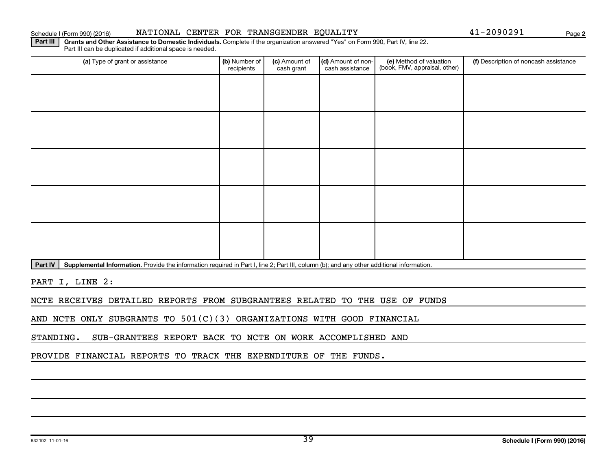#### Schedule I (Form 990) (2016) NATIONAL CENTER FOR TRANSGENDER EQUALITY Page

**2**

Part III | Grants and Other Assistance to Domestic Individuals. Complete if the organization answered "Yes" on Form 990, Part IV, line 22. Part III can be duplicated if additional space is needed.

| (a) Type of grant or assistance | (b) Number of<br>recipients | (c) Amount of<br>cash grant | (d) Amount of non-<br>cash assistance | (e) Method of valuation<br>(book, FMV, appraisal, other) | (f) Description of noncash assistance |
|---------------------------------|-----------------------------|-----------------------------|---------------------------------------|----------------------------------------------------------|---------------------------------------|
|                                 |                             |                             |                                       |                                                          |                                       |
|                                 |                             |                             |                                       |                                                          |                                       |
|                                 |                             |                             |                                       |                                                          |                                       |
|                                 |                             |                             |                                       |                                                          |                                       |
|                                 |                             |                             |                                       |                                                          |                                       |
|                                 |                             |                             |                                       |                                                          |                                       |
|                                 |                             |                             |                                       |                                                          |                                       |
|                                 |                             |                             |                                       |                                                          |                                       |
|                                 |                             |                             |                                       |                                                          |                                       |
|                                 |                             |                             |                                       |                                                          |                                       |

Part IV | Supplemental Information. Provide the information required in Part I, line 2; Part III, column (b); and any other additional information.

PART I, LINE 2:

NCTE RECEIVES DETAILED REPORTS FROM SUBGRANTEES RELATED TO THE USE OF FUNDS

AND NCTE ONLY SUBGRANTS TO 501(C)(3) ORGANIZATIONS WITH GOOD FINANCIAL

STANDING. SUB-GRANTEES REPORT BACK TO NCTE ON WORK ACCOMPLISHED AND

PROVIDE FINANCIAL REPORTS TO TRACK THE EXPENDITURE OF THE FUNDS.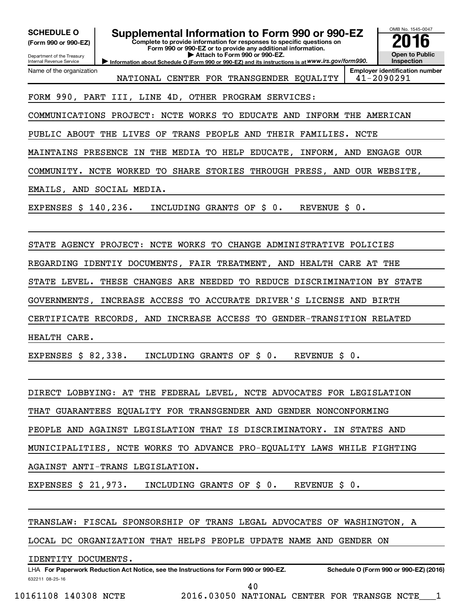| <b>SCHEDULE O</b><br>(Form 990 or 990-EZ)<br>Department of the Treasury<br>Internal Revenue Service | Supplemental Information to Form 990 or 990-EZ<br>Complete to provide information for responses to specific questions on<br>Form 990 or 990-EZ or to provide any additional information.<br>Attach to Form 990 or 990-EZ.<br>Information about Schedule O (Form 990 or 990-EZ) and its instructions is at WWW.irs.gov/form990. | OMB No. 1545-0047<br>16<br><b>Open to Public</b><br><b>Inspection</b> |  |  |  |  |  |
|-----------------------------------------------------------------------------------------------------|--------------------------------------------------------------------------------------------------------------------------------------------------------------------------------------------------------------------------------------------------------------------------------------------------------------------------------|-----------------------------------------------------------------------|--|--|--|--|--|
| Name of the organization                                                                            | NATIONAL CENTER FOR TRANSGENDER EQUALITY                                                                                                                                                                                                                                                                                       | <b>Employer identification number</b><br>41-2090291                   |  |  |  |  |  |
|                                                                                                     | 4D, OTHER PROGRAM SERVICES:<br>FORM 990, PART III, LINE                                                                                                                                                                                                                                                                        |                                                                       |  |  |  |  |  |
| COMMUNICATIONS                                                                                      | PROJECT:<br>NCTE WORKS TO<br><b>EDUCATE AND</b><br>INFORM THE AMERICAN                                                                                                                                                                                                                                                         |                                                                       |  |  |  |  |  |
| PUBLIC ABOUT THE LIVES                                                                              | TRANS PEOPLE AND<br>THEIR FAMILIES.<br>OF<br>NCTE                                                                                                                                                                                                                                                                              |                                                                       |  |  |  |  |  |
| MAINTAINS                                                                                           | PRESENCE<br>THE MEDIA<br>TO HELP EDUCATE,<br>INFORM, AND ENGAGE OUR<br>IN                                                                                                                                                                                                                                                      |                                                                       |  |  |  |  |  |
| COMMUNITY.                                                                                          | NCTE WORKED<br>TО<br>SHARE STORIES THROUGH PRESS, AND OUR WEBSITE,                                                                                                                                                                                                                                                             |                                                                       |  |  |  |  |  |
| EMAILS, AND SOCIAL MEDIA.                                                                           |                                                                                                                                                                                                                                                                                                                                |                                                                       |  |  |  |  |  |
| EXPENSES \$ 140,236.                                                                                | INCLUDING GRANTS OF<br>$\ddot{\texttt{S}}$ 0.<br><b>REVENUE</b><br>\$ 0.                                                                                                                                                                                                                                                       |                                                                       |  |  |  |  |  |
|                                                                                                     |                                                                                                                                                                                                                                                                                                                                |                                                                       |  |  |  |  |  |
|                                                                                                     | STATE AGENCY PROJECT: NCTE WORKS TO CHANGE ADMINISTRATIVE POLICIES                                                                                                                                                                                                                                                             |                                                                       |  |  |  |  |  |
|                                                                                                     | REGARDING IDENTIY DOCUMENTS, FAIR TREATMENT, AND HEALTH CARE AT THE                                                                                                                                                                                                                                                            |                                                                       |  |  |  |  |  |
| STATE LEVEL.                                                                                        | CHANGES ARE NEEDED TO<br>REDUCE DISCRIMINATION BY STATE<br>THESE                                                                                                                                                                                                                                                               |                                                                       |  |  |  |  |  |
| GOVERNMENTS,                                                                                        | INCREASE ACCESS TO ACCURATE DRIVER'S LICENSE AND BIRTH                                                                                                                                                                                                                                                                         |                                                                       |  |  |  |  |  |
|                                                                                                     | CERTIFICATE RECORDS, AND INCREASE ACCESS TO GENDER-TRANSITION RELATED                                                                                                                                                                                                                                                          |                                                                       |  |  |  |  |  |
| HEALTH CARE.                                                                                        |                                                                                                                                                                                                                                                                                                                                |                                                                       |  |  |  |  |  |
| EXPENSES $$82,338.$                                                                                 | INCLUDING GRANTS OF \$ 0.<br>REVENUE \$ 0.                                                                                                                                                                                                                                                                                     |                                                                       |  |  |  |  |  |
|                                                                                                     |                                                                                                                                                                                                                                                                                                                                |                                                                       |  |  |  |  |  |
|                                                                                                     | DIRECT LOBBYING: AT THE FEDERAL LEVEL, NCTE ADVOCATES FOR LEGISLATION                                                                                                                                                                                                                                                          |                                                                       |  |  |  |  |  |
| THAT GUARANTEES EQUALITY FOR TRANSGENDER AND GENDER NONCONFORMING                                   |                                                                                                                                                                                                                                                                                                                                |                                                                       |  |  |  |  |  |
| PEOPLE AND AGAINST LEGISLATION THAT IS DISCRIMINATORY. IN STATES AND                                |                                                                                                                                                                                                                                                                                                                                |                                                                       |  |  |  |  |  |
| MUNICIPALITIES, NCTE WORKS TO ADVANCE PRO-EQUALITY LAWS WHILE FIGHTING                              |                                                                                                                                                                                                                                                                                                                                |                                                                       |  |  |  |  |  |
| AGAINST ANTI-TRANS LEGISLATION.                                                                     |                                                                                                                                                                                                                                                                                                                                |                                                                       |  |  |  |  |  |
| EXPENSES $$21,973$ .                                                                                | INCLUDING GRANTS OF \$0.<br>REVENUE \$ 0.                                                                                                                                                                                                                                                                                      |                                                                       |  |  |  |  |  |
|                                                                                                     |                                                                                                                                                                                                                                                                                                                                |                                                                       |  |  |  |  |  |
| TRANSLAW: FISCAL SPONSORSHIP OF TRANS LEGAL ADVOCATES OF WASHINGTON, A                              |                                                                                                                                                                                                                                                                                                                                |                                                                       |  |  |  |  |  |
|                                                                                                     | LOCAL DC ORGANIZATION THAT HELPS PEOPLE UPDATE NAME AND GENDER ON                                                                                                                                                                                                                                                              |                                                                       |  |  |  |  |  |
| IDENTITY DOCUMENTS.                                                                                 |                                                                                                                                                                                                                                                                                                                                |                                                                       |  |  |  |  |  |
| 632211 08-25-16                                                                                     | LHA For Paperwork Reduction Act Notice, see the Instructions for Form 990 or 990-EZ.                                                                                                                                                                                                                                           | Schedule O (Form 990 or 990-EZ) (2016)                                |  |  |  |  |  |

40

10161108 140308 NCTE 2016.03050 NATIONAL CENTER FOR TRANSGE NCTE\_\_\_1